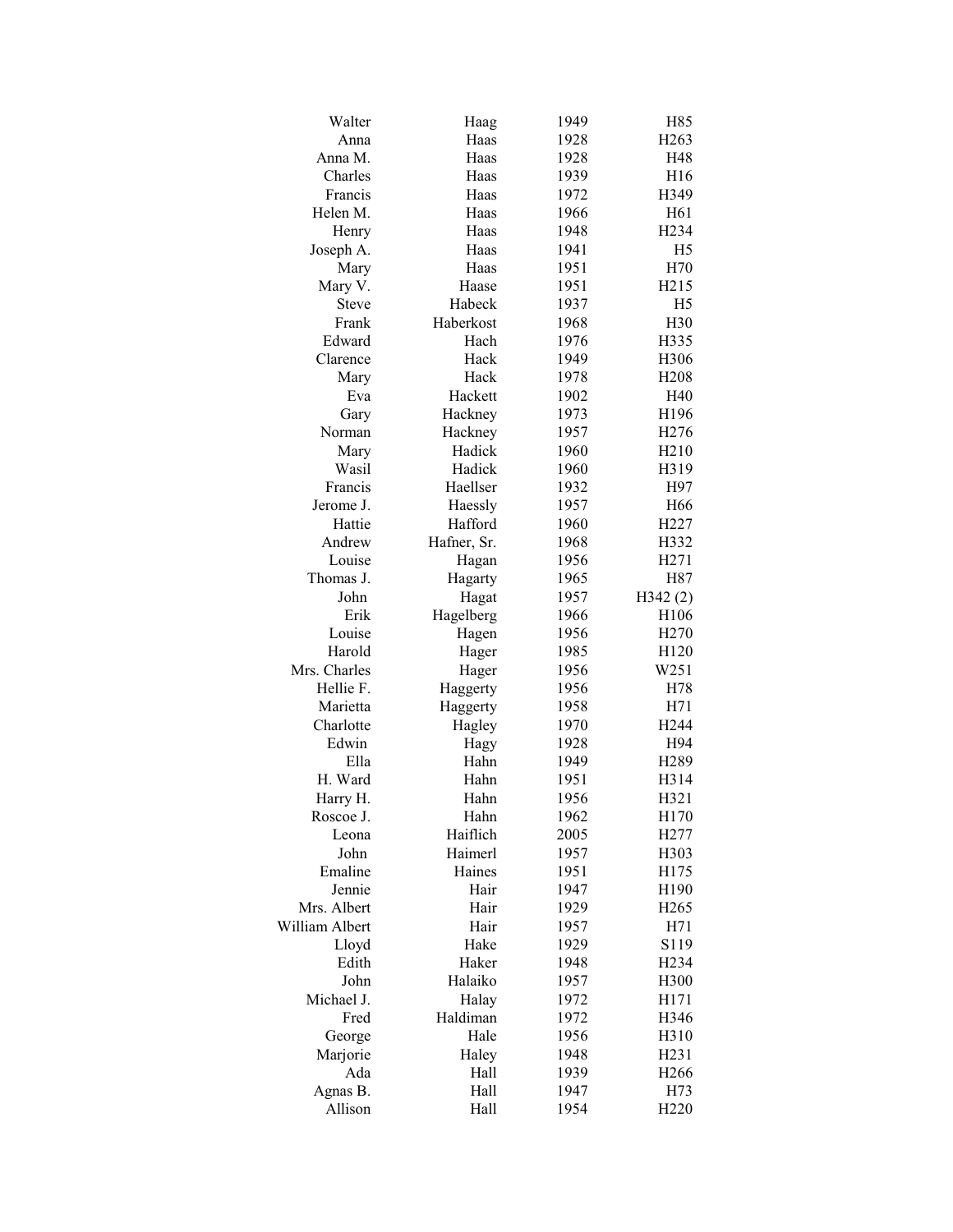| Walter         | Haag        | 1949 | H85               |
|----------------|-------------|------|-------------------|
| Anna           | Haas        | 1928 | H <sub>263</sub>  |
| Anna M.        | Haas        | 1928 | H48               |
| Charles        | Haas        | 1939 | H16               |
| Francis        | Haas        | 1972 | H349              |
| Helen M.       | Haas        | 1966 | H61               |
| Henry          | Haas        | 1948 | H <sub>2</sub> 34 |
| Joseph A.      | Haas        | 1941 | H <sub>5</sub>    |
| Mary           | Haas        | 1951 | H70               |
| Mary V.        | Haase       | 1951 | H215              |
| <b>Steve</b>   | Habeck      | 1937 | H <sub>5</sub>    |
| Frank          | Haberkost   | 1968 | H30               |
| Edward         | Hach        | 1976 | H335              |
| Clarence       | Hack        | 1949 | H306              |
| Mary           | Hack        | 1978 | H <sub>208</sub>  |
| Eva            | Hackett     | 1902 | H40               |
| Gary           | Hackney     | 1973 | H196              |
| Norman         | Hackney     | 1957 | H <sub>276</sub>  |
| Mary           | Hadick      | 1960 | H <sub>210</sub>  |
| Wasil          | Hadick      | 1960 | H319              |
| Francis        | Haellser    | 1932 | H97               |
| Jerome J.      | Haessly     | 1957 | H66               |
| Hattie         | Hafford     | 1960 | H227              |
| Andrew         | Hafner, Sr. | 1968 | H332              |
| Louise         |             |      | H <sub>271</sub>  |
| Thomas J.      | Hagan       | 1956 | H87               |
| John           | Hagarty     | 1965 |                   |
|                | Hagat       | 1957 | H342(2)           |
| Erik           | Hagelberg   | 1966 | H <sub>106</sub>  |
| Louise         | Hagen       | 1956 | H <sub>270</sub>  |
| Harold         | Hager       | 1985 | H120              |
| Mrs. Charles   | Hager       | 1956 | W251              |
| Hellie F.      | Haggerty    | 1956 | H78               |
| Marietta       | Haggerty    | 1958 | H71               |
| Charlotte      | Hagley      | 1970 | H <sub>244</sub>  |
| Edwin          | Hagy        | 1928 | H94               |
| Ella           | Hahn        | 1949 | H <sub>2</sub> 89 |
| H. Ward        | Hahn        | 1951 | H314              |
| Harry H.       | Hahn        | 1956 | H321              |
| Roscoe J.      | Hahn        | 1962 | H170              |
| Leona          | Haiflich    | 2005 | H <sub>277</sub>  |
| John           | Haimerl     | 1957 | H303              |
| Emaline        | Haines      | 1951 | H175              |
| Jennie         | Hair        | 1947 | H190              |
| Mrs. Albert    | Hair        | 1929 | H <sub>265</sub>  |
| William Albert | Hair        | 1957 | H71               |
| Lloyd          | Hake        | 1929 | S119              |
| Edith          | Haker       | 1948 | H <sub>2</sub> 34 |
| John           | Halaiko     | 1957 | H300              |
| Michael J.     | Halay       | 1972 | H171              |
| Fred           | Haldiman    | 1972 | H346              |
| George         | Hale        | 1956 | H310              |
| Marjorie       | Haley       | 1948 | H <sub>231</sub>  |
| Ada            | Hall        | 1939 | H <sub>266</sub>  |
| Agnas B.       | Hall        | 1947 | H73               |
| Allison        | Hall        | 1954 | H <sub>220</sub>  |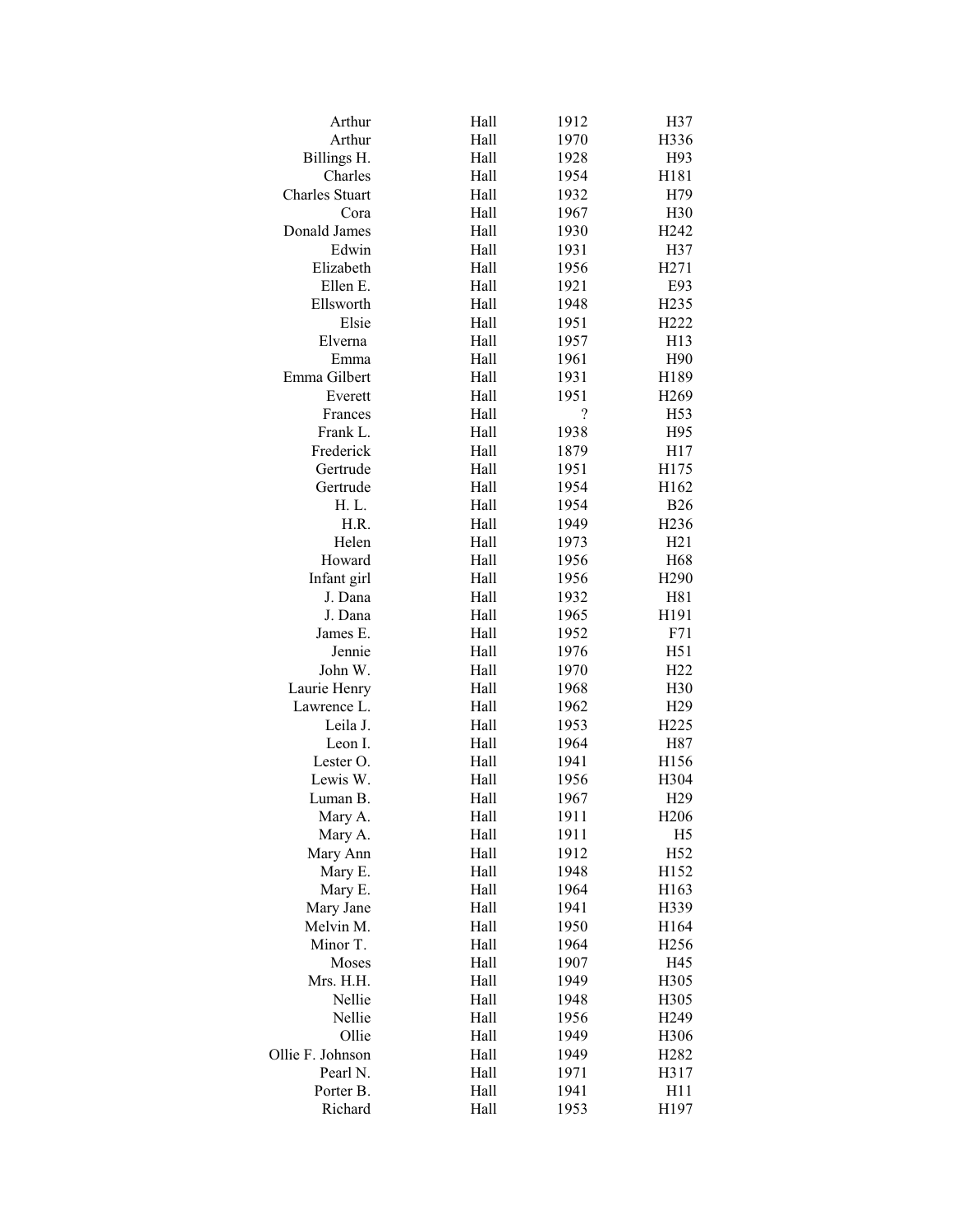| Arthur                | Hall | 1912 | H37               |
|-----------------------|------|------|-------------------|
| Arthur                | Hall | 1970 | H336              |
| Billings H.           | Hall | 1928 | H93               |
| Charles               | Hall | 1954 | H181              |
| <b>Charles Stuart</b> | Hall | 1932 | H79               |
| Cora                  | Hall | 1967 | H30               |
| Donald James          | Hall | 1930 | H <sub>242</sub>  |
| Edwin                 | Hall | 1931 | H37               |
| Elizabeth             | Hall | 1956 | H <sub>271</sub>  |
| Ellen E.              | Hall | 1921 | E93               |
| Ellsworth             | Hall | 1948 | H235              |
| Elsie                 | Hall | 1951 | H222              |
| Elverna               | Hall | 1957 | H13               |
| Emma                  | Hall | 1961 | H90               |
| Emma Gilbert          | Hall | 1931 | H189              |
| Everett               | Hall | 1951 | H <sub>269</sub>  |
| Frances               | Hall | ?    | H53               |
| Frank L.              | Hall | 1938 | H95               |
| Frederick             | Hall | 1879 | H17               |
| Gertrude              | Hall | 1951 | H175              |
| Gertrude              | Hall | 1954 | H162              |
| H. L.                 |      |      |                   |
|                       | Hall | 1954 | <b>B26</b>        |
| H.R.                  | Hall | 1949 | H236              |
| Helen                 | Hall | 1973 | H21               |
| Howard                | Hall | 1956 | H68               |
| Infant girl           | Hall | 1956 | H <sub>290</sub>  |
| J. Dana               | Hall | 1932 | H81               |
| J. Dana               | Hall | 1965 | H191              |
| James E.              | Hall | 1952 | F71               |
| Jennie                | Hall | 1976 | H51               |
| John W.               | Hall | 1970 | H22               |
| Laurie Henry          | Hall | 1968 | H30               |
| Lawrence L.           | Hall | 1962 | H <sub>29</sub>   |
| Leila J.              | Hall | 1953 | H <sub>225</sub>  |
| Leon I.               | Hall | 1964 | H87               |
| Lester O.             | Hall | 1941 | H156              |
| Lewis W.              | Hall | 1956 | H304              |
| Luman B.              | Hall | 1967 | H <sub>29</sub>   |
| Mary A.               | Hall | 1911 | H <sub>206</sub>  |
| Mary A.               | Hall | 1911 | H <sub>5</sub>    |
| Mary Ann              | Hall | 1912 | H <sub>52</sub>   |
| Mary E.               | Hall | 1948 | H152              |
| Mary E.               | Hall | 1964 | H163              |
| Mary Jane             | Hall | 1941 | H339              |
| Melvin M.             | Hall | 1950 | H164              |
| Minor T.              | Hall | 1964 | H <sub>256</sub>  |
| Moses                 | Hall | 1907 | H45               |
| Mrs. H.H.             | Hall | 1949 | H305              |
| Nellie                | Hall | 1948 | H305              |
| Nellie                | Hall | 1956 | H <sub>249</sub>  |
| Ollie                 | Hall | 1949 | H306              |
| Ollie F. Johnson      | Hall | 1949 | H <sub>2</sub> 82 |
| Pearl N.              | Hall | 1971 | H317              |
| Porter B.             | Hall | 1941 | H11               |
| Richard               | Hall | 1953 | H197              |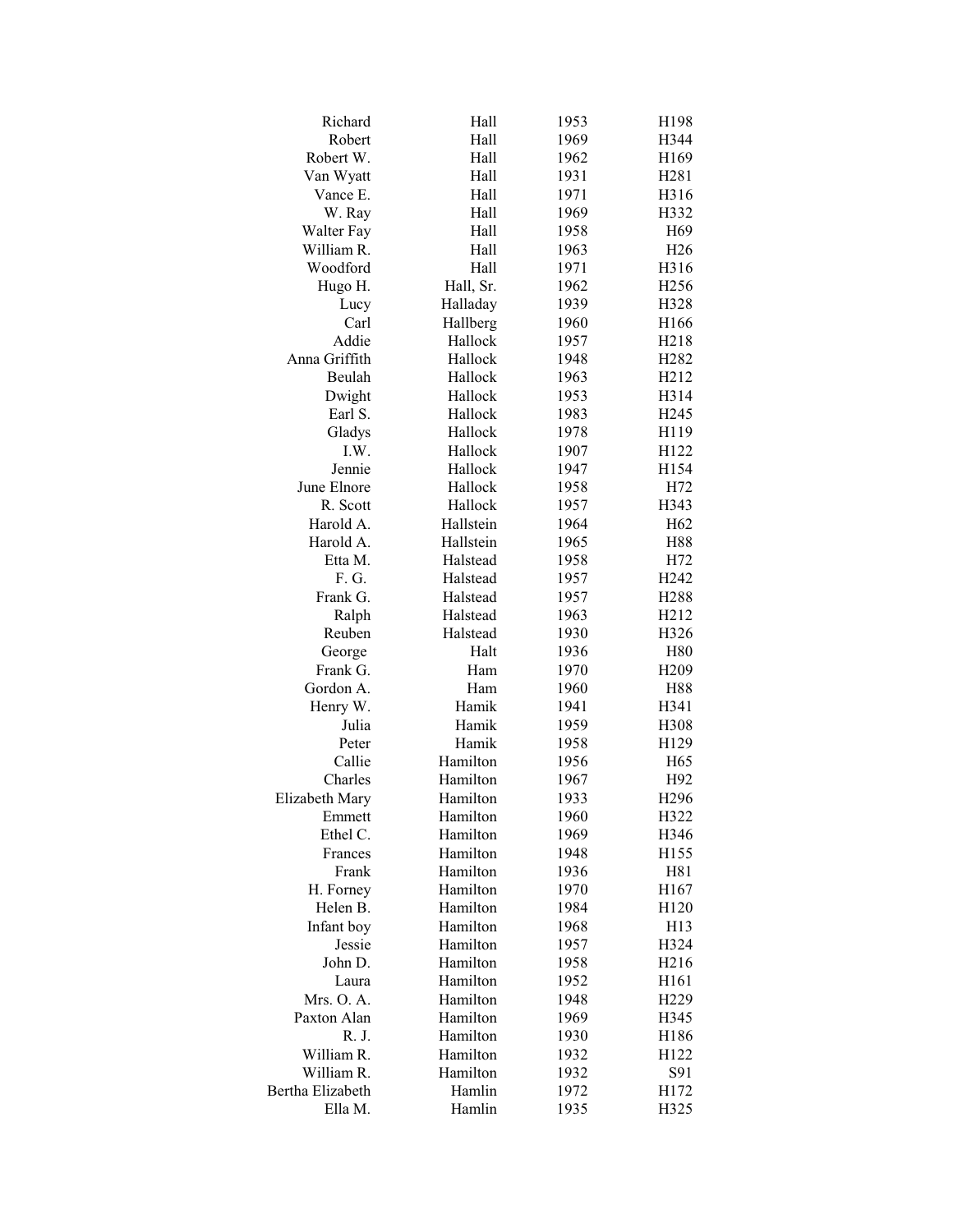| Richard          | Hall      | 1953 | H198              |
|------------------|-----------|------|-------------------|
| Robert           | Hall      | 1969 | H344              |
| Robert W.        | Hall      | 1962 | H169              |
| Van Wyatt        | Hall      | 1931 | H <sub>281</sub>  |
| Vance E.         | Hall      | 1971 | H316              |
| W. Ray           | Hall      | 1969 | H332              |
| Walter Fay       | Hall      | 1958 | H <sub>69</sub>   |
| William R.       | Hall      | 1963 | H <sub>26</sub>   |
| Woodford         | Hall      | 1971 | H316              |
| Hugo H.          | Hall, Sr. | 1962 | H <sub>256</sub>  |
| Lucy             | Halladay  | 1939 | H328              |
| Carl             | Hallberg  | 1960 | H166              |
| Addie            | Hallock   | 1957 | H <sub>2</sub> 18 |
| Anna Griffith    | Hallock   | 1948 | H <sub>2</sub> 82 |
| Beulah           | Hallock   | 1963 | H <sub>2</sub> 12 |
| Dwight           | Hallock   | 1953 | H314              |
| Earl S.          | Hallock   | 1983 | H <sub>245</sub>  |
| Gladys           | Hallock   | 1978 | H119              |
| I.W.             | Hallock   | 1907 | H122              |
| Jennie           | Hallock   | 1947 | H154              |
| June Elnore      | Hallock   | 1958 | H72               |
| R. Scott         | Hallock   | 1957 | H343              |
| Harold A.        | Hallstein | 1964 | H <sub>62</sub>   |
| Harold A.        | Hallstein | 1965 | H88               |
| Etta M.          | Halstead  | 1958 | H72               |
| F. G.            | Halstead  | 1957 | H242              |
| Frank G.         | Halstead  | 1957 | H <sub>288</sub>  |
| Ralph            | Halstead  | 1963 | H <sub>2</sub> 12 |
| Reuben           | Halstead  | 1930 | H326              |
| George           | Halt      | 1936 | H80               |
| Frank G.         | Ham       | 1970 | H <sub>209</sub>  |
| Gordon A.        | Ham       | 1960 | H88               |
| Henry W.         | Hamik     | 1941 | H341              |
| Julia            | Hamik     | 1959 | H <sub>308</sub>  |
| Peter            | Hamik     | 1958 | H129              |
| Callie           | Hamilton  | 1956 | H65               |
| Charles          | Hamilton  | 1967 | H <sub>92</sub>   |
| Elizabeth Mary   | Hamilton  | 1933 | H <sub>296</sub>  |
| Emmett           | Hamilton  | 1960 | H322              |
| Ethel C.         | Hamilton  | 1969 | H346              |
| Frances          | Hamilton  | 1948 | H155              |
| Frank            | Hamilton  | 1936 | H81               |
| H. Forney        | Hamilton  | 1970 | H167              |
| Helen B.         | Hamilton  | 1984 | H120              |
| Infant boy       | Hamilton  | 1968 | H13               |
| Jessie           | Hamilton  | 1957 | H324              |
| John D.          | Hamilton  | 1958 | H216              |
| Laura            | Hamilton  | 1952 | H161              |
| Mrs. O. A.       | Hamilton  | 1948 | H <sub>229</sub>  |
| Paxton Alan      | Hamilton  | 1969 | H345              |
| R. J.            | Hamilton  | 1930 | H186              |
| William R.       | Hamilton  | 1932 | H122              |
| William R.       | Hamilton  | 1932 | S91               |
| Bertha Elizabeth | Hamlin    | 1972 | H172              |
| Ella M.          | Hamlin    | 1935 | H325              |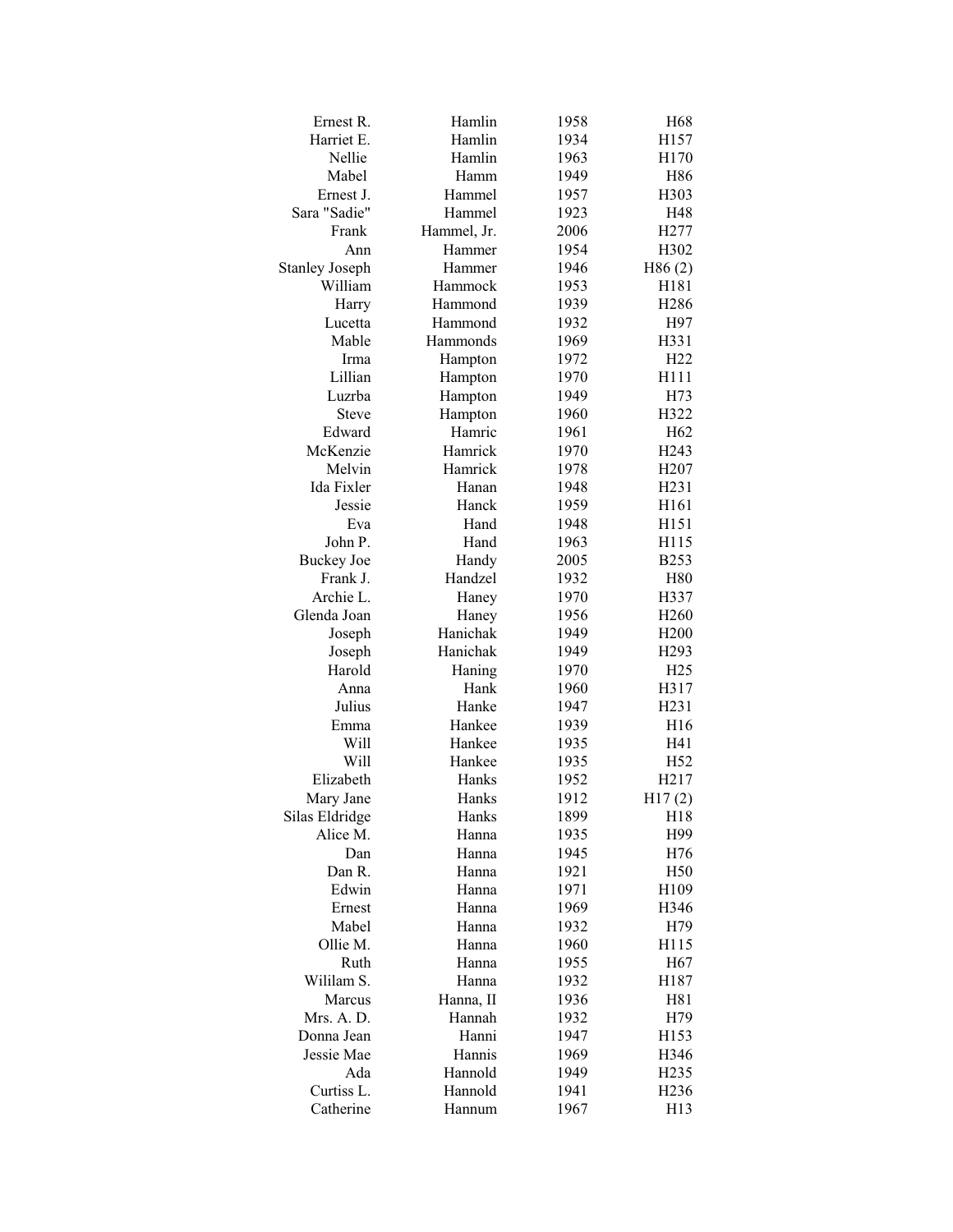| Ernest R.                     | Hamlin           | 1958 | H <sub>68</sub>  |
|-------------------------------|------------------|------|------------------|
| Harriet E.                    | Hamlin           | 1934 | H157             |
| Nellie                        | Hamlin           | 1963 | H170             |
| Mabel                         | Hamm             | 1949 | H86              |
| Ernest J.                     | Hammel           | 1957 | H303             |
| Sara "Sadie"                  | Hammel           | 1923 | H48              |
| Frank                         | Hammel, Jr.      | 2006 | H <sub>277</sub> |
| Ann                           | Hammer           | 1954 | H302             |
| <b>Stanley Joseph</b>         | Hammer           | 1946 | H86(2)           |
| William                       | Hammock          | 1953 | H181             |
| Harry                         | Hammond          | 1939 | H286             |
| Lucetta                       | Hammond          | 1932 | H97              |
| Mable                         | Hammonds         | 1969 | H331             |
| Irma                          | Hampton          | 1972 | H22              |
| Lillian                       | Hampton          | 1970 | H111             |
| Luzrba                        | Hampton          | 1949 | H73              |
| <b>Steve</b>                  | Hampton          | 1960 | H322             |
| Edward                        | Hamric           | 1961 | H <sub>62</sub>  |
| McKenzie                      | Hamrick          | 1970 | H <sub>243</sub> |
| Melvin                        | Hamrick          | 1978 | H <sub>207</sub> |
| Ida Fixler                    | Hanan            | 1948 | H231             |
| Jessie                        | Hanck            | 1959 | H161             |
| Eva                           | Hand             | 1948 | H151             |
| John P.                       | Hand             | 1963 | H115             |
|                               |                  | 2005 | <b>B253</b>      |
| <b>Buckey Joe</b><br>Frank J. | Handy<br>Handzel |      | H80              |
| Archie L.                     |                  | 1932 |                  |
|                               | Haney            | 1970 | H337             |
| Glenda Joan                   | Haney            | 1956 | H <sub>260</sub> |
| Joseph                        | Hanichak         | 1949 | H <sub>200</sub> |
| Joseph                        | Hanichak         | 1949 | H <sub>293</sub> |
| Harold                        | Haning           | 1970 | H25              |
| Anna                          | Hank             | 1960 | H317             |
| Julius                        | Hanke            | 1947 | H <sub>231</sub> |
| Emma                          | Hankee           | 1939 | H <sub>16</sub>  |
| Will                          | Hankee           | 1935 | H41              |
| Will                          | Hankee           | 1935 | H <sub>52</sub>  |
| Elizabeth                     | Hanks            | 1952 | H <sub>217</sub> |
| Mary Jane                     | Hanks            | 1912 | H17(2)           |
| Silas Eldridge                | Hanks            | 1899 | H18              |
| Alice M.                      | Hanna            | 1935 | H99              |
| Dan                           | Hanna            | 1945 | H76              |
| Dan R.                        | Hanna            | 1921 | H50              |
| Edwin                         | Hanna            | 1971 | H109             |
| Ernest                        | Hanna            | 1969 | H346             |
| Mabel                         | Hanna            | 1932 | H79              |
| Ollie M.                      | Hanna            | 1960 | H115             |
| Ruth                          | Hanna            | 1955 | H <sub>67</sub>  |
| Wililam S.                    | Hanna            | 1932 | H187             |
| Marcus                        | Hanna, II        | 1936 | H81              |
| Mrs. A. D.                    | Hannah           | 1932 | H79              |
| Donna Jean                    | Hanni            | 1947 | H153             |
| Jessie Mae                    | Hannis           | 1969 | H346             |
| Ada                           | Hannold          | 1949 | H <sub>235</sub> |
| Curtiss L.                    | Hannold          | 1941 | H <sub>236</sub> |
| Catherine                     | Hannum           | 1967 | H13              |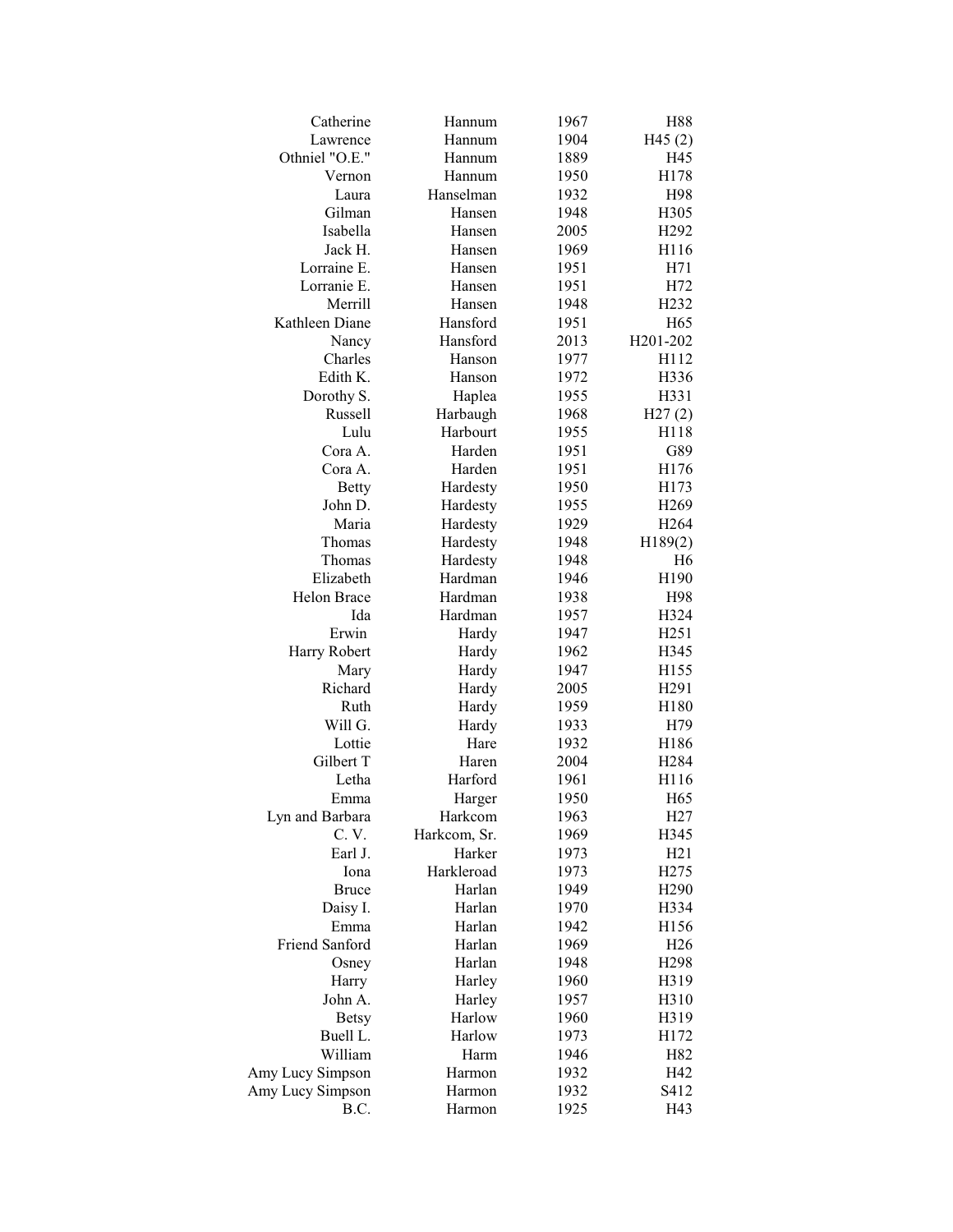| Catherine          | Hannum       | 1967 | H88               |
|--------------------|--------------|------|-------------------|
| Lawrence           | Hannum       | 1904 | H45(2)            |
| Othniel "O.E."     | Hannum       | 1889 | H45               |
| Vernon             | Hannum       | 1950 | H178              |
| Laura              | Hanselman    | 1932 | H98               |
| Gilman             | Hansen       | 1948 | H305              |
| Isabella           | Hansen       | 2005 | H <sub>292</sub>  |
| Jack H.            | Hansen       | 1969 | H116              |
| Lorraine E.        | Hansen       | 1951 | H71               |
| Lorranie E.        | Hansen       | 1951 | H72               |
| Merrill            | Hansen       | 1948 | H <sub>2</sub> 32 |
| Kathleen Diane     | Hansford     | 1951 | H65               |
| Nancy              | Hansford     | 2013 | H201-202          |
| Charles            | Hanson       | 1977 | H112              |
| Edith K.           | Hanson       | 1972 | H336              |
| Dorothy S.         | Haplea       | 1955 | H331              |
| Russell            | Harbaugh     | 1968 | H27(2)            |
| Lulu               | Harbourt     | 1955 | H118              |
| Cora A.            | Harden       | 1951 | G89               |
| Cora A.            | Harden       | 1951 | H176              |
| <b>Betty</b>       | Hardesty     | 1950 | H173              |
| John D.            | Hardesty     | 1955 | H <sub>269</sub>  |
| Maria              | Hardesty     | 1929 | H <sub>264</sub>  |
| Thomas             | Hardesty     | 1948 | H189(2)           |
| Thomas             | Hardesty     | 1948 | H <sub>6</sub>    |
| Elizabeth          | Hardman      | 1946 | H <sub>190</sub>  |
| <b>Helon Brace</b> | Hardman      | 1938 | H98               |
| Ida                | Hardman      | 1957 | H324              |
| Erwin              | Hardy        | 1947 | H <sub>251</sub>  |
| Harry Robert       | Hardy        | 1962 | H345              |
| Mary               | Hardy        | 1947 | H155              |
| Richard            | Hardy        | 2005 | H <sub>291</sub>  |
| Ruth               | Hardy        | 1959 | H180              |
| Will G.            | Hardy        | 1933 | H79               |
| Lottie             | Hare         | 1932 | H186              |
| Gilbert T          | Haren        | 2004 | H <sub>2</sub> 84 |
| Letha              | Harford      | 1961 | H116              |
| Emma               | Harger       | 1950 | H <sub>65</sub>   |
| Lyn and Barbara    | Harkcom      | 1963 | H27               |
| C.V.               | Harkcom, Sr. | 1969 | H345              |
| Earl J.            | Harker       | 1973 | H21               |
| Iona               | Harkleroad   | 1973 | H <sub>275</sub>  |
| <b>Bruce</b>       | Harlan       | 1949 | H <sub>290</sub>  |
| Daisy I.           | Harlan       | 1970 | H334              |
| Emma               | Harlan       | 1942 | H156              |
| Friend Sanford     | Harlan       | 1969 | H <sub>26</sub>   |
| Osney              | Harlan       | 1948 | H <sub>298</sub>  |
| Harry              | Harley       | 1960 | H319              |
| John A.            | Harley       | 1957 | H310              |
| <b>Betsy</b>       | Harlow       | 1960 | H319              |
| Buell L.           | Harlow       | 1973 | H172              |
| William            | Harm         | 1946 | H82               |
| Amy Lucy Simpson   | Harmon       | 1932 | H42               |
| Amy Lucy Simpson   | Harmon       | 1932 | S412              |
| B.C.               | Harmon       | 1925 | H43               |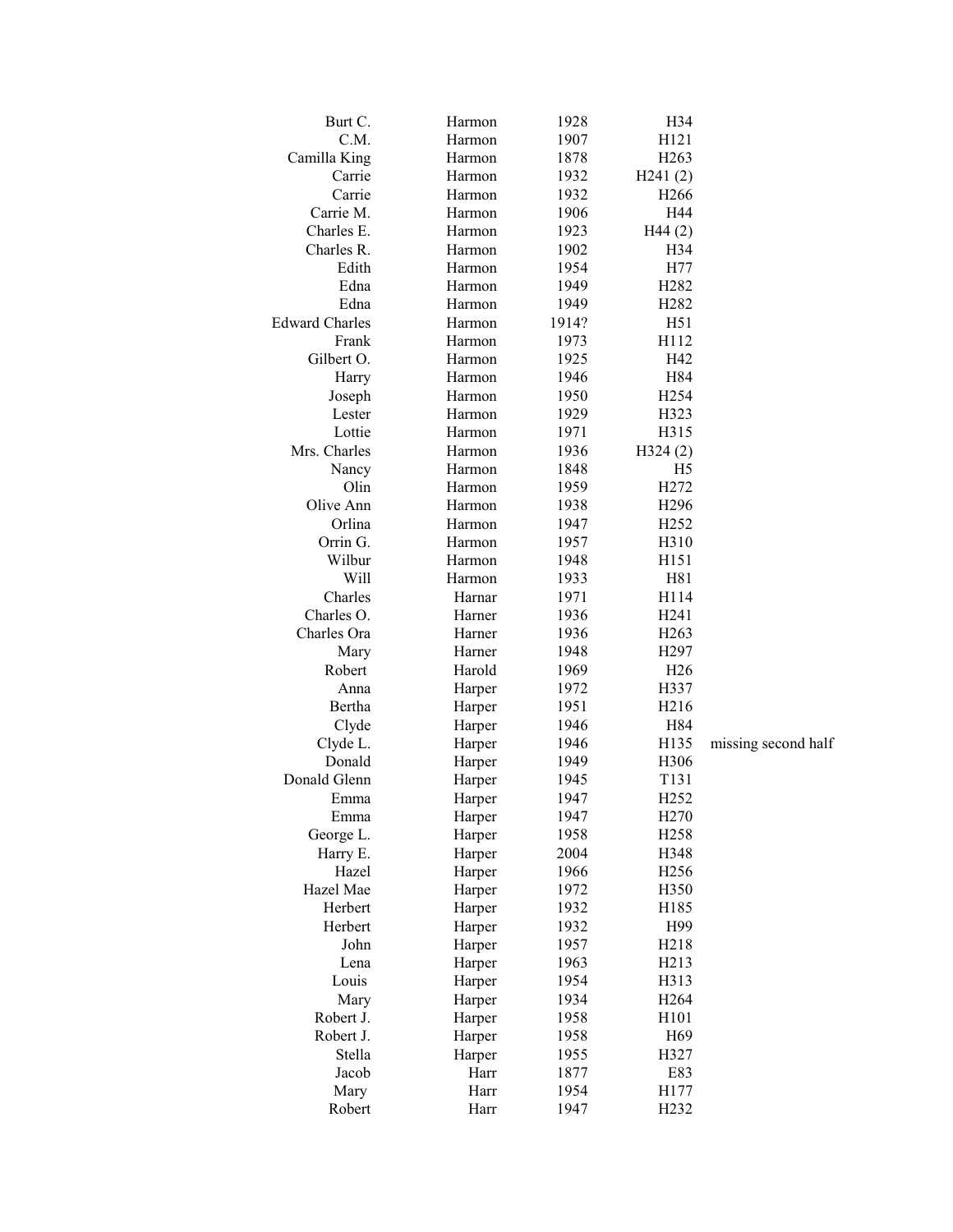| Burt C.               | Harmon | 1928  | H <sub>34</sub>   |                     |
|-----------------------|--------|-------|-------------------|---------------------|
| C.M.                  | Harmon | 1907  | H121              |                     |
| Camilla King          | Harmon | 1878  | H <sub>263</sub>  |                     |
| Carrie                | Harmon | 1932  | H241(2)           |                     |
| Carrie                | Harmon | 1932  | H <sub>266</sub>  |                     |
| Carrie M.             | Harmon | 1906  | H44               |                     |
| Charles E.            | Harmon | 1923  | H44(2)            |                     |
| Charles R.            | Harmon | 1902  | H <sub>34</sub>   |                     |
| Edith                 | Harmon | 1954  | H77               |                     |
| Edna                  | Harmon | 1949  | H <sub>2</sub> 82 |                     |
| Edna                  | Harmon | 1949  | H <sub>2</sub> 82 |                     |
| <b>Edward Charles</b> | Harmon | 1914? | H51               |                     |
| Frank                 | Harmon | 1973  | H112              |                     |
| Gilbert O.            | Harmon | 1925  | H42               |                     |
| Harry                 | Harmon | 1946  | H84               |                     |
| Joseph                | Harmon | 1950  | H <sub>254</sub>  |                     |
| Lester                | Harmon | 1929  | H323              |                     |
| Lottie                | Harmon | 1971  | H315              |                     |
| Mrs. Charles          | Harmon | 1936  | H324(2)           |                     |
| Nancy                 | Harmon | 1848  | H <sub>5</sub>    |                     |
| Olin                  | Harmon | 1959  | H <sub>272</sub>  |                     |
| Olive Ann             | Harmon | 1938  | H <sub>296</sub>  |                     |
| Orlina                | Harmon | 1947  | H <sub>252</sub>  |                     |
| Orrin G.              | Harmon | 1957  | H310              |                     |
| Wilbur                | Harmon | 1948  | H151              |                     |
| Will                  | Harmon |       | H81               |                     |
| Charles               |        | 1933  |                   |                     |
|                       | Harnar | 1971  | H114              |                     |
| Charles O.            | Harner | 1936  | H <sub>241</sub>  |                     |
| Charles Ora           | Harner | 1936  | H <sub>263</sub>  |                     |
| Mary                  | Harner | 1948  | H <sub>297</sub>  |                     |
| Robert                | Harold | 1969  | H <sub>26</sub>   |                     |
| Anna                  | Harper | 1972  | H337              |                     |
| Bertha                | Harper | 1951  | H <sub>216</sub>  |                     |
| Clyde                 | Harper | 1946  | H84               |                     |
| Clyde L.              | Harper | 1946  | H <sub>135</sub>  | missing second half |
| Donald                | Harper | 1949  | H <sub>306</sub>  |                     |
| Donald Glenn          | Harper | 1945  | T <sub>131</sub>  |                     |
| Emma                  | Harper | 1947  | H <sub>252</sub>  |                     |
| Emma                  | Harper | 1947  | H <sub>270</sub>  |                     |
| George L.             | Harper | 1958  | H <sub>258</sub>  |                     |
| Harry E.              | Harper | 2004  | H348              |                     |
| Hazel                 | Harper | 1966  | H <sub>256</sub>  |                     |
| Hazel Mae             | Harper | 1972  | H350              |                     |
| Herbert               | Harper | 1932  | H185              |                     |
| Herbert               | Harper | 1932  | H99               |                     |
| John                  | Harper | 1957  | H <sub>2</sub> 18 |                     |
| Lena                  | Harper | 1963  | H213              |                     |
| Louis                 | Harper | 1954  | H313              |                     |
| Mary                  | Harper | 1934  | H <sub>264</sub>  |                     |
| Robert J.             | Harper | 1958  | H101              |                     |
| Robert J.             | Harper | 1958  | H69               |                     |
| Stella                | Harper | 1955  | H327              |                     |
| Jacob                 | Harr   | 1877  | E83               |                     |
| Mary                  | Harr   | 1954  | H177              |                     |
| Robert                | Harr   | 1947  | H <sub>2</sub> 32 |                     |
|                       |        |       |                   |                     |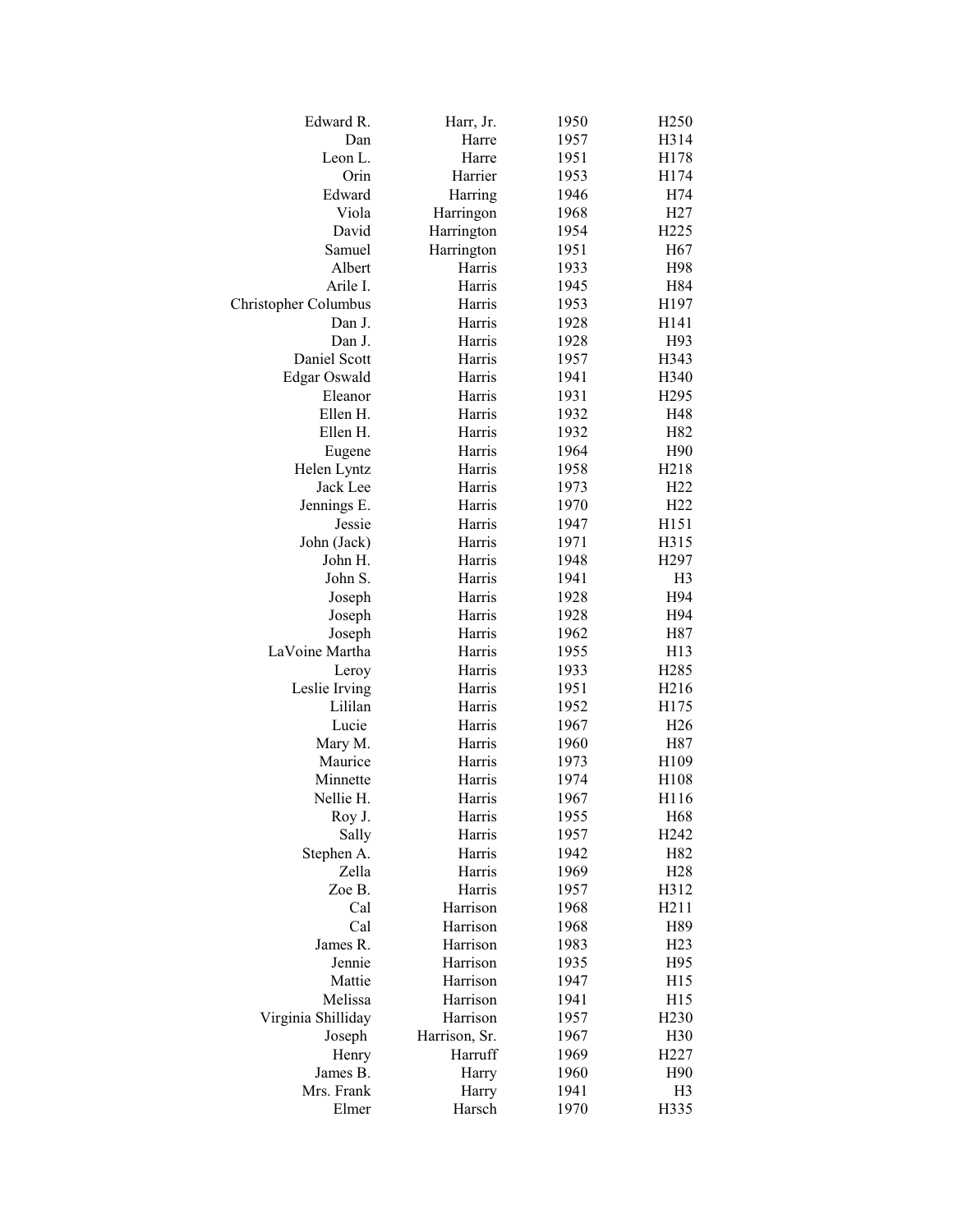| Edward R.                | Harr, Jr.        | 1950         | H <sub>250</sub>                      |
|--------------------------|------------------|--------------|---------------------------------------|
| Dan                      | Harre            | 1957         | H314                                  |
| Leon L.                  | Harre            | 1951         | H178                                  |
| Orin                     | Harrier          | 1953         | H174                                  |
| Edward                   | Harring          | 1946         | H74                                   |
| Viola                    | Harringon        | 1968         | H27                                   |
| David                    | Harrington       | 1954         | H <sub>225</sub>                      |
| Samuel                   | Harrington       | 1951         | H <sub>67</sub>                       |
| Albert                   | Harris           | 1933         | H98                                   |
| Arile I.                 | Harris           | 1945         | H84                                   |
| Christopher Columbus     | Harris           | 1953         | H197                                  |
| Dan J.                   | Harris           | 1928         | H141                                  |
| Dan J.                   | Harris           | 1928         | H93                                   |
| Daniel Scott             | Harris           | 1957         | H343                                  |
| Edgar Oswald             | Harris           | 1941         | H340                                  |
| Eleanor                  | Harris           | 1931         | H <sub>295</sub>                      |
| Ellen H.                 | Harris           | 1932         | H48                                   |
| Ellen H.                 | Harris           | 1932         | H82                                   |
| Eugene                   | Harris           | 1964         | H90                                   |
| Helen Lyntz              | Harris           | 1958         | H <sub>2</sub> 18                     |
| Jack Lee                 | Harris           | 1973         | H22                                   |
| Jennings E.              | Harris           | 1970         | H22                                   |
| Jessie                   | Harris           | 1947         | H151                                  |
| John (Jack)              | Harris           | 1971         | H315                                  |
| John H.                  | Harris           | 1948         | H <sub>297</sub>                      |
| John S.                  | Harris           | 1941         | H <sub>3</sub>                        |
|                          | Harris           |              |                                       |
| Joseph                   |                  | 1928         | H94                                   |
| Joseph                   | Harris<br>Harris | 1928<br>1962 | H94                                   |
| Joseph<br>LaVoine Martha | Harris           | 1955         | H87                                   |
|                          |                  |              | H <sub>13</sub>                       |
| Leroy<br>Leslie Irving   | Harris<br>Harris | 1933<br>1951 | H <sub>2</sub> 85<br>H <sub>216</sub> |
| Lililan                  | Harris           |              | H175                                  |
| Lucie                    | Harris           | 1952<br>1967 | H <sub>26</sub>                       |
|                          |                  |              |                                       |
| Mary M.                  | Harris<br>Harris | 1960         | H87                                   |
| Maurice                  |                  | 1973         | H <sub>109</sub>                      |
| Minnette                 | Harris           | 1974         | H <sub>108</sub><br>H116              |
| Nellie H.                | Harris           | 1967         |                                       |
| Roy J.                   | Harris           | 1955         | H68                                   |
| Sally                    | Harris           | 1957         | H <sub>242</sub><br>H82               |
| Stephen A.               | Harris           | 1942         |                                       |
| Zella                    | Harris           | 1969         | H <sub>28</sub>                       |
| Zoe B.                   | Harris           | 1957         | H312                                  |
| Cal                      | Harrison         | 1968         | H <sub>211</sub>                      |
| Cal                      | Harrison         | 1968         | H89                                   |
| James R.<br>Jennie       | Harrison         | 1983         | H <sub>2</sub> 3                      |
|                          | Harrison         | 1935         | H95                                   |
| Mattie                   | Harrison         | 1947         | H15                                   |
| Melissa                  | Harrison         | 1941         | H15                                   |
| Virginia Shilliday       | Harrison         | 1957         | H <sub>230</sub>                      |
| Joseph                   | Harrison, Sr.    | 1967         | H30                                   |
| Henry                    | Harruff          | 1969         | H <sub>227</sub>                      |
| James B.                 | Harry            | 1960         | H <sub>90</sub>                       |
| Mrs. Frank               | Harry            | 1941         | H <sub>3</sub>                        |
| Elmer                    | Harsch           | 1970         | H335                                  |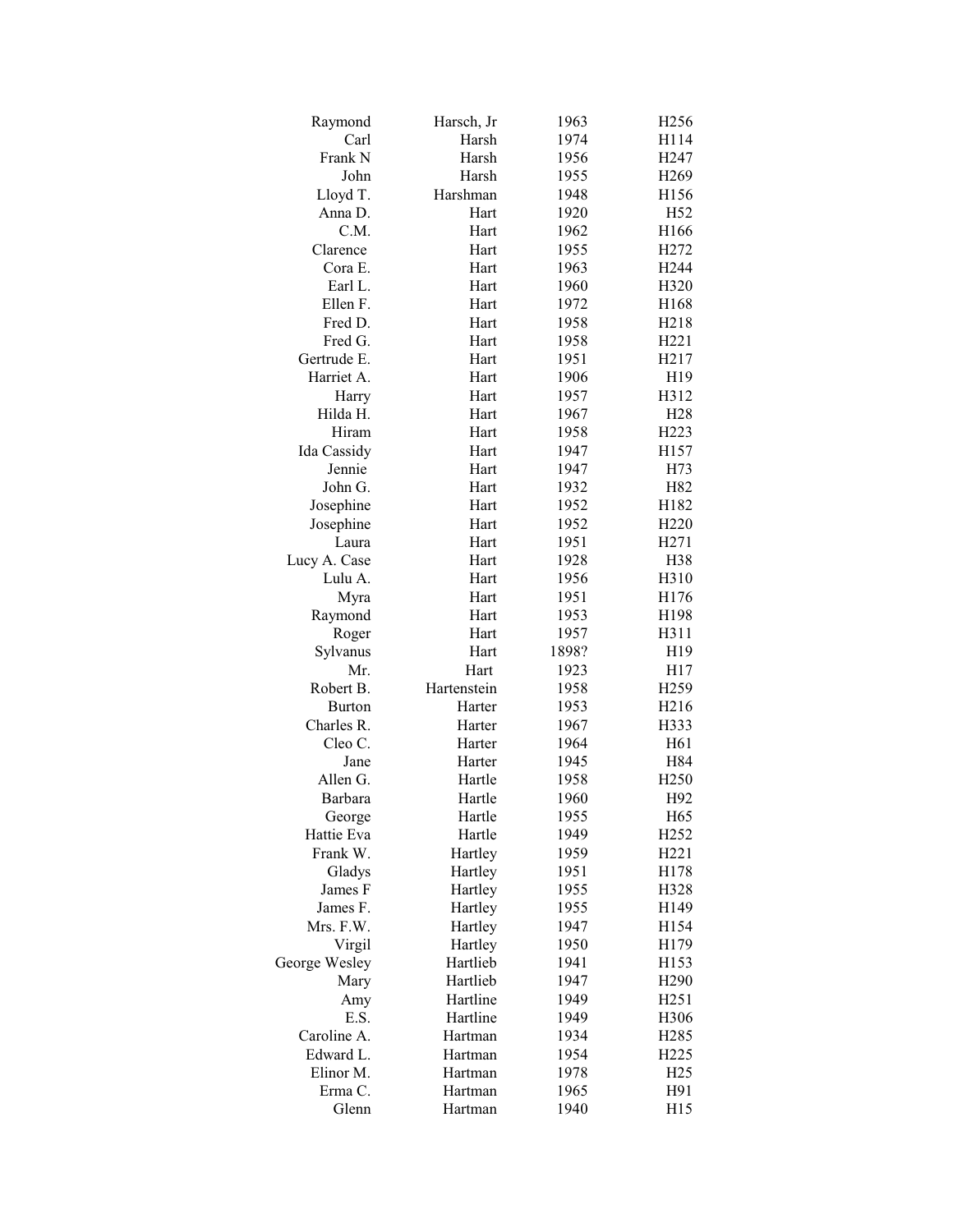|          |                                                                                                                                                                                                                                                                                                                                                                    | H <sub>256</sub>                                                                                                                                                                                                                                                                                                                         |
|----------|--------------------------------------------------------------------------------------------------------------------------------------------------------------------------------------------------------------------------------------------------------------------------------------------------------------------------------------------------------------------|------------------------------------------------------------------------------------------------------------------------------------------------------------------------------------------------------------------------------------------------------------------------------------------------------------------------------------------|
|          |                                                                                                                                                                                                                                                                                                                                                                    | H114                                                                                                                                                                                                                                                                                                                                     |
|          |                                                                                                                                                                                                                                                                                                                                                                    | H <sub>247</sub>                                                                                                                                                                                                                                                                                                                         |
|          |                                                                                                                                                                                                                                                                                                                                                                    | H <sub>269</sub>                                                                                                                                                                                                                                                                                                                         |
|          |                                                                                                                                                                                                                                                                                                                                                                    | H156                                                                                                                                                                                                                                                                                                                                     |
|          |                                                                                                                                                                                                                                                                                                                                                                    |                                                                                                                                                                                                                                                                                                                                          |
|          |                                                                                                                                                                                                                                                                                                                                                                    | H <sub>52</sub>                                                                                                                                                                                                                                                                                                                          |
|          |                                                                                                                                                                                                                                                                                                                                                                    | H166                                                                                                                                                                                                                                                                                                                                     |
|          |                                                                                                                                                                                                                                                                                                                                                                    | H <sub>272</sub>                                                                                                                                                                                                                                                                                                                         |
|          |                                                                                                                                                                                                                                                                                                                                                                    | H <sub>244</sub>                                                                                                                                                                                                                                                                                                                         |
|          |                                                                                                                                                                                                                                                                                                                                                                    | H320                                                                                                                                                                                                                                                                                                                                     |
|          |                                                                                                                                                                                                                                                                                                                                                                    | H168                                                                                                                                                                                                                                                                                                                                     |
|          |                                                                                                                                                                                                                                                                                                                                                                    | H218                                                                                                                                                                                                                                                                                                                                     |
|          |                                                                                                                                                                                                                                                                                                                                                                    | H221                                                                                                                                                                                                                                                                                                                                     |
| Hart     |                                                                                                                                                                                                                                                                                                                                                                    | H <sub>217</sub>                                                                                                                                                                                                                                                                                                                         |
| Hart     | 1906                                                                                                                                                                                                                                                                                                                                                               | H19                                                                                                                                                                                                                                                                                                                                      |
| Hart     | 1957                                                                                                                                                                                                                                                                                                                                                               | H312                                                                                                                                                                                                                                                                                                                                     |
| Hart     | 1967                                                                                                                                                                                                                                                                                                                                                               | H <sub>28</sub>                                                                                                                                                                                                                                                                                                                          |
| Hart     | 1958                                                                                                                                                                                                                                                                                                                                                               | H <sub>223</sub>                                                                                                                                                                                                                                                                                                                         |
| Hart     | 1947                                                                                                                                                                                                                                                                                                                                                               | H157                                                                                                                                                                                                                                                                                                                                     |
| Hart     | 1947                                                                                                                                                                                                                                                                                                                                                               | H73                                                                                                                                                                                                                                                                                                                                      |
| Hart     |                                                                                                                                                                                                                                                                                                                                                                    | H82                                                                                                                                                                                                                                                                                                                                      |
|          |                                                                                                                                                                                                                                                                                                                                                                    | H182                                                                                                                                                                                                                                                                                                                                     |
|          |                                                                                                                                                                                                                                                                                                                                                                    | H <sub>220</sub>                                                                                                                                                                                                                                                                                                                         |
|          |                                                                                                                                                                                                                                                                                                                                                                    | H <sub>271</sub>                                                                                                                                                                                                                                                                                                                         |
|          |                                                                                                                                                                                                                                                                                                                                                                    | H38                                                                                                                                                                                                                                                                                                                                      |
|          |                                                                                                                                                                                                                                                                                                                                                                    | H310                                                                                                                                                                                                                                                                                                                                     |
|          |                                                                                                                                                                                                                                                                                                                                                                    | H176                                                                                                                                                                                                                                                                                                                                     |
|          |                                                                                                                                                                                                                                                                                                                                                                    | H198                                                                                                                                                                                                                                                                                                                                     |
|          |                                                                                                                                                                                                                                                                                                                                                                    | H311                                                                                                                                                                                                                                                                                                                                     |
|          |                                                                                                                                                                                                                                                                                                                                                                    | H19                                                                                                                                                                                                                                                                                                                                      |
|          |                                                                                                                                                                                                                                                                                                                                                                    | H17                                                                                                                                                                                                                                                                                                                                      |
|          |                                                                                                                                                                                                                                                                                                                                                                    | H <sub>259</sub>                                                                                                                                                                                                                                                                                                                         |
|          |                                                                                                                                                                                                                                                                                                                                                                    |                                                                                                                                                                                                                                                                                                                                          |
|          |                                                                                                                                                                                                                                                                                                                                                                    | H <sub>216</sub>                                                                                                                                                                                                                                                                                                                         |
|          |                                                                                                                                                                                                                                                                                                                                                                    | H333                                                                                                                                                                                                                                                                                                                                     |
|          |                                                                                                                                                                                                                                                                                                                                                                    | H <sub>61</sub>                                                                                                                                                                                                                                                                                                                          |
|          |                                                                                                                                                                                                                                                                                                                                                                    | H84                                                                                                                                                                                                                                                                                                                                      |
|          |                                                                                                                                                                                                                                                                                                                                                                    | H <sub>250</sub>                                                                                                                                                                                                                                                                                                                         |
|          |                                                                                                                                                                                                                                                                                                                                                                    | H92                                                                                                                                                                                                                                                                                                                                      |
|          |                                                                                                                                                                                                                                                                                                                                                                    | H65                                                                                                                                                                                                                                                                                                                                      |
|          |                                                                                                                                                                                                                                                                                                                                                                    | H <sub>252</sub>                                                                                                                                                                                                                                                                                                                         |
|          |                                                                                                                                                                                                                                                                                                                                                                    | H221                                                                                                                                                                                                                                                                                                                                     |
|          |                                                                                                                                                                                                                                                                                                                                                                    | H178                                                                                                                                                                                                                                                                                                                                     |
|          |                                                                                                                                                                                                                                                                                                                                                                    | H328                                                                                                                                                                                                                                                                                                                                     |
|          |                                                                                                                                                                                                                                                                                                                                                                    | H149                                                                                                                                                                                                                                                                                                                                     |
|          |                                                                                                                                                                                                                                                                                                                                                                    | H154                                                                                                                                                                                                                                                                                                                                     |
|          | 1950                                                                                                                                                                                                                                                                                                                                                               | H179                                                                                                                                                                                                                                                                                                                                     |
| Hartlieb | 1941                                                                                                                                                                                                                                                                                                                                                               | H153                                                                                                                                                                                                                                                                                                                                     |
| Hartlieb | 1947                                                                                                                                                                                                                                                                                                                                                               | H <sub>290</sub>                                                                                                                                                                                                                                                                                                                         |
| Hartline | 1949                                                                                                                                                                                                                                                                                                                                                               | H251                                                                                                                                                                                                                                                                                                                                     |
| Hartline | 1949                                                                                                                                                                                                                                                                                                                                                               | H306                                                                                                                                                                                                                                                                                                                                     |
| Hartman  | 1934                                                                                                                                                                                                                                                                                                                                                               | H <sub>2</sub> 85                                                                                                                                                                                                                                                                                                                        |
| Hartman  | 1954                                                                                                                                                                                                                                                                                                                                                               | H <sub>225</sub>                                                                                                                                                                                                                                                                                                                         |
| Hartman  | 1978                                                                                                                                                                                                                                                                                                                                                               | H <sub>25</sub>                                                                                                                                                                                                                                                                                                                          |
|          |                                                                                                                                                                                                                                                                                                                                                                    | H91                                                                                                                                                                                                                                                                                                                                      |
|          |                                                                                                                                                                                                                                                                                                                                                                    |                                                                                                                                                                                                                                                                                                                                          |
|          | Harsch, Jr<br>Harsh<br>Harsh<br>Harsh<br>Harshman<br>Hart<br>Hart<br>Hart<br>Hart<br>Hart<br>Hart<br>Hart<br>Hart<br>Hart<br>Hart<br>Hart<br>Hart<br>Hart<br>Hart<br>Hart<br>Hart<br>Hart<br>Hart<br>Hartenstein<br>Harter<br>Harter<br>Harter<br>Harter<br>Hartle<br>Hartle<br>Hartle<br>Hartle<br>Hartley<br>Hartley<br>Hartley<br>Hartley<br>Hartley<br>Hartley | 1963<br>1974<br>1956<br>1955<br>1948<br>1920<br>1962<br>1955<br>1963<br>1960<br>1972<br>1958<br>1958<br>1951<br>1932<br>1952<br>1952<br>1951<br>1928<br>1956<br>1951<br>1953<br>1957<br>1898?<br>1923<br>1958<br>1953<br>1967<br>1964<br>1945<br>1958<br>1960<br>1955<br>1949<br>1959<br>1951<br>1955<br>1955<br>1947<br>Hartman<br>1965 |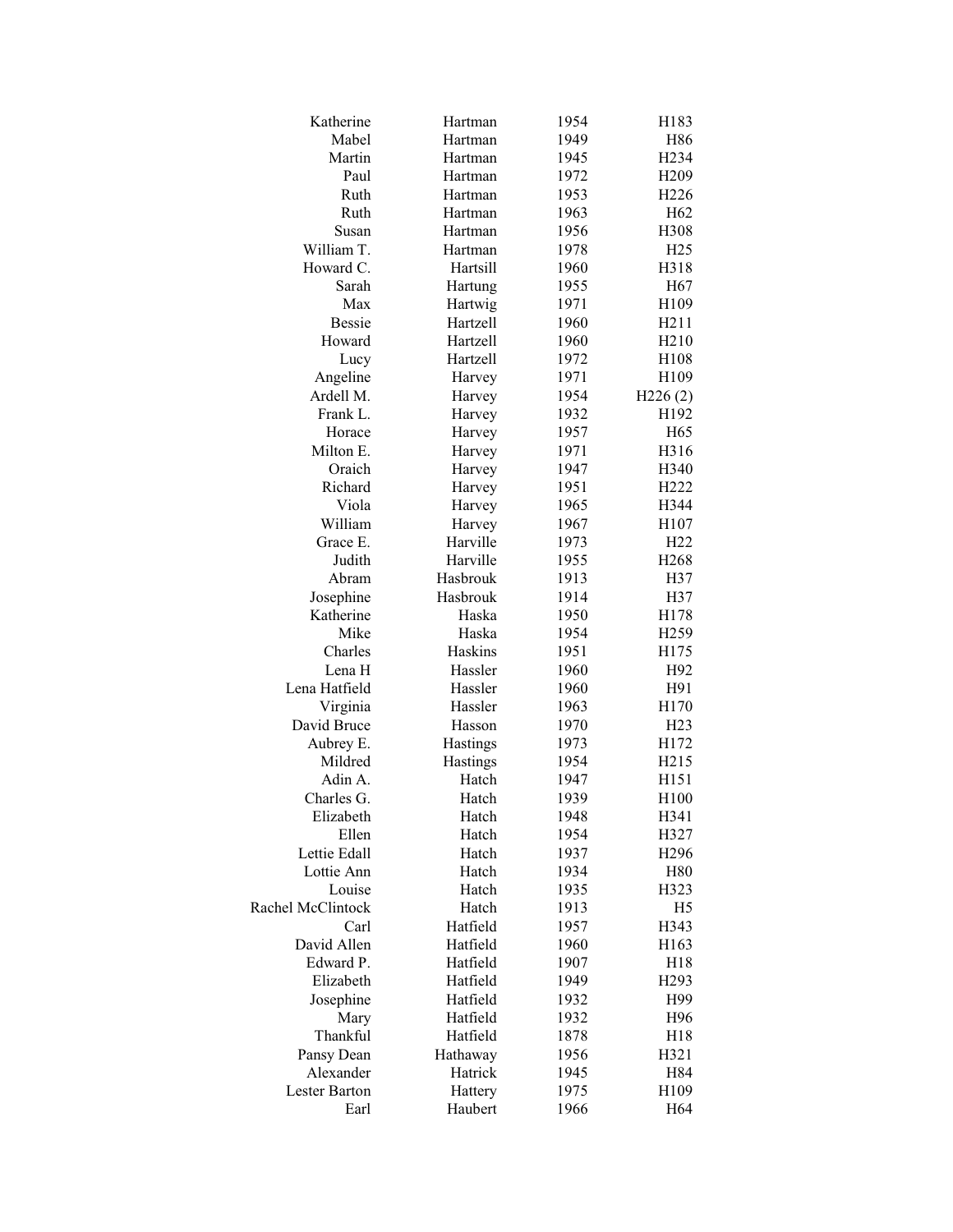| Katherine         | Hartman  | 1954 | H183              |
|-------------------|----------|------|-------------------|
| Mabel             | Hartman  | 1949 | H86               |
| Martin            | Hartman  | 1945 | H <sub>2</sub> 34 |
| Paul              | Hartman  | 1972 | H <sub>209</sub>  |
| Ruth              | Hartman  | 1953 | H <sub>226</sub>  |
| Ruth              | Hartman  | 1963 | H <sub>62</sub>   |
| Susan             | Hartman  | 1956 | H308              |
| William T.        | Hartman  | 1978 | H <sub>25</sub>   |
| Howard C.         | Hartsill | 1960 | H318              |
| Sarah             | Hartung  | 1955 | H <sub>67</sub>   |
| Max               | Hartwig  | 1971 | H109              |
| <b>Bessie</b>     | Hartzell | 1960 | H <sub>2</sub> 11 |
| Howard            | Hartzell | 1960 | H <sub>210</sub>  |
| Lucy              | Hartzell | 1972 | H108              |
| Angeline          | Harvey   | 1971 | H109              |
| Ardell M.         | Harvey   | 1954 | H226(2)           |
| Frank L.          | Harvey   | 1932 | H192              |
| Horace            | Harvey   | 1957 | H <sub>65</sub>   |
| Milton E.         | Harvey   | 1971 | H316              |
| Oraich            | Harvey   | 1947 | H340              |
| Richard           | Harvey   | 1951 | H222              |
| Viola             | Harvey   | 1965 | H344              |
| William           | Harvey   | 1967 | H107              |
| Grace E.          | Harville | 1973 | H <sub>22</sub>   |
| Judith            | Harville | 1955 | H <sub>268</sub>  |
| Abram             | Hasbrouk | 1913 | H37               |
| Josephine         | Hasbrouk | 1914 | H37               |
| Katherine         | Haska    | 1950 | H178              |
| Mike              | Haska    | 1954 | H <sub>259</sub>  |
| Charles           | Haskins  | 1951 | H175              |
| Lena H            | Hassler  | 1960 | H92               |
| Lena Hatfield     | Hassler  | 1960 | H91               |
| Virginia          | Hassler  | 1963 | H170              |
| David Bruce       | Hasson   | 1970 | H <sub>23</sub>   |
| Aubrey E.         | Hastings | 1973 | H172              |
| Mildred           | Hastings | 1954 | H <sub>2</sub> 15 |
| Adin A.           | Hatch    | 1947 | H151              |
| Charles G.        | Hatch    | 1939 | H <sub>100</sub>  |
| Elizabeth         | Hatch    | 1948 | H341              |
| Ellen             | Hatch    | 1954 | H327              |
| Lettie Edall      | Hatch    | 1937 | H <sub>296</sub>  |
| Lottie Ann        | Hatch    | 1934 | H80               |
| Louise            | Hatch    | 1935 | H323              |
| Rachel McClintock | Hatch    | 1913 | H <sub>5</sub>    |
| Carl              | Hatfield | 1957 | H343              |
| David Allen       | Hatfield | 1960 | H163              |
| Edward P.         | Hatfield | 1907 | H18               |
| Elizabeth         | Hatfield | 1949 | H <sub>293</sub>  |
| Josephine         | Hatfield | 1932 | H99               |
| Mary              | Hatfield | 1932 | H96               |
| Thankful          | Hatfield | 1878 | H18               |
| Pansy Dean        | Hathaway | 1956 | H321              |
| Alexander         | Hatrick  | 1945 | H84               |
| Lester Barton     | Hattery  | 1975 | H109              |
| Earl              | Haubert  | 1966 | H64               |
|                   |          |      |                   |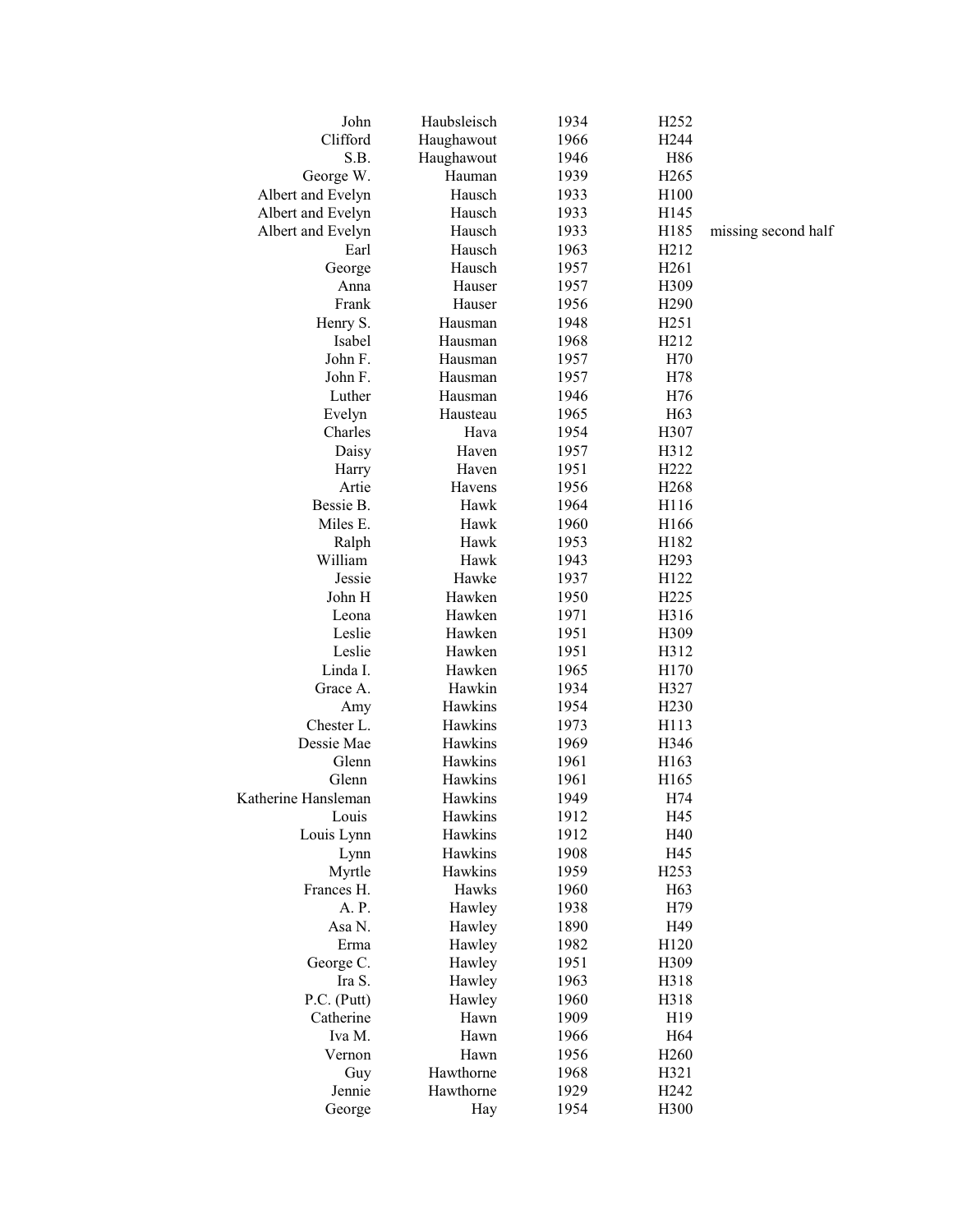| John                | Haubsleisch | 1934 | H <sub>252</sub>         |                     |
|---------------------|-------------|------|--------------------------|---------------------|
| Clifford            | Haughawout  | 1966 | H <sub>244</sub>         |                     |
| S.B.                | Haughawout  | 1946 | H86                      |                     |
| George W.           | Hauman      | 1939 | H <sub>265</sub>         |                     |
| Albert and Evelyn   | Hausch      | 1933 | H100                     |                     |
| Albert and Evelyn   | Hausch      | 1933 | H145                     |                     |
| Albert and Evelyn   | Hausch      | 1933 | H185                     | missing second half |
| Earl                | Hausch      | 1963 | H <sub>2</sub> 12        |                     |
| George              | Hausch      | 1957 | H <sub>261</sub>         |                     |
| Anna                | Hauser      | 1957 | H309                     |                     |
| Frank               | Hauser      | 1956 | H <sub>290</sub>         |                     |
| Henry S.            | Hausman     | 1948 | H <sub>251</sub>         |                     |
| Isabel              | Hausman     | 1968 | H <sub>2</sub> 12        |                     |
| John F.             | Hausman     | 1957 | H70                      |                     |
| John F.             | Hausman     | 1957 | H78                      |                     |
| Luther              | Hausman     | 1946 | H76                      |                     |
| Evelyn              | Hausteau    | 1965 | H <sub>6</sub> 3         |                     |
| Charles             | Hava        | 1954 | H307                     |                     |
| Daisy               | Haven       | 1957 | H312                     |                     |
| Harry               | Haven       | 1951 | H222                     |                     |
| Artie               | Havens      | 1956 | H <sub>268</sub>         |                     |
| Bessie B.           | Hawk        | 1964 | H116                     |                     |
| Miles E.            | Hawk        | 1960 | H166                     |                     |
|                     | Hawk        | 1953 | H182                     |                     |
| Ralph<br>William    | Hawk        | 1943 |                          |                     |
| Jessie              | Hawke       |      | H <sub>293</sub><br>H122 |                     |
|                     |             | 1937 |                          |                     |
| John H              | Hawken      | 1950 | H <sub>225</sub>         |                     |
| Leona               | Hawken      | 1971 | H316                     |                     |
| Leslie              | Hawken      | 1951 | H309                     |                     |
| Leslie              | Hawken      | 1951 | H312                     |                     |
| Linda I.            | Hawken      | 1965 | H170                     |                     |
| Grace A.            | Hawkin      | 1934 | H327                     |                     |
| Amy                 | Hawkins     | 1954 | H <sub>230</sub>         |                     |
| Chester L.          | Hawkins     | 1973 | H113                     |                     |
| Dessie Mae          | Hawkins     | 1969 | H346                     |                     |
| Glenn               | Hawkins     | 1961 | H163                     |                     |
| Glenn               | Hawkins     | 1961 | H165                     |                     |
| Katherine Hansleman | Hawkins     | 1949 | H74                      |                     |
| Louis               | Hawkins     | 1912 | H45                      |                     |
| Louis Lynn          | Hawkins     | 1912 | H40                      |                     |
| Lynn                | Hawkins     | 1908 | H45                      |                     |
| Myrtle              | Hawkins     | 1959 | H <sub>253</sub>         |                     |
| Frances H.          | Hawks       | 1960 | H <sub>63</sub>          |                     |
| A. P.               | Hawley      | 1938 | H79                      |                     |
| Asa N.              | Hawley      | 1890 | H49                      |                     |
| Erma                | Hawley      | 1982 | H120                     |                     |
| George C.           | Hawley      | 1951 | H309                     |                     |
| Ira S.              | Hawley      | 1963 | H318                     |                     |
| P.C. (Putt)         | Hawley      | 1960 | H318                     |                     |
| Catherine           | Hawn        | 1909 | H19                      |                     |
| Iva M.              | Hawn        | 1966 | H <sub>64</sub>          |                     |
| Vernon              | Hawn        | 1956 | H <sub>260</sub>         |                     |
| Guy                 | Hawthorne   | 1968 | H321                     |                     |
| Jennie              | Hawthorne   | 1929 | H <sub>242</sub>         |                     |
| George              | Hay         | 1954 | H300                     |                     |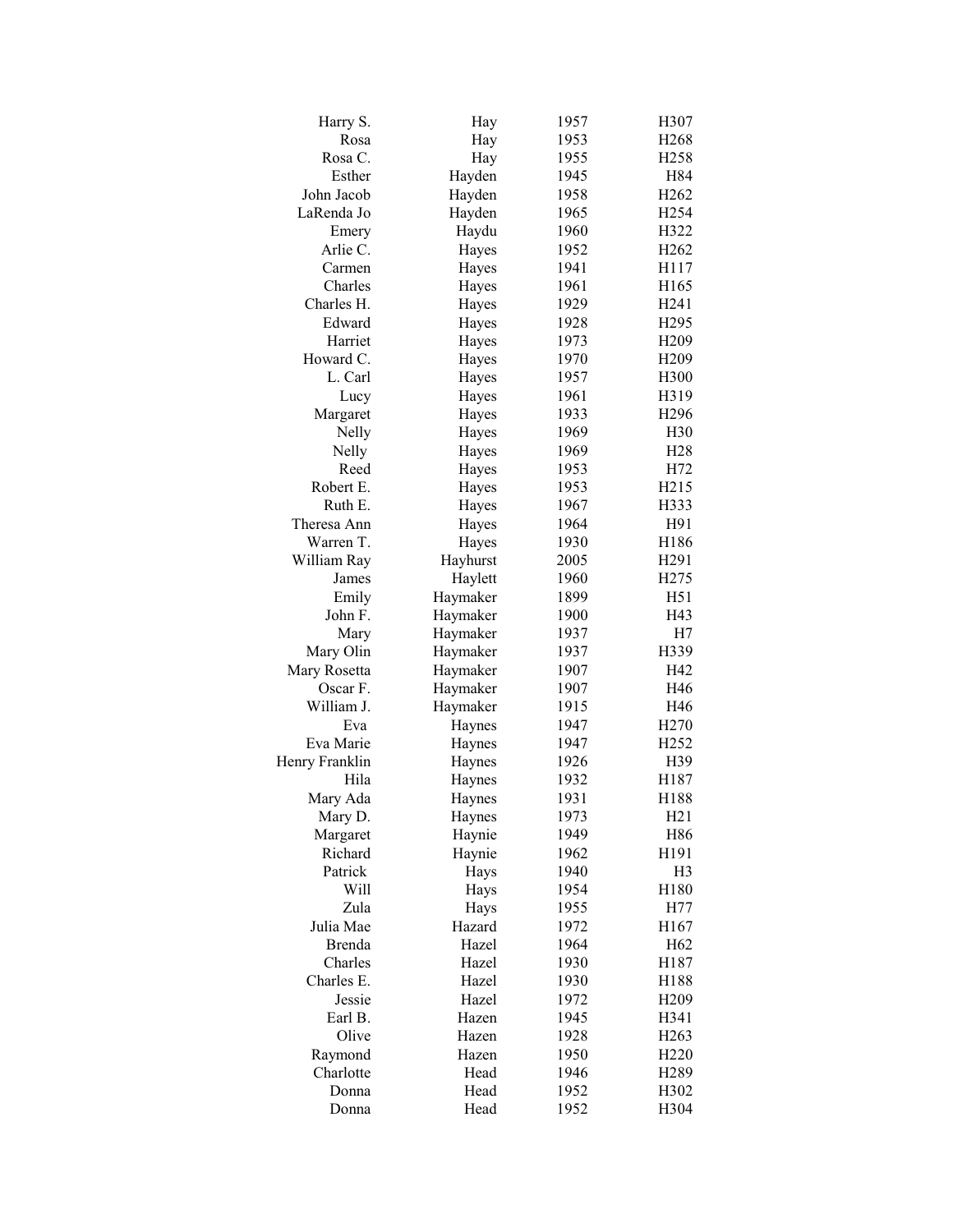| Harry S.       | Hay      | 1957 | H307              |
|----------------|----------|------|-------------------|
| Rosa           | Hay      | 1953 | H <sub>268</sub>  |
| Rosa C.        | Hay      | 1955 | H <sub>258</sub>  |
| Esther         | Hayden   | 1945 | H84               |
| John Jacob     | Hayden   | 1958 | H <sub>262</sub>  |
| LaRenda Jo     | Hayden   | 1965 | H <sub>254</sub>  |
| Emery          | Haydu    | 1960 | H322              |
| Arlie C.       | Hayes    | 1952 | H <sub>262</sub>  |
| Carmen         | Hayes    | 1941 | H117              |
| Charles        | Hayes    | 1961 | H165              |
| Charles H.     | Hayes    | 1929 | H <sub>241</sub>  |
| Edward         | Hayes    | 1928 | H <sub>295</sub>  |
| Harriet        | Hayes    | 1973 | H <sub>209</sub>  |
| Howard C.      | Hayes    | 1970 | H <sub>209</sub>  |
| L. Carl        | Hayes    | 1957 | H <sub>300</sub>  |
| Lucy           | Hayes    | 1961 | H319              |
| Margaret       | Hayes    | 1933 | H <sub>296</sub>  |
| Nelly          | Hayes    | 1969 | H <sub>30</sub>   |
| <b>Nelly</b>   | Hayes    | 1969 | H28               |
| Reed           | Hayes    | 1953 | H72               |
| Robert E.      |          | 1953 | H215              |
| Ruth E.        | Hayes    |      | H333              |
|                | Hayes    | 1967 |                   |
| Theresa Ann    | Hayes    | 1964 | H91               |
| Warren T.      | Hayes    | 1930 | H186              |
| William Ray    | Hayhurst | 2005 | H <sub>291</sub>  |
| James          | Haylett  | 1960 | H <sub>275</sub>  |
| Emily          | Haymaker | 1899 | H51               |
| John F.        | Haymaker | 1900 | H43               |
| Mary           | Haymaker | 1937 | H7                |
| Mary Olin      | Haymaker | 1937 | H339              |
| Mary Rosetta   | Haymaker | 1907 | H42               |
| Oscar F.       | Haymaker | 1907 | H46               |
| William J.     | Haymaker | 1915 | H46               |
| Eva            | Haynes   | 1947 | H <sub>270</sub>  |
| Eva Marie      | Haynes   | 1947 | H <sub>252</sub>  |
| Henry Franklin | Haynes   | 1926 | H <sub>39</sub>   |
| Hila           | Haynes   | 1932 | H187              |
| Mary Ada       | Haynes   | 1931 | H188              |
| Mary D.        | Haynes   | 1973 | H21               |
| Margaret       | Haynie   | 1949 | H86               |
| Richard        | Haynie   | 1962 | H191              |
| Patrick        | Hays     | 1940 | H <sub>3</sub>    |
| Will           | Hays     | 1954 | H180              |
| Zula           | Hays     | 1955 | H77               |
| Julia Mae      | Hazard   | 1972 | H167              |
| Brenda         | Hazel    | 1964 | H <sub>62</sub>   |
| Charles        | Hazel    | 1930 | H187              |
| Charles E.     | Hazel    | 1930 | H188              |
| Jessie         | Hazel    | 1972 | H <sub>209</sub>  |
| Earl B.        | Hazen    | 1945 | H341              |
| Olive          | Hazen    | 1928 | H <sub>263</sub>  |
| Raymond        | Hazen    | 1950 | H <sub>220</sub>  |
| Charlotte      | Head     | 1946 | H <sub>2</sub> 89 |
| Donna          | Head     | 1952 | H302              |
| Donna          | Head     | 1952 | H304              |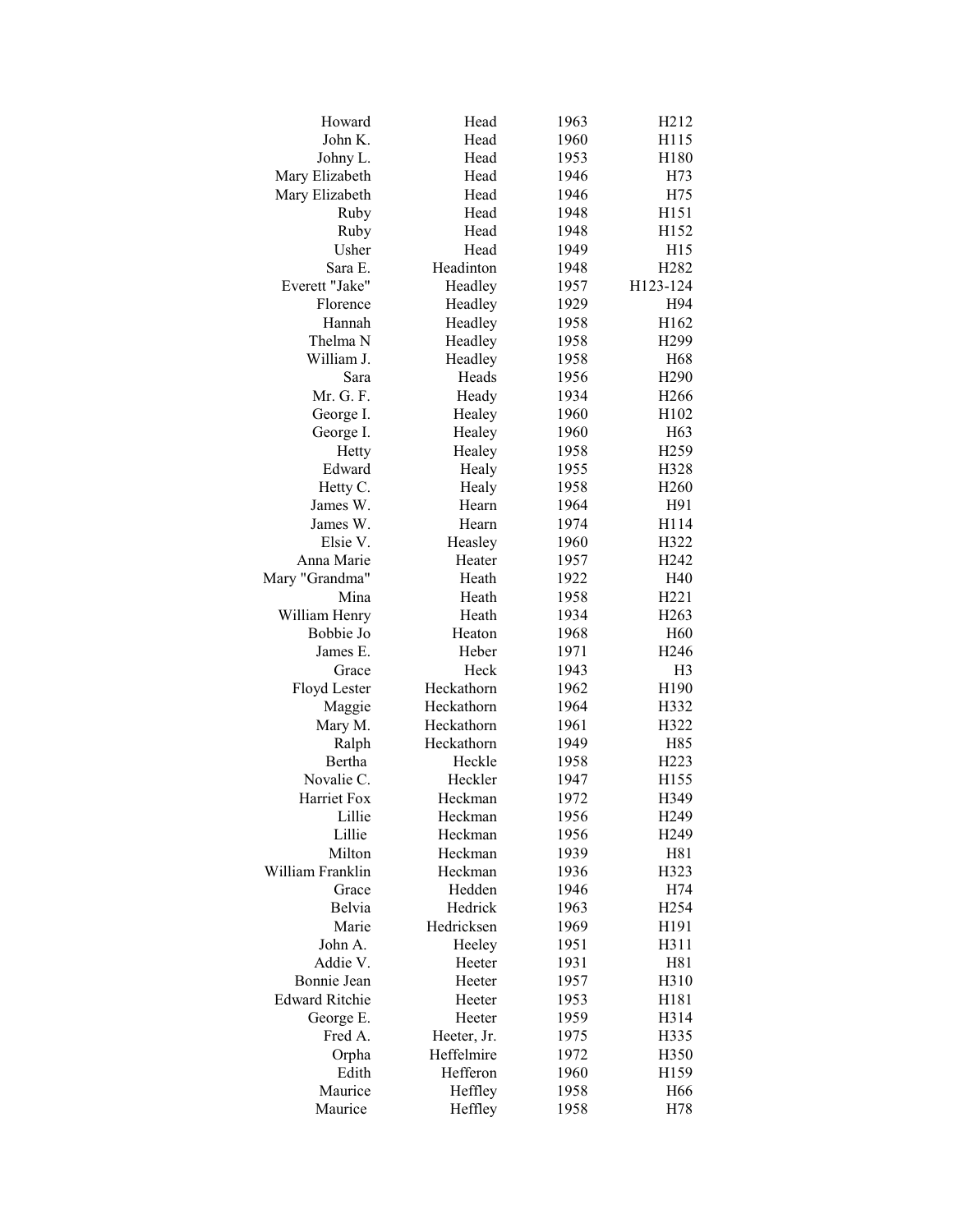| Howard                | Head        | 1963 | H212             |
|-----------------------|-------------|------|------------------|
| John K.               | Head        | 1960 | H115             |
| Johny L.              | Head        | 1953 | H180             |
| Mary Elizabeth        | Head        | 1946 | H73              |
| Mary Elizabeth        | Head        | 1946 | H75              |
| Ruby                  | Head        | 1948 | H151             |
| Ruby                  | Head        | 1948 | H152             |
| Usher                 | Head        | 1949 | H15              |
| Sara E.               | Headinton   | 1948 | H282             |
| Everett "Jake"        | Headley     | 1957 | H123-124         |
| Florence              | Headley     | 1929 | H94              |
| Hannah                | Headley     | 1958 | H162             |
| Thelma <sub>N</sub>   | Headley     | 1958 | H <sub>299</sub> |
| William J.            | Headley     | 1958 | H68              |
| Sara                  | Heads       | 1956 | H <sub>290</sub> |
| Mr. G. F.             | Heady       | 1934 | H266             |
| George I.             | Healey      | 1960 | H102             |
| George I.             | Healey      | 1960 | H63              |
| Hetty                 | Healey      | 1958 | H259             |
| Edward                | Healy       | 1955 | H328             |
| Hetty C.              | Healy       | 1958 | H <sub>260</sub> |
| James W.              | Hearn       | 1964 | H91              |
| James W.              | Hearn       | 1974 | H114             |
| Elsie V.              | Heasley     | 1960 | H322             |
| Anna Marie            | Heater      | 1957 | H242             |
| Mary "Grandma"        | Heath       | 1922 | H40              |
| Mina                  | Heath       | 1958 | H <sub>221</sub> |
| William Henry         | Heath       | 1934 | H <sub>263</sub> |
| Bobbie Jo             | Heaton      | 1968 | H <sub>60</sub>  |
| James E.              | Heber       | 1971 | H <sub>246</sub> |
| Grace                 | Heck        | 1943 | H <sub>3</sub>   |
| Floyd Lester          | Heckathorn  | 1962 | H190             |
| Maggie                | Heckathorn  | 1964 | H332             |
| Mary M.               | Heckathorn  | 1961 | H322             |
| Ralph                 | Heckathorn  | 1949 | H85              |
| Bertha                | Heckle      | 1958 | H <sub>223</sub> |
| Novalie C.            | Heckler     | 1947 | H155             |
| Harriet Fox           | Heckman     | 1972 | H349             |
| Lillie                | Heckman     | 1956 | H <sub>249</sub> |
| Lillie                | Heckman     | 1956 | H <sub>249</sub> |
| Milton                | Heckman     | 1939 | H81              |
| William Franklin      | Heckman     | 1936 | H323             |
| Grace                 | Hedden      | 1946 | H74              |
| Belvia                | Hedrick     | 1963 | H <sub>254</sub> |
| Marie                 | Hedricksen  | 1969 | H191             |
| John A.               | Heeley      | 1951 | H311             |
| Addie V.              | Heeter      | 1931 | H81              |
| Bonnie Jean           | Heeter      | 1957 | H310             |
| <b>Edward Ritchie</b> | Heeter      | 1953 | H181             |
| George E.             | Heeter      | 1959 | H314             |
| Fred A.               | Heeter, Jr. | 1975 | H335             |
| Orpha                 | Heffelmire  | 1972 | H350             |
| Edith                 | Hefferon    | 1960 | H159             |
| Maurice               | Heffley     | 1958 | H66              |
| Maurice               | Heffley     | 1958 | H78              |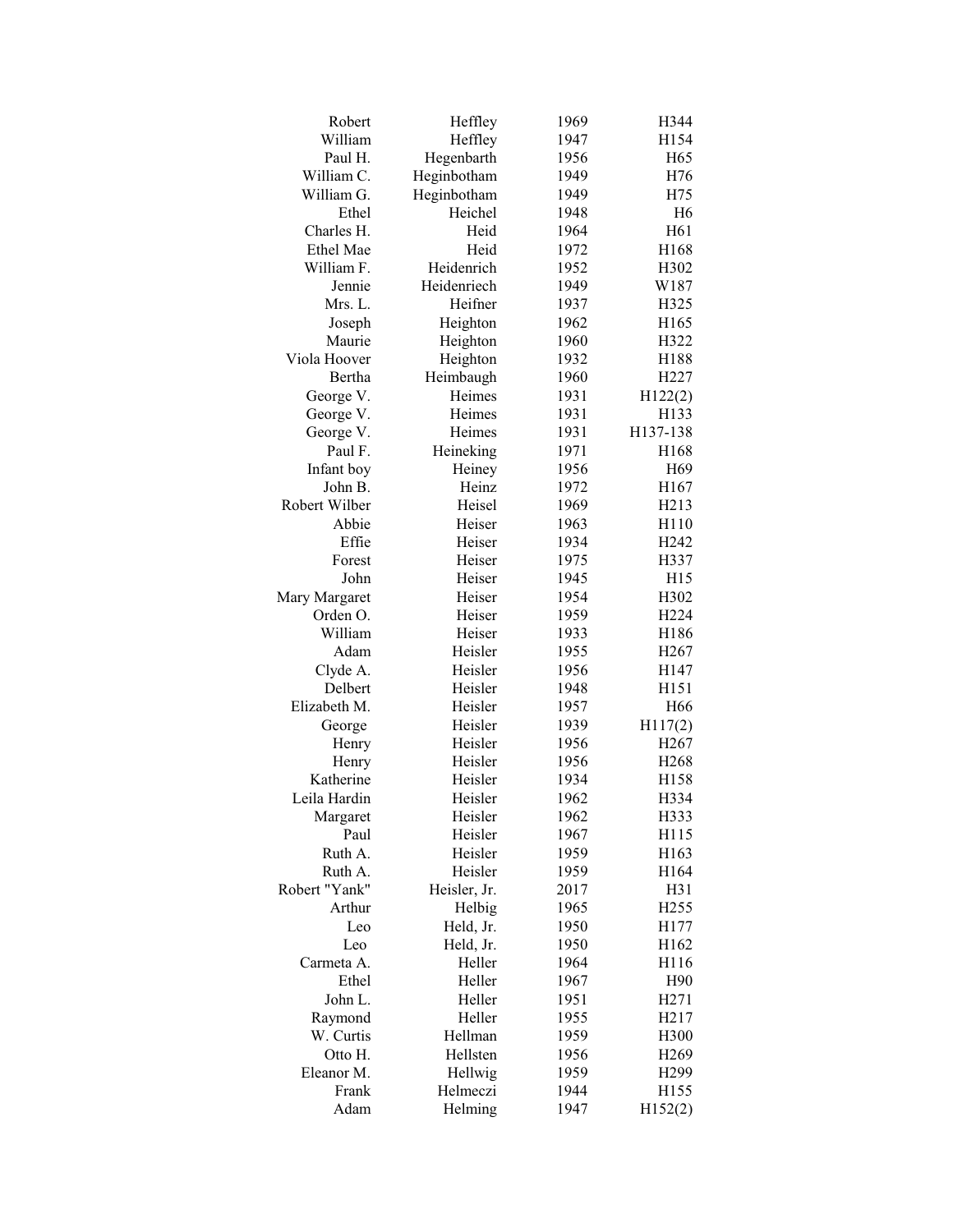| Robert        | Heffley      | 1969 | H344              |
|---------------|--------------|------|-------------------|
| William       | Heffley      | 1947 | H154              |
| Paul H.       | Hegenbarth   | 1956 | H65               |
| William C.    | Heginbotham  | 1949 | H76               |
| William G.    | Heginbotham  | 1949 | H75               |
| Ethel         | Heichel      | 1948 | H <sub>6</sub>    |
| Charles H.    | Heid         | 1964 | H <sub>61</sub>   |
| Ethel Mae     | Heid         | 1972 | H168              |
| William F.    | Heidenrich   | 1952 | H302              |
| Jennie        | Heidenriech  | 1949 | W187              |
| Mrs. L.       | Heifner      | 1937 | H325              |
| Joseph        | Heighton     | 1962 | H165              |
| Maurie        | Heighton     | 1960 | H322              |
| Viola Hoover  | Heighton     | 1932 | H188              |
| Bertha        | Heimbaugh    | 1960 | H227              |
| George V.     | Heimes       | 1931 | H122(2)           |
| George V.     | Heimes       | 1931 | H133              |
| George V.     | Heimes       | 1931 | H137-138          |
| Paul F.       | Heineking    | 1971 | H168              |
| Infant boy    | Heiney       | 1956 | H <sub>69</sub>   |
| John B.       | Heinz        | 1972 | H167              |
| Robert Wilber | Heisel       | 1969 | H <sub>2</sub> 13 |
| Abbie         | Heiser       | 1963 | H110              |
| Effie         | Heiser       | 1934 | H <sub>242</sub>  |
| Forest        | Heiser       | 1975 | H337              |
| John          | Heiser       | 1945 | H15               |
| Mary Margaret | Heiser       | 1954 | H302              |
| Orden O.      | Heiser       | 1959 | H <sub>224</sub>  |
| William       | Heiser       | 1933 | H186              |
| Adam          | Heisler      | 1955 | H <sub>267</sub>  |
| Clyde A.      | Heisler      | 1956 | H147              |
| Delbert       | Heisler      | 1948 | H151              |
| Elizabeth M.  | Heisler      | 1957 | H <sub>66</sub>   |
| George        | Heisler      | 1939 | H117(2)           |
| Henry         | Heisler      | 1956 | H <sub>267</sub>  |
| Henry         | Heisler      | 1956 | H <sub>268</sub>  |
| Katherine     | Heisler      | 1934 | H158              |
| Leila Hardin  | Heisler      | 1962 | H334              |
| Margaret      | Heisler      | 1962 | H333              |
| Paul          | Heisler      | 1967 | H115              |
| Ruth A.       | Heisler      | 1959 | H163              |
| Ruth A.       | Heisler      | 1959 | H164              |
| Robert "Yank" | Heisler, Jr. | 2017 | H31               |
| Arthur        | Helbig       | 1965 | H <sub>255</sub>  |
| Leo           | Held, Jr.    | 1950 | H177              |
| Leo           | Held, Jr.    | 1950 | H162              |
| Carmeta A.    | Heller       | 1964 | H116              |
| Ethel         | Heller       | 1967 | H90               |
| John L.       | Heller       | 1951 | H <sub>271</sub>  |
| Raymond       | Heller       | 1955 | H <sub>217</sub>  |
| W. Curtis     | Hellman      | 1959 | H300              |
| Otto H.       | Hellsten     | 1956 | H <sub>269</sub>  |
| Eleanor M.    | Hellwig      | 1959 | H <sub>299</sub>  |
| Frank         | Helmeczi     | 1944 | H155              |
| Adam          | Helming      | 1947 | H152(2)           |
|               |              |      |                   |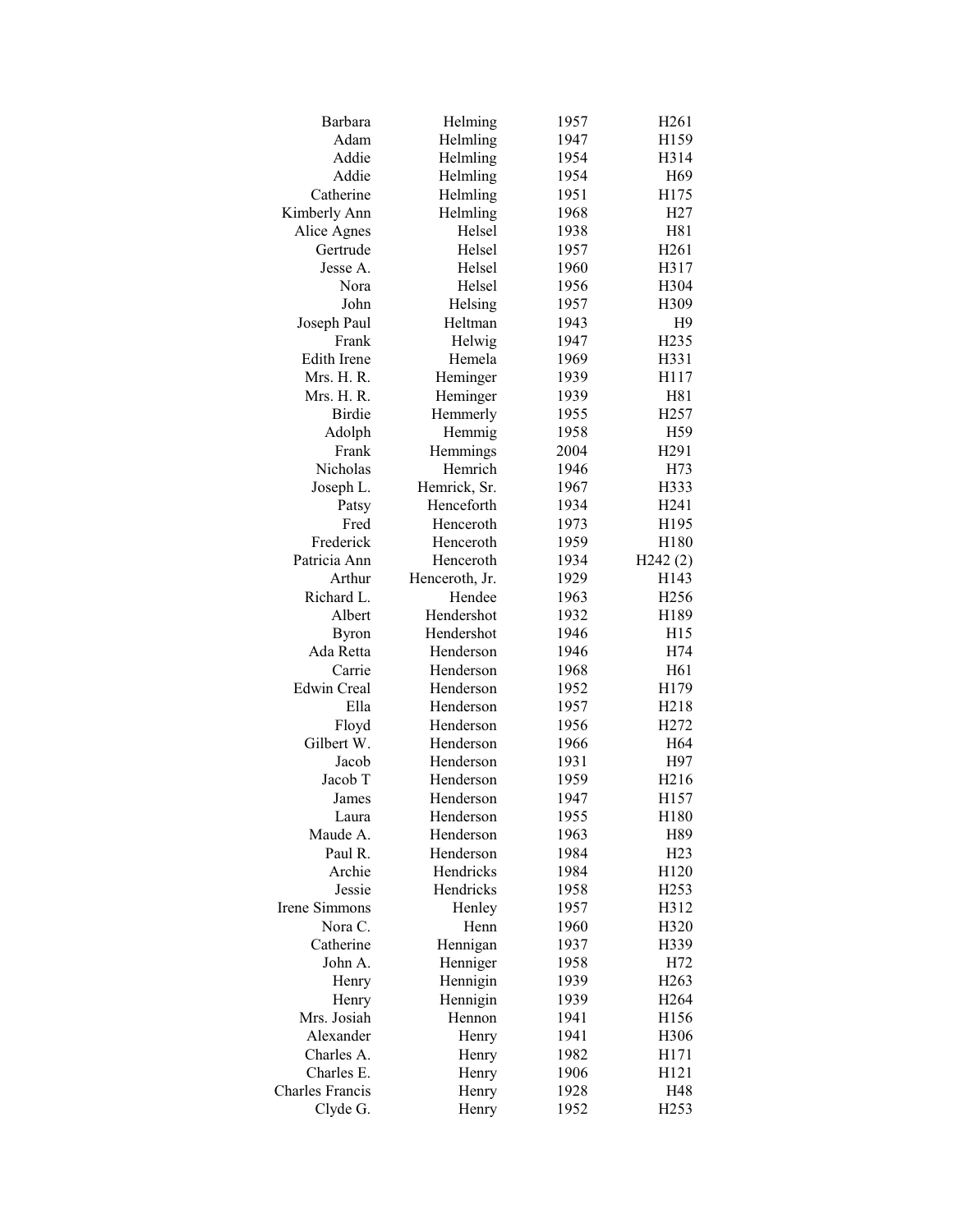| Barbara                | Helming        | 1957 | H <sub>261</sub>  |
|------------------------|----------------|------|-------------------|
| Adam                   | Helmling       | 1947 | H159              |
| Addie                  | Helmling       | 1954 | H314              |
| Addie                  | Helmling       | 1954 | H <sub>69</sub>   |
| Catherine              | Helmling       | 1951 | H175              |
| Kimberly Ann           | Helmling       | 1968 | H27               |
| Alice Agnes            | Helsel         | 1938 | H81               |
| Gertrude               | Helsel         | 1957 | H261              |
| Jesse A.               | Helsel         | 1960 | H317              |
| Nora                   | Helsel         | 1956 | H304              |
| John                   | Helsing        | 1957 | H309              |
| Joseph Paul            | Heltman        | 1943 | H <sub>9</sub>    |
| Frank                  | Helwig         | 1947 | H <sub>235</sub>  |
| Edith Irene            | Hemela         | 1969 | H331              |
| Mrs. H. R.             | Heminger       | 1939 | H117              |
| Mrs. H. R.             | Heminger       | 1939 | H81               |
| <b>Birdie</b>          | Hemmerly       | 1955 | H <sub>257</sub>  |
| Adolph                 | Hemmig         | 1958 | H59               |
| Frank                  | Hemmings       | 2004 | H <sub>291</sub>  |
| Nicholas               | Hemrich        | 1946 | H73               |
| Joseph L.              | Hemrick, Sr.   | 1967 | H333              |
| Patsy                  | Henceforth     | 1934 | H <sub>241</sub>  |
| Fred                   | Henceroth      | 1973 | H195              |
| Frederick              | Henceroth      | 1959 | H180              |
| Patricia Ann           | Henceroth      | 1934 | H242(2)           |
| Arthur                 | Henceroth, Jr. | 1929 | H143              |
| Richard L.             | Hendee         | 1963 | H <sub>256</sub>  |
| Albert                 | Hendershot     | 1932 | H189              |
| <b>Byron</b>           | Hendershot     | 1946 | H15               |
| Ada Retta              | Henderson      | 1946 | H74               |
| Carrie                 | Henderson      | 1968 | H <sub>61</sub>   |
| <b>Edwin Creal</b>     | Henderson      | 1952 | H <sub>179</sub>  |
| Ella                   | Henderson      | 1957 | H <sub>2</sub> 18 |
| Floyd                  | Henderson      | 1956 | H <sub>272</sub>  |
| Gilbert W.             | Henderson      | 1966 | H <sub>64</sub>   |
| Jacob                  | Henderson      | 1931 | H97               |
| Jacob T                | Henderson      | 1959 | H <sub>216</sub>  |
| James                  | Henderson      | 1947 | H <sub>157</sub>  |
| Laura                  | Henderson      | 1955 | H180              |
| Maude A.               | Henderson      | 1963 | H89               |
| Paul R.                | Henderson      | 1984 | H23               |
| Archie                 | Hendricks      | 1984 | H120              |
| Jessie                 | Hendricks      | 1958 | H <sub>253</sub>  |
| Irene Simmons          | Henley         | 1957 | H312              |
| Nora C.                | Henn           | 1960 | H320              |
| Catherine              | Hennigan       | 1937 | H339              |
| John A.                | Henniger       | 1958 | H72               |
| Henry                  | Hennigin       | 1939 | H <sub>263</sub>  |
| Henry                  | Hennigin       | 1939 | H <sub>264</sub>  |
| Mrs. Josiah            | Hennon         | 1941 | H156              |
| Alexander              | Henry          | 1941 | H306              |
| Charles A.             | Henry          | 1982 | H171              |
| Charles E.             | Henry          | 1906 | H121              |
| <b>Charles Francis</b> | Henry          | 1928 | H48               |
| Clyde G.               | Henry          | 1952 | H <sub>253</sub>  |
|                        |                |      |                   |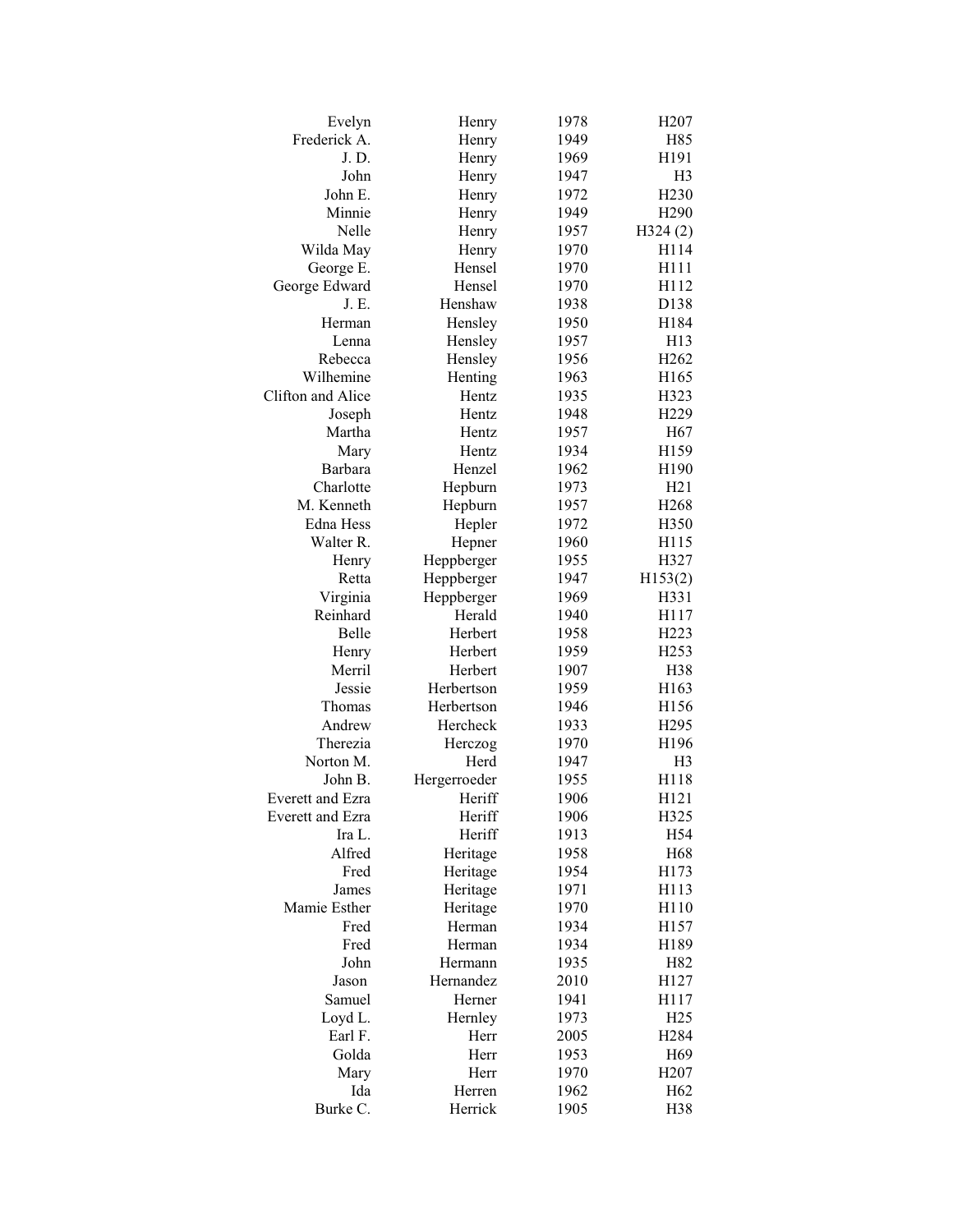| Evelyn            | Henry        | 1978 | H <sub>207</sub>  |
|-------------------|--------------|------|-------------------|
| Frederick A.      | Henry        | 1949 | H85               |
| J.D.              | Henry        | 1969 | H191              |
| John              | Henry        | 1947 | H <sub>3</sub>    |
| John E.           | Henry        | 1972 | H <sub>230</sub>  |
| Minnie            | Henry        | 1949 | H <sub>290</sub>  |
| Nelle             | Henry        | 1957 | H324(2)           |
| Wilda May         | Henry        | 1970 | H114              |
| George E.         | Hensel       | 1970 | H111              |
| George Edward     | Hensel       | 1970 | H112              |
| J. E.             | Henshaw      | 1938 | D138              |
| Herman            | Hensley      | 1950 | H184              |
| Lenna             | Hensley      | 1957 | H13               |
| Rebecca           | Hensley      | 1956 | H <sub>262</sub>  |
| Wilhemine         | Henting      | 1963 | H <sub>165</sub>  |
| Clifton and Alice | Hentz        | 1935 | H323              |
| Joseph            | Hentz        | 1948 | H <sub>229</sub>  |
| Martha            | Hentz        | 1957 | H67               |
| Mary              | Hentz        | 1934 | H159              |
| Barbara           | Henzel       | 1962 | H190              |
| Charlotte         | Hepburn      | 1973 | H21               |
| M. Kenneth        | Hepburn      | 1957 | H <sub>268</sub>  |
| Edna Hess         | Hepler       | 1972 | H350              |
| Walter R.         | Hepner       | 1960 | H115              |
|                   |              |      |                   |
| Henry             | Heppberger   | 1955 | H327              |
| Retta             | Heppberger   | 1947 | H153(2)           |
| Virginia          | Heppberger   | 1969 | H331              |
| Reinhard          | Herald       | 1940 | H117              |
| Belle             | Herbert      | 1958 | H <sub>223</sub>  |
| Henry             | Herbert      | 1959 | H <sub>253</sub>  |
| Merril            | Herbert      | 1907 | H <sub>38</sub>   |
| Jessie            | Herbertson   | 1959 | H <sub>163</sub>  |
| Thomas            | Herbertson   | 1946 | H156              |
| Andrew            | Hercheck     | 1933 | H <sub>295</sub>  |
| Therezia          | Herczog      | 1970 | H196              |
| Norton M.         | Herd         | 1947 | H <sub>3</sub>    |
| John B.           | Hergerroeder | 1955 | H118              |
| Everett and Ezra  | Heriff       | 1906 | H <sub>121</sub>  |
| Everett and Ezra  | Heriff       | 1906 | H325              |
| Ira L.            | Heriff       | 1913 | H54               |
| Alfred            | Heritage     | 1958 | H68               |
| Fred              | Heritage     | 1954 | H173              |
| James             | Heritage     | 1971 | H113              |
| Mamie Esther      | Heritage     | 1970 | H110              |
| Fred              | Herman       | 1934 | H157              |
| Fred              | Herman       | 1934 | H189              |
| John              | Hermann      | 1935 | H82               |
| Jason             | Hernandez    | 2010 | H127              |
| Samuel            | Herner       | 1941 | H117              |
| Loyd L.           | Hernley      | 1973 | H <sub>25</sub>   |
| Earl F.           | Herr         | 2005 | H <sub>2</sub> 84 |
| Golda             | Herr         | 1953 | H <sub>69</sub>   |
| Mary              | Herr         | 1970 | H <sub>207</sub>  |
| Ida               | Herren       | 1962 | H <sub>62</sub>   |
| Burke C.          | Herrick      | 1905 | H38               |
|                   |              |      |                   |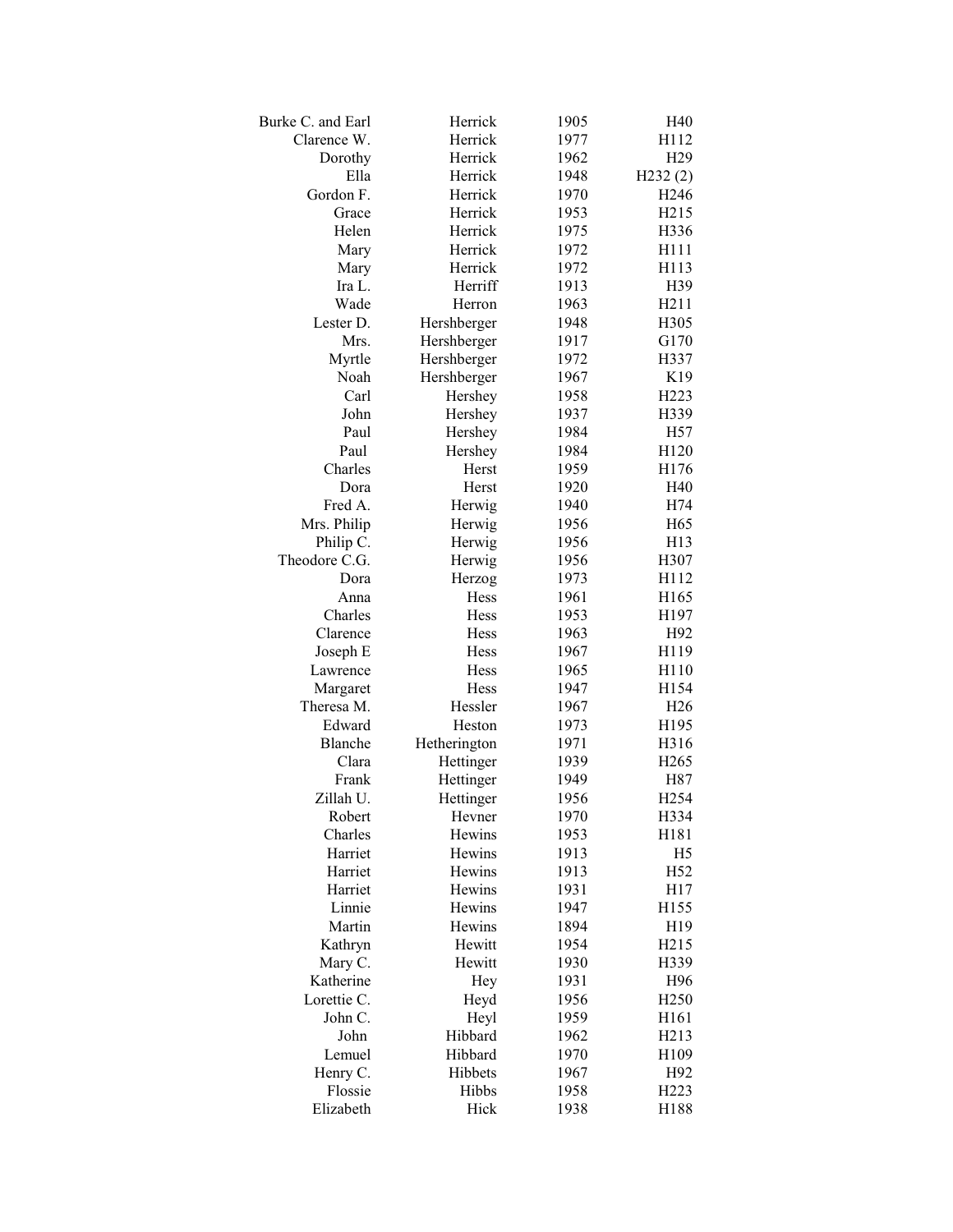| Burke C. and Earl | Herrick      | 1905 | H40               |
|-------------------|--------------|------|-------------------|
| Clarence W.       | Herrick      | 1977 | H112              |
| Dorothy           | Herrick      | 1962 | H <sub>29</sub>   |
| Ella              | Herrick      | 1948 | H232(2)           |
| Gordon F.         | Herrick      | 1970 | H <sub>246</sub>  |
| Grace             | Herrick      | 1953 | H <sub>215</sub>  |
| Helen             | Herrick      | 1975 | H336              |
| Mary              | Herrick      | 1972 | H111              |
| Mary              | Herrick      | 1972 | H113              |
| Ira L.            | Herriff      | 1913 | H39               |
| Wade              | Herron       | 1963 | H <sub>2</sub> 11 |
| Lester D.         | Hershberger  | 1948 | H305              |
| Mrs.              | Hershberger  | 1917 | G170              |
| Myrtle            | Hershberger  | 1972 | H337              |
| Noah              | Hershberger  | 1967 | K19               |
| Carl              | Hershey      | 1958 | H <sub>223</sub>  |
| John              | Hershey      | 1937 | H339              |
| Paul              | Hershey      | 1984 | H <sub>57</sub>   |
| Paul              | Hershey      | 1984 | H120              |
| Charles           | Herst        | 1959 | H176              |
| Dora              | Herst        | 1920 | H40               |
| Fred A.           | Herwig       | 1940 | H74               |
| Mrs. Philip       | Herwig       | 1956 | H <sub>65</sub>   |
| Philip C.         | Herwig       | 1956 | H13               |
| Theodore C.G.     | Herwig       | 1956 | H307              |
| Dora              | Herzog       | 1973 | H112              |
| Anna              | Hess         | 1961 | H165              |
| Charles           | Hess         | 1953 | H197              |
| Clarence          | Hess         | 1963 | H92               |
| Joseph E          | Hess         | 1967 | H119              |
| Lawrence          | Hess         | 1965 | H110              |
| Margaret          | Hess         | 1947 | H154              |
| Theresa M.        | Hessler      | 1967 | H <sub>26</sub>   |
| Edward            | Heston       | 1973 | H195              |
| Blanche           | Hetherington | 1971 | H316              |
| Clara             | Hettinger    | 1939 | H <sub>265</sub>  |
| Frank             | Hettinger    | 1949 | H87               |
| Zillah U.         | Hettinger    | 1956 | H <sub>254</sub>  |
| Robert            | Hevner       | 1970 | H334              |
| Charles           | Hewins       | 1953 | H181              |
| Harriet           | Hewins       | 1913 | H <sub>5</sub>    |
| Harriet           | Hewins       | 1913 | H52               |
| Harriet           | Hewins       | 1931 | H17               |
| Linnie            | Hewins       | 1947 | H155              |
|                   |              |      |                   |
| Martin            | Hewins       | 1894 | H19               |
| Kathryn           | Hewitt       | 1954 | H <sub>215</sub>  |
| Mary C.           | Hewitt       | 1930 | H339              |
| Katherine         | Hey          | 1931 | H96               |
| Lorettie C.       | Heyd         | 1956 | H <sub>250</sub>  |
| John C.           | Heyl         | 1959 | H161              |
| John              | Hibbard      | 1962 | H <sub>2</sub> 13 |
| Lemuel            | Hibbard      | 1970 | H <sub>109</sub>  |
| Henry C.          | Hibbets      | 1967 | H92               |
| Flossie           | Hibbs        | 1958 | H <sub>223</sub>  |
| Elizabeth         | Hick         | 1938 | H188              |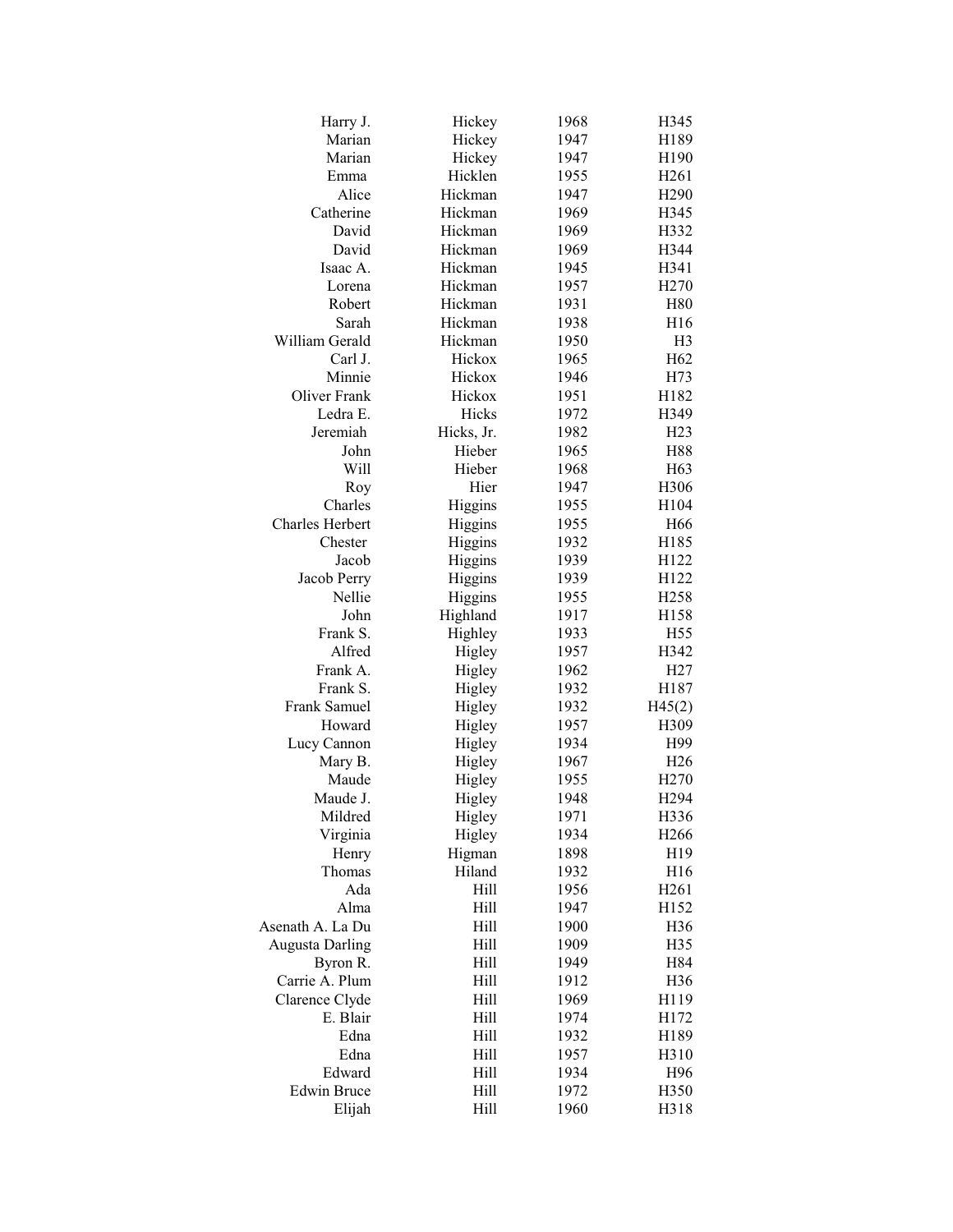| Harry J.               | Hickey      | 1968 | H345             |
|------------------------|-------------|------|------------------|
| Marian                 | Hickey      | 1947 | H189             |
| Marian                 | Hickey      | 1947 | H190             |
| Emma                   | Hicklen     | 1955 | H <sub>261</sub> |
| Alice                  | Hickman     | 1947 | H <sub>290</sub> |
| Catherine              | Hickman     | 1969 | H345             |
| David                  | Hickman     | 1969 | H332             |
| David                  | Hickman     | 1969 | H344             |
| Isaac A.               | Hickman     | 1945 | H341             |
| Lorena                 | Hickman     | 1957 | H <sub>270</sub> |
| Robert                 | Hickman     | 1931 | H80              |
| Sarah                  | Hickman     | 1938 | H16              |
| William Gerald         | Hickman     | 1950 | H <sub>3</sub>   |
| Carl J.                | Hickox      | 1965 | H <sub>62</sub>  |
| Minnie                 | Hickox      | 1946 | H73              |
| Oliver Frank           | Hickox      | 1951 | H182             |
| Ledra E.               | Hicks       | 1972 | H349             |
| Jeremiah               | Hicks, Jr.  | 1982 | H23              |
| John                   | Hieber      | 1965 | H88              |
| Will                   | Hieber      | 1968 | H63              |
| Roy                    | Hier        | 1947 | H306             |
| Charles                | Higgins     | 1955 | H104             |
| <b>Charles Herbert</b> | Higgins     | 1955 | H <sub>66</sub>  |
| Chester                | Higgins     | 1932 | H185             |
| Jacob                  | Higgins     | 1939 | H122             |
| Jacob Perry            | Higgins     | 1939 | H122             |
| Nellie                 | Higgins     | 1955 | H <sub>258</sub> |
| John                   | Highland    | 1917 | H158             |
| Frank S.               | Highley     | 1933 | H <sub>55</sub>  |
| Alfred                 | Higley      | 1957 | H342             |
| Frank A.               | Higley      | 1962 | H27              |
| Frank S.               | Higley      | 1932 | H187             |
| Frank Samuel           | Higley      | 1932 | H45(2)           |
| Howard                 | Higley      | 1957 | H309             |
| Lucy Cannon            | Higley      | 1934 | H99              |
| Mary B.                | Higley      | 1967 | H <sub>26</sub>  |
| Maude                  | Higley      | 1955 | H <sub>270</sub> |
| Maude J.               | Higley      | 1948 | H <sub>294</sub> |
| Mildred                | Higley      | 1971 | H336             |
| Virginia               | Higley      | 1934 | H <sub>266</sub> |
| Henry                  | Higman      | 1898 | H19              |
| Thomas                 | Hiland      | 1932 | H16              |
| Ada                    | <b>Hill</b> | 1956 | H261             |
| Alma                   | Hill        | 1947 | H152             |
| Asenath A. La Du       | <b>Hill</b> | 1900 | H36              |
| <b>Augusta Darling</b> | <b>Hill</b> | 1909 | H35              |
| Byron R.               | <b>Hill</b> | 1949 | H84              |
| Carrie A. Plum         | <b>Hill</b> | 1912 | H36              |
| Clarence Clyde         | <b>Hill</b> | 1969 | H119             |
| E. Blair               | <b>Hill</b> | 1974 | H172             |
| Edna                   | <b>Hill</b> | 1932 | H189             |
| Edna                   | Hill        | 1957 | H310             |
| Edward                 | Hill        | 1934 | H96              |
| <b>Edwin Bruce</b>     | Hill        | 1972 | H350             |
| Elijah                 | Hill        | 1960 | H318             |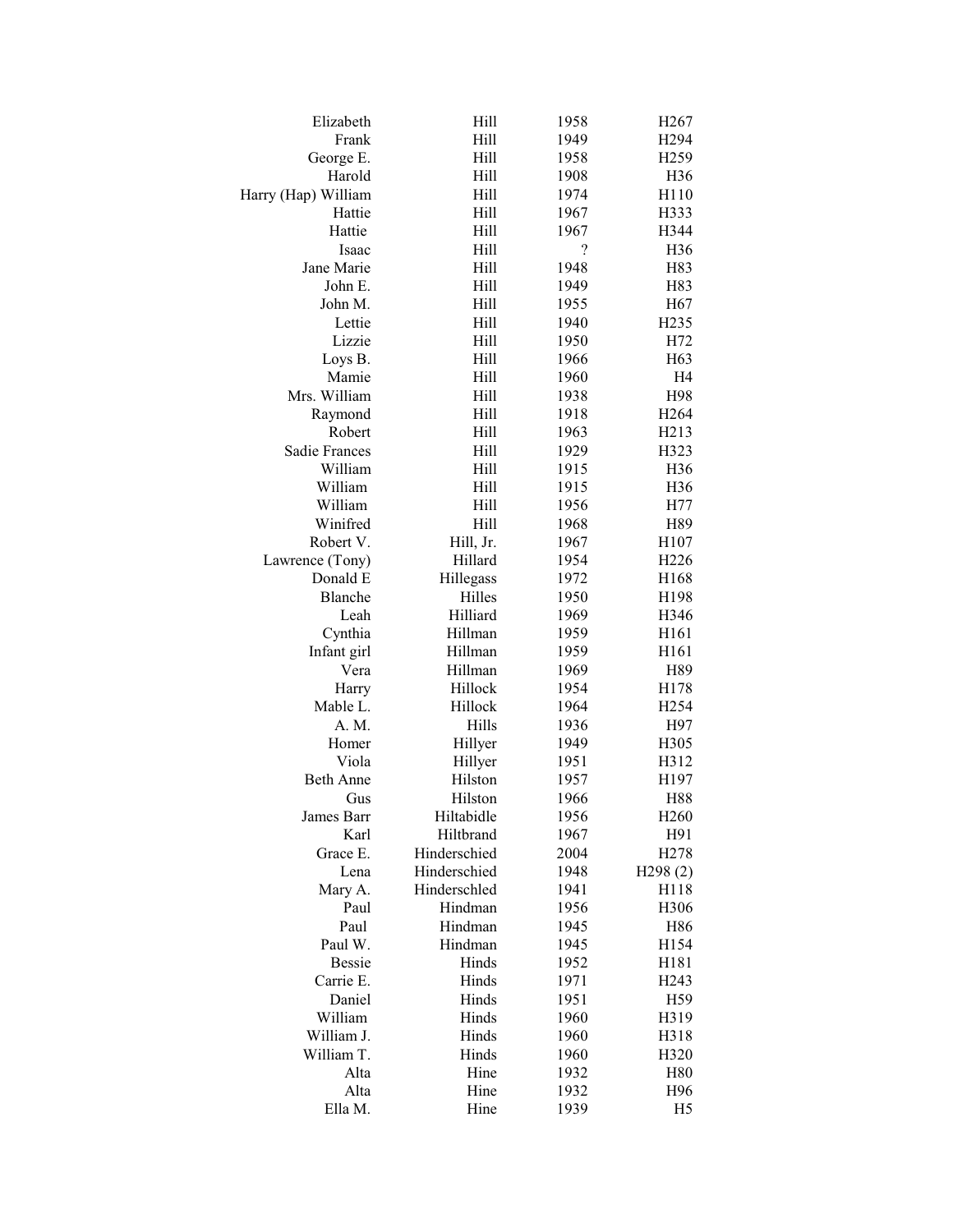| Elizabeth                   | <b>Hill</b>         | 1958 | H <sub>267</sub> |
|-----------------------------|---------------------|------|------------------|
| Frank                       | Hill                | 1949 | H <sub>294</sub> |
| George E.                   | Hill                | 1958 | H <sub>259</sub> |
| Harold                      | Hill                | 1908 | H36              |
| Harry (Hap) William         | Hill                | 1974 | H110             |
| Hattie                      | Hill                | 1967 | H333             |
| Hattie                      | <b>Hill</b>         | 1967 | H344             |
| Isaac                       | Hill                | ?    | H <sub>36</sub>  |
| Jane Marie                  | <b>Hill</b>         | 1948 | H83              |
| John E.                     | Hill                | 1949 | H83              |
| John M.                     | <b>Hill</b>         | 1955 | H67              |
| Lettie                      | Hill                | 1940 | H <sub>235</sub> |
| Lizzie                      | <b>Hill</b>         | 1950 | H72              |
| Loys B.                     | Hill                | 1966 | H63              |
| Mamie                       | Hill                | 1960 | H <sub>4</sub>   |
| Mrs. William                | Hill                | 1938 | H98              |
| Raymond                     | <b>Hill</b>         | 1918 | H <sub>264</sub> |
| Robert                      | Hill                | 1963 | H213             |
| Sadie Frances               | <b>Hill</b>         | 1929 | H323             |
| William                     | <b>Hill</b>         | 1915 | H <sub>36</sub>  |
| William                     | Hill                | 1915 | H36              |
| William                     | Hill                | 1956 | H77              |
| Winifred                    | Hill                | 1968 | H89              |
| Robert V.                   | Hill, Jr.           | 1967 | H107             |
|                             | Hillard             | 1954 | H <sub>226</sub> |
| Lawrence (Tony)<br>Donald E |                     | 1972 | H168             |
| <b>Blanche</b>              | Hillegass<br>Hilles | 1950 | H198             |
|                             | Hilliard            |      |                  |
| Leah                        |                     | 1969 | H346             |
| Cynthia<br>Infant girl      | Hillman             | 1959 | H <sub>161</sub> |
|                             | Hillman<br>Hillman  | 1959 | H <sub>161</sub> |
| Vera                        | Hillock             | 1969 | H89<br>H178      |
| Harry<br>Mable L.           |                     | 1954 |                  |
|                             | Hillock             | 1964 | H <sub>254</sub> |
| A. M.                       | Hills               | 1936 | H97              |
| Homer                       | Hillyer             | 1949 | H305             |
| Viola                       | Hillyer             | 1951 | H312             |
| <b>Beth Anne</b>            | Hilston             | 1957 | H197             |
| Gus                         | Hilston             | 1966 | H88              |
| James Barr                  | Hiltabidle          | 1956 | H <sub>260</sub> |
| Karl                        | Hiltbrand           | 1967 | H91              |
| Grace E.                    | Hinderschied        | 2004 | H <sub>278</sub> |
| Lena                        | Hinderschied        | 1948 | H298(2)          |
| Mary A.                     | Hinderschled        | 1941 | H118             |
| Paul                        | Hindman             | 1956 | H306             |
| Paul                        | Hindman             | 1945 | H86              |
| Paul W.                     | Hindman             | 1945 | H154             |
| <b>Bessie</b>               | Hinds               | 1952 | H181             |
| Carrie E.                   | Hinds               | 1971 | H <sub>243</sub> |
| Daniel                      | Hinds               | 1951 | H59              |
| William                     | Hinds               | 1960 | H319             |
| William J.                  | Hinds               | 1960 | H318             |
| William T.                  | Hinds               | 1960 | H320             |
| Alta                        | Hine                | 1932 | H80              |
| Alta                        | Hine                | 1932 | H <sub>96</sub>  |
| Ella M.                     | Hine                | 1939 | H <sub>5</sub>   |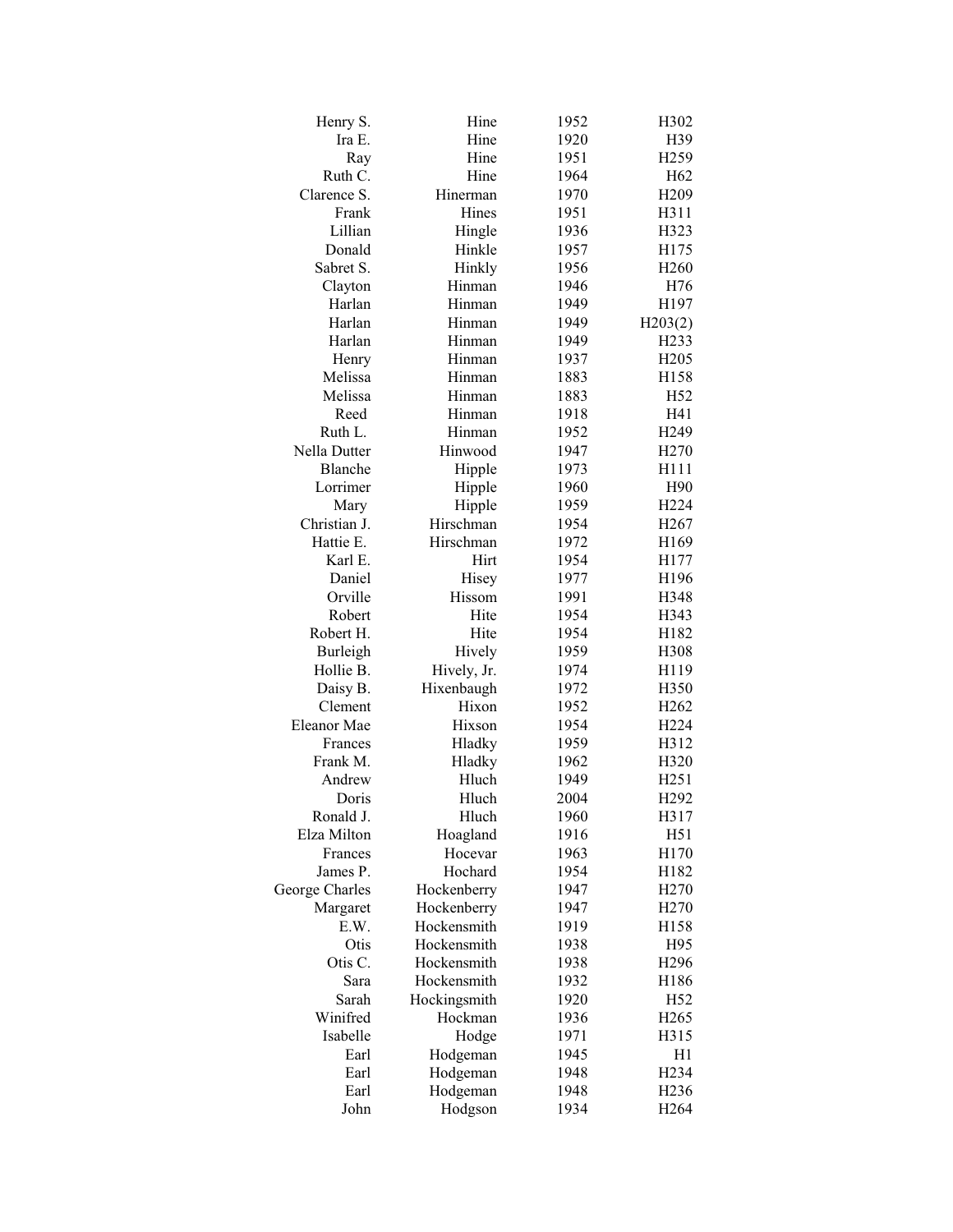| Henry S.              | Hine                | 1952 | H302              |
|-----------------------|---------------------|------|-------------------|
| Ira E.                | Hine                | 1920 | H39               |
| Ray                   | Hine                | 1951 | H <sub>259</sub>  |
| Ruth C.               | Hine                | 1964 | H <sub>62</sub>   |
| Clarence S.           | Hinerman            | 1970 | H <sub>209</sub>  |
| Frank                 | Hines               | 1951 | H311              |
| Lillian               | Hingle              | 1936 | H323              |
| Donald                | Hinkle              | 1957 | H175              |
| Sabret S.             | Hinkly              | 1956 | H <sub>260</sub>  |
| Clayton               | Hinman              | 1946 | H76               |
| Harlan                | Hinman              | 1949 | H197              |
| Harlan                | Hinman              | 1949 | H203(2)           |
| Harlan                | Hinman              | 1949 | H233              |
| Henry                 | Hinman              | 1937 | H <sub>205</sub>  |
| Melissa               | Hinman              | 1883 | H158              |
| Melissa               | Hinman              | 1883 | H <sub>52</sub>   |
| Reed                  | Hinman              | 1918 | H41               |
| Ruth L.               | Hinman              | 1952 | H <sub>249</sub>  |
| Nella Dutter          | Hinwood             | 1947 | H <sub>270</sub>  |
| <b>Blanche</b>        | Hipple              | 1973 | H111              |
| Lorrimer              | Hipple              | 1960 | H90               |
| Mary                  | Hipple              | 1959 | H224              |
| Christian J.          | Hirschman           | 1954 | H267              |
| Hattie E.             | Hirschman           | 1972 | H169              |
| Karl E.               | Hirt                | 1954 | H177              |
| Daniel                |                     | 1977 | H196              |
| Orville               | Hisey<br>Hissom     | 1991 | H348              |
| Robert                | Hite                | 1954 |                   |
| Robert H.             | Hite                |      | H343              |
|                       |                     | 1954 | H182              |
| Burleigh<br>Hollie B. | Hively              | 1959 | H308              |
|                       | Hively, Jr.         | 1974 | H119              |
| Daisy B.<br>Clement   | Hixenbaugh<br>Hixon | 1972 | H350              |
| <b>Eleanor</b> Mae    |                     | 1952 | H <sub>262</sub>  |
|                       | Hixson              | 1954 | H224              |
| Frances               | Hladky              | 1959 | H312              |
| Frank M.              | Hladky              | 1962 | H320              |
| Andrew                | Hluch               | 1949 | H <sub>251</sub>  |
| Doris                 | Hluch               | 2004 | H <sub>292</sub>  |
| Ronald J.             | Hluch               | 1960 | H317              |
| Elza Milton           | Hoagland            | 1916 | H51               |
| Frances               | Hocevar             | 1963 | H170              |
| James P.              | Hochard             | 1954 | H182              |
| George Charles        | Hockenberry         | 1947 | H <sub>270</sub>  |
| Margaret              | Hockenberry         | 1947 | H <sub>270</sub>  |
| E.W.                  | Hockensmith         | 1919 | H158              |
| Otis                  | Hockensmith         | 1938 | H95               |
| Otis C.               | Hockensmith         | 1938 | H <sub>296</sub>  |
| Sara                  | Hockensmith         | 1932 | H186              |
| Sarah                 | Hockingsmith        | 1920 | H52               |
| Winifred              | Hockman             | 1936 | H <sub>265</sub>  |
| Isabelle              | Hodge               | 1971 | H315              |
| Earl                  | Hodgeman            | 1945 | H1                |
| Earl                  | Hodgeman            | 1948 | H <sub>2</sub> 34 |
| Earl                  | Hodgeman            | 1948 | H <sub>236</sub>  |
| John                  | Hodgson             | 1934 | H <sub>264</sub>  |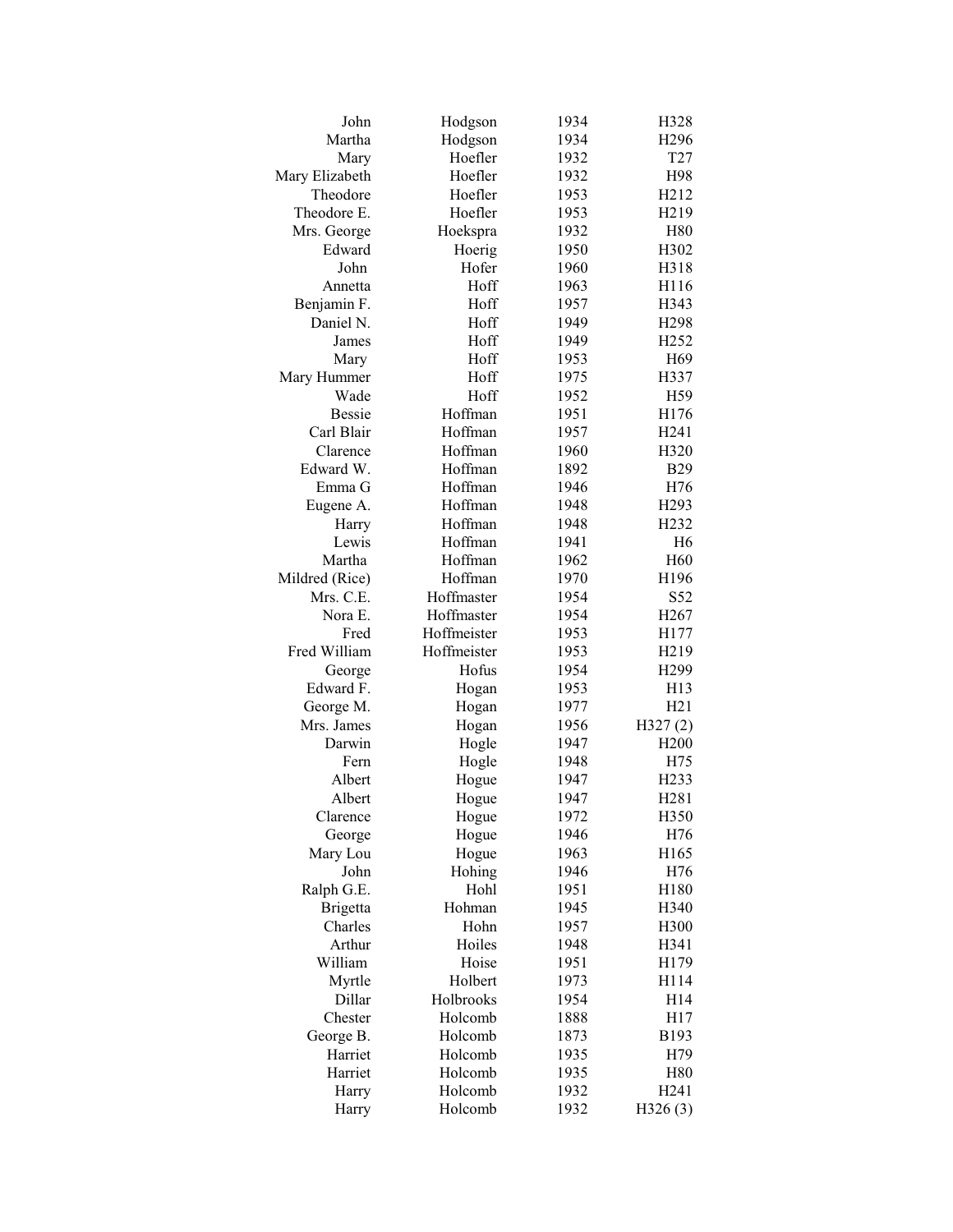| John           | Hodgson     | 1934 | H328              |
|----------------|-------------|------|-------------------|
| Martha         | Hodgson     | 1934 | H <sub>296</sub>  |
| Mary           | Hoefler     | 1932 | T27               |
| Mary Elizabeth | Hoefler     | 1932 | H98               |
| Theodore       | Hoefler     | 1953 | H212              |
| Theodore E.    | Hoefler     | 1953 | H219              |
| Mrs. George    | Hoekspra    | 1932 | H80               |
| Edward         | Hoerig      | 1950 | H302              |
| John           | Hofer       | 1960 | H318              |
| Annetta        | Hoff        | 1963 | H116              |
| Benjamin F.    | Hoff        | 1957 | H343              |
| Daniel N.      | Hoff        | 1949 | H <sub>298</sub>  |
| James          | Hoff        | 1949 | H <sub>252</sub>  |
| Mary           | Hoff        | 1953 | H <sub>69</sub>   |
| Mary Hummer    | Hoff        | 1975 | H337              |
| Wade           | Hoff        | 1952 | H59               |
| <b>Bessie</b>  | Hoffman     | 1951 | H176              |
| Carl Blair     | Hoffman     | 1957 | H <sub>241</sub>  |
| Clarence       | Hoffman     | 1960 | H320              |
| Edward W.      | Hoffman     | 1892 | <b>B29</b>        |
| Emma G         | Hoffman     | 1946 | H76               |
|                |             |      |                   |
| Eugene A.      | Hoffman     | 1948 | H <sub>293</sub>  |
| Harry          | Hoffman     | 1948 | H232              |
| Lewis          | Hoffman     | 1941 | H <sub>6</sub>    |
| Martha         | Hoffman     | 1962 | H <sub>60</sub>   |
| Mildred (Rice) | Hoffman     | 1970 | H196              |
| Mrs. C.E.      | Hoffmaster  | 1954 | S <sub>52</sub>   |
| Nora E.        | Hoffmaster  | 1954 | H <sub>267</sub>  |
| Fred           | Hoffmeister | 1953 | H177              |
| Fred William   | Hoffmeister | 1953 | H <sub>2</sub> 19 |
| George         | Hofus       | 1954 | H <sub>299</sub>  |
| Edward F.      | Hogan       | 1953 | H13               |
| George M.      | Hogan       | 1977 | H21               |
| Mrs. James     | Hogan       | 1956 | H327(2)           |
| Darwin         | Hogle       | 1947 | H <sub>200</sub>  |
| Fern           | Hogle       | 1948 | H75               |
| Albert         | Hogue       | 1947 | H <sub>2</sub> 33 |
| Albert         | Hogue       | 1947 | H <sub>281</sub>  |
| Clarence       | Hogue       | 1972 | H350              |
| George         | Hogue       | 1946 | H76               |
| Mary Lou       | Hogue       | 1963 | H165              |
| John           | Hohing      | 1946 | H76               |
| Ralph G.E.     | Hohl        | 1951 | H180              |
| Brigetta       | Hohman      | 1945 | H340              |
| Charles        | Hohn        | 1957 | H300              |
| Arthur         | Hoiles      | 1948 | H341              |
| William        | Hoise       | 1951 | H179              |
| Myrtle         | Holbert     | 1973 | H114              |
| Dillar         | Holbrooks   | 1954 | H14               |
| Chester        | Holcomb     | 1888 | H17               |
| George B.      | Holcomb     | 1873 | B193              |
| Harriet        | Holcomb     | 1935 | H79               |
| Harriet        | Holcomb     | 1935 | H80               |
| Harry          | Holcomb     | 1932 | H <sub>241</sub>  |
| Harry          | Holcomb     | 1932 | H326(3)           |
|                |             |      |                   |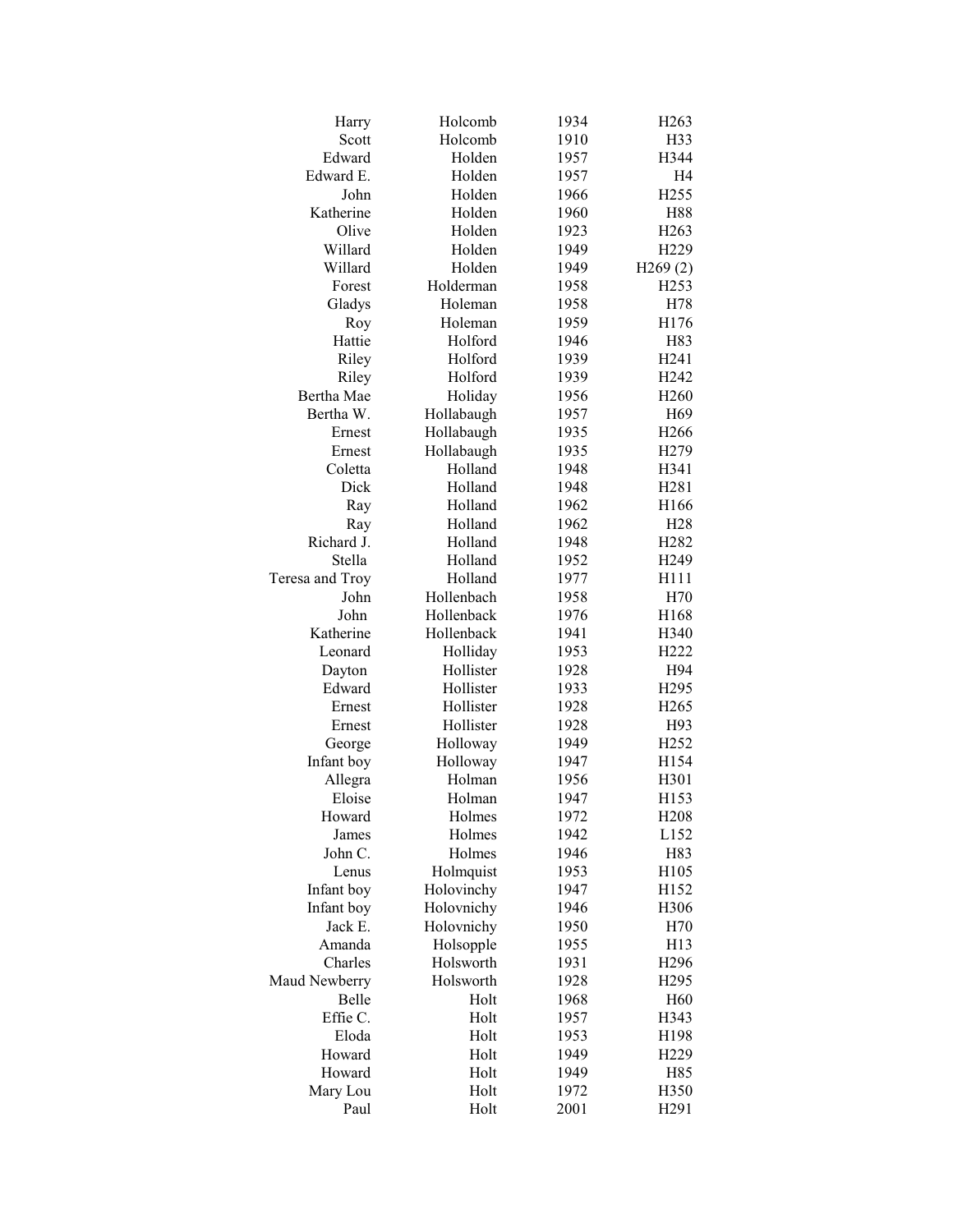| Harry                   | Holcomb    | 1934 | H <sub>263</sub>         |
|-------------------------|------------|------|--------------------------|
| Scott                   | Holcomb    | 1910 | H33                      |
| Edward                  | Holden     | 1957 | H344                     |
| Edward E.               | Holden     | 1957 | H <sub>4</sub>           |
| John                    | Holden     | 1966 | H <sub>255</sub>         |
| Katherine               | Holden     | 1960 | H88                      |
| Olive                   | Holden     | 1923 | H <sub>263</sub>         |
| Willard                 | Holden     | 1949 | H229                     |
| Willard                 | Holden     | 1949 | H269(2)                  |
| Forest                  | Holderman  | 1958 | H <sub>253</sub>         |
| Gladys                  | Holeman    | 1958 | H78                      |
| Roy                     | Holeman    | 1959 | H176                     |
| Hattie                  | Holford    | 1946 | H83                      |
| Riley                   | Holford    | 1939 | H <sub>241</sub>         |
| Riley                   | Holford    | 1939 | H <sub>242</sub>         |
| Bertha Mae              | Holiday    | 1956 | H <sub>260</sub>         |
| Bertha W.               | Hollabaugh | 1957 | H <sub>69</sub>          |
| Ernest                  | Hollabaugh | 1935 | H <sub>266</sub>         |
| Ernest                  | Hollabaugh | 1935 | H <sub>279</sub>         |
| Coletta                 | Holland    | 1948 | H341                     |
| Dick                    | Holland    | 1948 | H281                     |
| Ray                     | Holland    | 1962 | H166                     |
| Ray                     | Holland    | 1962 | H <sub>28</sub>          |
| Richard J.              | Holland    | 1948 | H <sub>2</sub> 82        |
| Stella                  | Holland    |      |                          |
|                         | Holland    | 1952 | H <sub>249</sub><br>H111 |
| Teresa and Troy<br>John | Hollenbach | 1977 |                          |
|                         |            | 1958 | H70                      |
| John                    | Hollenback | 1976 | H168                     |
| Katherine               | Hollenback | 1941 | H340                     |
| Leonard                 | Holliday   | 1953 | H222                     |
| Dayton                  | Hollister  | 1928 | H94                      |
| Edward                  | Hollister  | 1933 | H <sub>295</sub>         |
| Ernest                  | Hollister  | 1928 | H <sub>265</sub>         |
| Ernest                  | Hollister  | 1928 | H93                      |
| George                  | Holloway   | 1949 | H <sub>252</sub>         |
| Infant boy              | Holloway   | 1947 | H154                     |
| Allegra                 | Holman     | 1956 | H <sub>301</sub>         |
| Eloise                  | Holman     | 1947 | H <sub>153</sub>         |
| Howard                  | Holmes     | 1972 | H <sub>208</sub>         |
| James                   | Holmes     | 1942 | L152                     |
| John C.                 | Holmes     | 1946 | H83                      |
| Lenus                   | Holmquist  | 1953 | H105                     |
| Infant boy              | Holovinchy | 1947 | H152                     |
| Infant boy              | Holovnichy | 1946 | H306                     |
| Jack E.                 | Holovnichy | 1950 | H70                      |
| Amanda                  | Holsopple  | 1955 | H13                      |
| Charles                 | Holsworth  | 1931 | H <sub>296</sub>         |
| Maud Newberry           | Holsworth  | 1928 | H <sub>295</sub>         |
| Belle                   | Holt       | 1968 | H <sub>60</sub>          |
| Effie C.                | Holt       | 1957 | H343                     |
| Eloda                   | Holt       | 1953 | H198                     |
| Howard                  | Holt       | 1949 | H <sub>229</sub>         |
| Howard                  | Holt       | 1949 | H85                      |
| Mary Lou                | Holt       | 1972 | H350                     |
| Paul                    | Holt       | 2001 | H <sub>291</sub>         |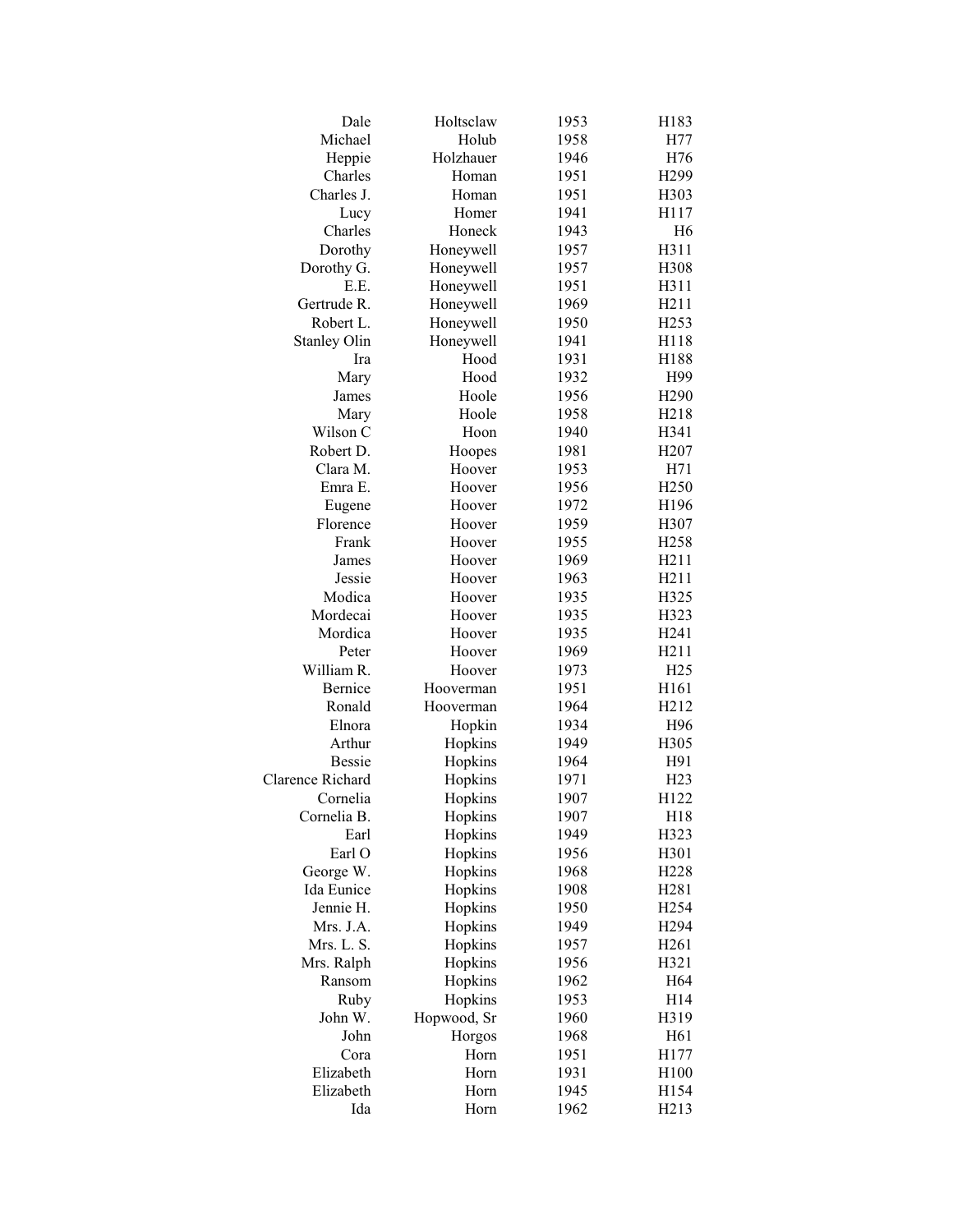| Dale                | Holtsclaw   | 1953 | H183              |
|---------------------|-------------|------|-------------------|
| Michael             | Holub       | 1958 | H77               |
| Heppie              | Holzhauer   | 1946 | H76               |
| Charles             | Homan       | 1951 | H <sub>299</sub>  |
| Charles J.          | Homan       | 1951 | H303              |
| Lucy                | Homer       | 1941 | H117              |
| Charles             | Honeck      | 1943 | H <sub>6</sub>    |
| Dorothy             | Honeywell   | 1957 | H311              |
| Dorothy G.          | Honeywell   | 1957 | H308              |
| E.E.                | Honeywell   | 1951 | H311              |
| Gertrude R.         | Honeywell   | 1969 | H <sub>2</sub> 11 |
| Robert L.           | Honeywell   | 1950 | H <sub>253</sub>  |
| <b>Stanley Olin</b> | Honeywell   | 1941 | H118              |
| Ira                 | Hood        | 1931 | H188              |
| Mary                | Hood        | 1932 | H99               |
| James               | Hoole       | 1956 | H <sub>290</sub>  |
| Mary                | Hoole       | 1958 | H <sub>2</sub> 18 |
| Wilson C            | Hoon        | 1940 | H341              |
| Robert D.           | Hoopes      | 1981 | H <sub>207</sub>  |
| Clara M.            | Hoover      | 1953 | H71               |
| Emra E.             | Hoover      | 1956 | H <sub>250</sub>  |
| Eugene              | Hoover      | 1972 | H196              |
| Florence            | Hoover      | 1959 | H307              |
| Frank               | Hoover      | 1955 | H <sub>258</sub>  |
| James               | Hoover      | 1969 | H211              |
| Jessie              | Hoover      | 1963 | H <sub>211</sub>  |
| Modica              | Hoover      | 1935 | H325              |
| Mordecai            | Hoover      | 1935 | H323              |
| Mordica             | Hoover      | 1935 | H <sub>241</sub>  |
| Peter               | Hoover      | 1969 | H <sub>2</sub> 11 |
| William R.          | Hoover      | 1973 | H <sub>25</sub>   |
| Bernice             | Hooverman   | 1951 | H <sub>161</sub>  |
| Ronald              | Hooverman   | 1964 | H <sub>2</sub> 12 |
| Elnora              | Hopkin      | 1934 | H96               |
| Arthur              | Hopkins     | 1949 | H305              |
| <b>Bessie</b>       | Hopkins     | 1964 | H91               |
| Clarence Richard    | Hopkins     | 1971 | H <sub>23</sub>   |
| Cornelia            | Hopkins     | 1907 | H122              |
| Cornelia B.         | Hopkins     | 1907 | H18               |
| Earl                | Hopkins     | 1949 | H323              |
| Earl O              | Hopkins     | 1956 | H301              |
| George W.           | Hopkins     | 1968 | H <sub>228</sub>  |
| Ida Eunice          | Hopkins     | 1908 | H <sub>2</sub> 81 |
| Jennie H.           | Hopkins     | 1950 | H <sub>254</sub>  |
| Mrs. J.A.           | Hopkins     | 1949 | H <sub>294</sub>  |
| Mrs. L. S.          | Hopkins     | 1957 | H <sub>261</sub>  |
| Mrs. Ralph          | Hopkins     | 1956 | H321              |
| Ransom              | Hopkins     | 1962 | H64               |
| Ruby                | Hopkins     | 1953 | H14               |
| John W.             | Hopwood, Sr | 1960 | H319              |
| John                | Horgos      | 1968 | H61               |
| Cora                | Horn        | 1951 | H177              |
| Elizabeth           | Horn        | 1931 | H <sub>100</sub>  |
| Elizabeth           | Horn        | 1945 | H154              |
| Ida                 | Horn        | 1962 | H213              |
|                     |             |      |                   |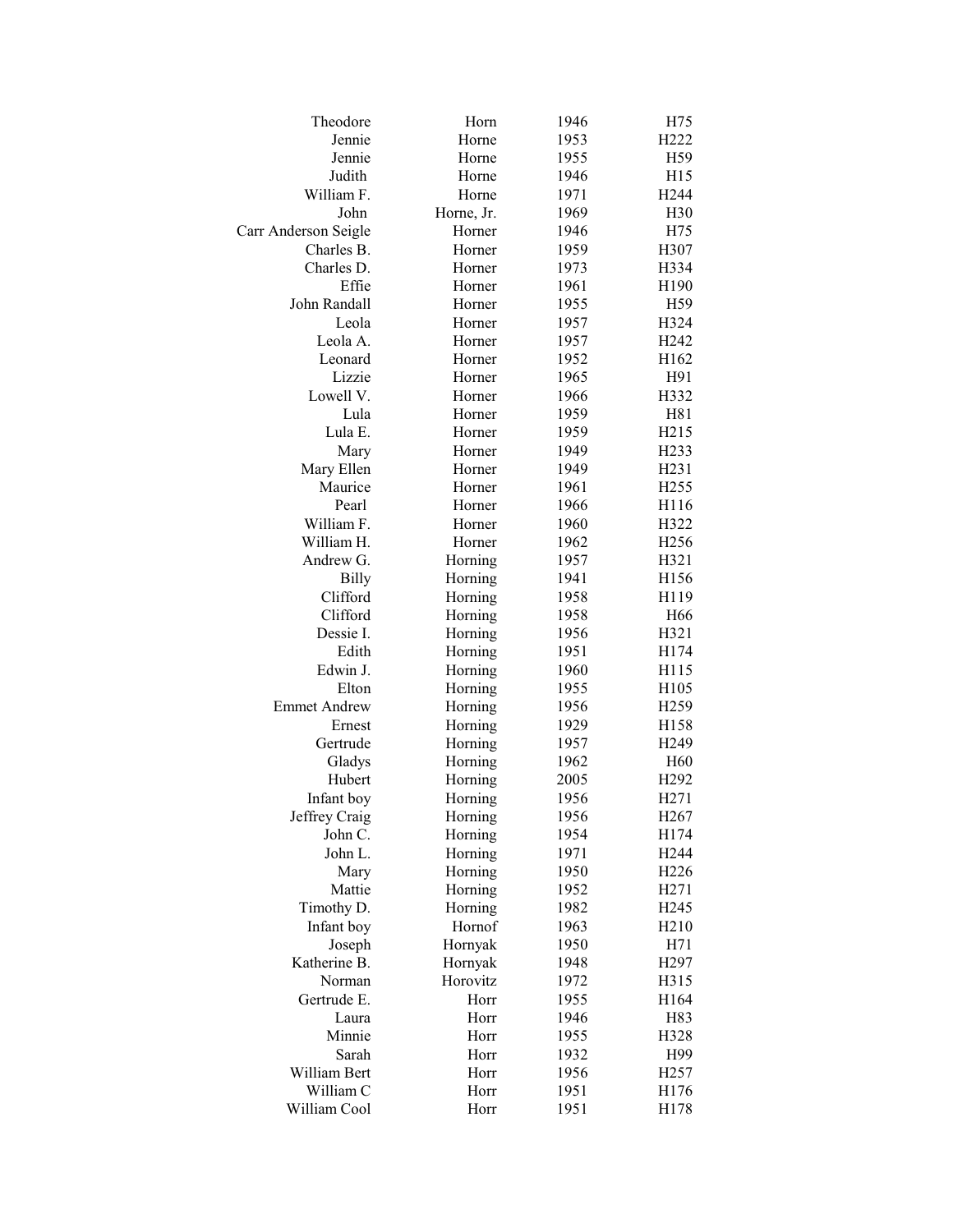| Theodore             | Horn       | 1946 | H75               |
|----------------------|------------|------|-------------------|
| Jennie               | Horne      | 1953 | H222              |
| Jennie               | Horne      | 1955 | H59               |
| Judith               | Horne      | 1946 | H15               |
| William F.           | Horne      | 1971 | H <sub>244</sub>  |
| John                 | Horne, Jr. | 1969 | H30               |
| Carr Anderson Seigle | Horner     | 1946 | H75               |
| Charles B.           | Horner     | 1959 | H307              |
| Charles D.           | Horner     | 1973 | H334              |
| Effie                | Horner     | 1961 | H <sub>190</sub>  |
| John Randall         | Horner     | 1955 | H <sub>59</sub>   |
| Leola                | Horner     | 1957 | H324              |
| Leola A.             | Horner     | 1957 | H <sub>242</sub>  |
| Leonard              | Horner     | 1952 | H162              |
| Lizzie               | Horner     | 1965 | H91               |
| Lowell V.            | Horner     | 1966 | H332              |
| Lula                 | Horner     | 1959 | H81               |
| Lula E.              | Horner     | 1959 | H <sub>215</sub>  |
| Mary                 | Horner     | 1949 | H <sub>2</sub> 33 |
| Mary Ellen           | Horner     | 1949 | H <sub>231</sub>  |
| Maurice              | Horner     | 1961 | H <sub>255</sub>  |
| Pearl                | Horner     | 1966 | H116              |
| William F.           | Horner     | 1960 | H322              |
| William H.           | Horner     | 1962 | H <sub>256</sub>  |
| Andrew G.            | Horning    | 1957 | H321              |
| <b>Billy</b>         | Horning    | 1941 | H156              |
| Clifford             | Horning    | 1958 | H119              |
| Clifford             | Horning    | 1958 | H <sub>66</sub>   |
| Dessie I.            | Horning    | 1956 | H321              |
| Edith                | Horning    | 1951 | H174              |
| Edwin J.             | Horning    | 1960 | H115              |
| Elton                | Horning    | 1955 | H <sub>105</sub>  |
| <b>Emmet Andrew</b>  | Horning    | 1956 | H <sub>259</sub>  |
| Ernest               | Horning    | 1929 | H158              |
| Gertrude             | Horning    | 1957 | H <sub>249</sub>  |
| Gladys               | Horning    | 1962 | H <sub>60</sub>   |
| Hubert               | Horning    | 2005 | H <sub>292</sub>  |
| Infant boy           | Horning    | 1956 | H <sub>271</sub>  |
| Jeffrey Craig        | Horning    | 1956 | H267              |
| John C.              | Horning    | 1954 | H174              |
| John L.              | Horning    | 1971 | H <sub>244</sub>  |
| Mary                 | Horning    | 1950 | H <sub>226</sub>  |
| Mattie               | Horning    | 1952 | H <sub>271</sub>  |
| Timothy D.           | Horning    | 1982 | H <sub>245</sub>  |
| Infant boy           | Hornof     | 1963 | H <sub>210</sub>  |
| Joseph               | Hornyak    | 1950 | H71               |
| Katherine B.         | Hornyak    | 1948 | H <sub>297</sub>  |
| Norman               | Horovitz   | 1972 | H315              |
| Gertrude E.          | Horr       | 1955 | H164              |
| Laura                | Horr       | 1946 | H83               |
| Minnie               | Horr       | 1955 | H328              |
| Sarah                | Horr       | 1932 | H99               |
| William Bert         | Horr       | 1956 | H <sub>257</sub>  |
| William C            | Horr       | 1951 | H176              |
| William Cool         | Horr       | 1951 | H178              |
|                      |            |      |                   |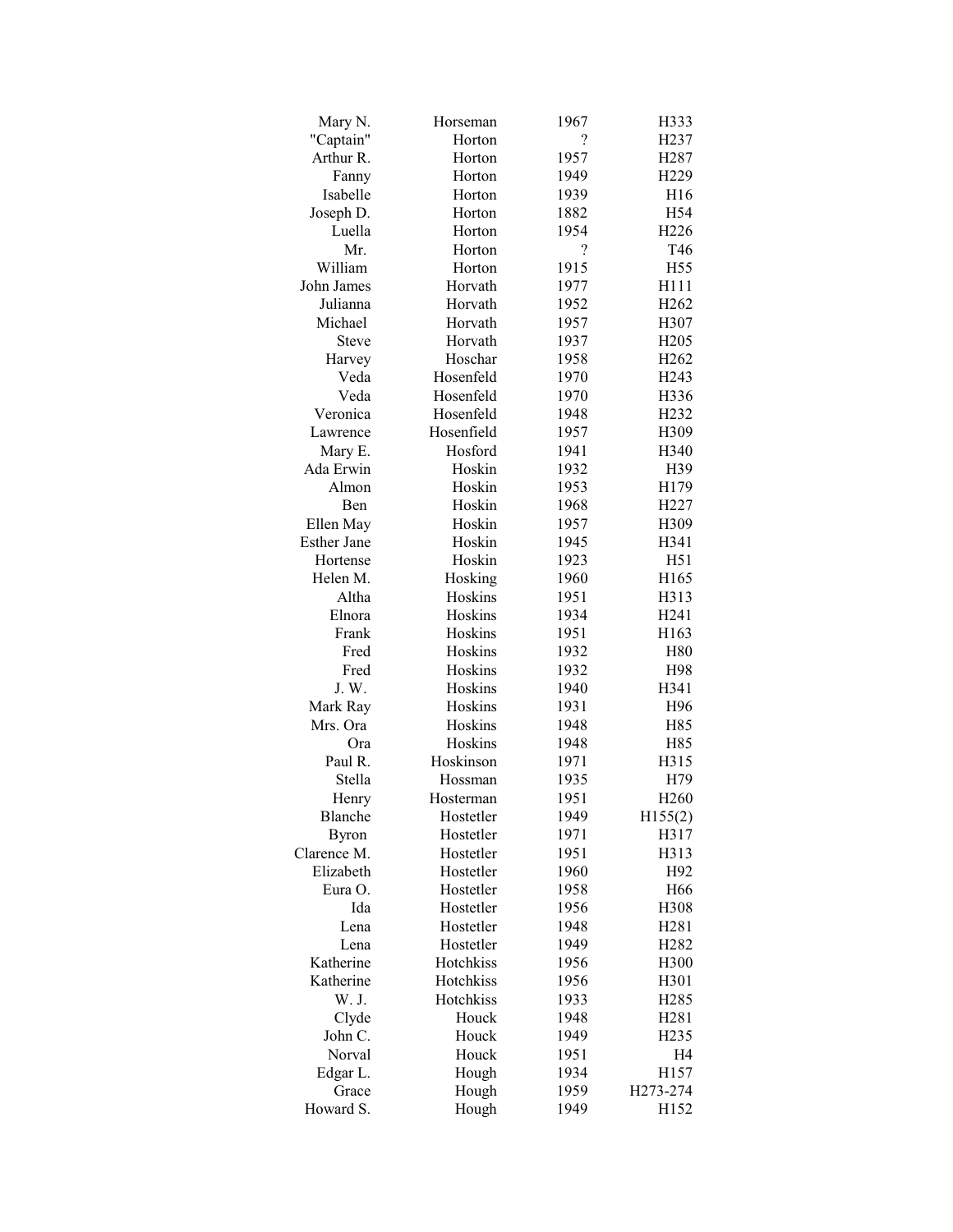| Mary N.                     | Horseman   | 1967                     | H333              |
|-----------------------------|------------|--------------------------|-------------------|
| "Captain"                   | Horton     | ?                        | H237              |
| Arthur R.                   | Horton     | 1957                     | H <sub>287</sub>  |
| Fanny                       | Horton     | 1949                     | H229              |
| Isabelle                    | Horton     | 1939                     | H <sub>16</sub>   |
| Joseph D.                   | Horton     | 1882                     | H54               |
| Luella                      | Horton     | 1954                     | H226              |
| Mr.                         | Horton     | $\overline{\mathcal{C}}$ | T46               |
| William                     | Horton     | 1915                     | H55               |
| John James                  | Horvath    | 1977                     | H111              |
| Julianna                    | Horvath    | 1952                     | H <sub>262</sub>  |
| Michael                     | Horvath    | 1957                     | H307              |
| Steve                       | Horvath    | 1937                     | H <sub>205</sub>  |
| Harvey                      | Hoschar    | 1958                     | H <sub>262</sub>  |
| Veda                        | Hosenfeld  | 1970                     | H <sub>24</sub> 3 |
| Veda                        | Hosenfeld  | 1970                     | H336              |
| Veronica                    | Hosenfeld  | 1948                     | H <sub>2</sub> 32 |
| Lawrence                    | Hosenfield | 1957                     | H309              |
| Mary E.                     | Hosford    | 1941                     | H340              |
| Ada Erwin                   | Hoskin     | 1932                     | H39               |
| Almon                       | Hoskin     | 1953                     | H179              |
| Ben                         | Hoskin     | 1968                     | H227              |
| Ellen May                   | Hoskin     | 1957                     | H309              |
| <b>Esther Jane</b>          | Hoskin     | 1945                     | H341              |
| Hortense                    | Hoskin     | 1923                     | H51               |
| Helen M.                    | Hosking    | 1960                     | H165              |
| Altha                       | Hoskins    | 1951                     | H313              |
| Elnora                      | Hoskins    | 1934                     | H <sub>241</sub>  |
| Frank                       | Hoskins    | 1951                     | H <sub>163</sub>  |
| Fred                        | Hoskins    | 1932                     | H80               |
| Fred                        | Hoskins    | 1932                     | H <sub>98</sub>   |
| J.W.                        | Hoskins    | 1940                     | H341              |
| Mark Ray                    | Hoskins    | 1931                     | H96               |
| Mrs. Ora                    | Hoskins    | 1948                     | H85               |
| Ora                         | Hoskins    | 1948                     | H85               |
| Paul R.                     | Hoskinson  | 1971                     | H315              |
| Stella                      | Hossman    | 1935                     | H79               |
| Henry                       | Hosterman  | 1951                     | H <sub>260</sub>  |
| Blanche                     | Hostetler  | 1949                     |                   |
|                             | Hostetler  | 1971                     | H155(2)<br>H317   |
| <b>Byron</b><br>Clarence M. | Hostetler  | 1951                     | H313              |
| Elizabeth                   | Hostetler  |                          | H92               |
|                             | Hostetler  | 1960                     |                   |
| Eura O.<br>Ida              | Hostetler  | 1958<br>1956             | H66               |
|                             | Hostetler  |                          | H308              |
| Lena                        | Hostetler  | 1948                     | H <sub>281</sub>  |
| Lena                        |            | 1949                     | H <sub>2</sub> 82 |
| Katherine                   | Hotchkiss  | 1956                     | H300              |
| Katherine                   | Hotchkiss  | 1956                     | H301              |
| W. J.                       | Hotchkiss  | 1933                     | H <sub>2</sub> 85 |
| Clyde                       | Houck      | 1948                     | H <sub>281</sub>  |
| John C.                     | Houck      | 1949                     | H <sub>235</sub>  |
| Norval                      | Houck      | 1951                     | H <sub>4</sub>    |
| Edgar L.                    | Hough      | 1934                     | H157              |
| Grace                       | Hough      | 1959                     | H273-274          |
| Howard S.                   | Hough      | 1949                     | H152              |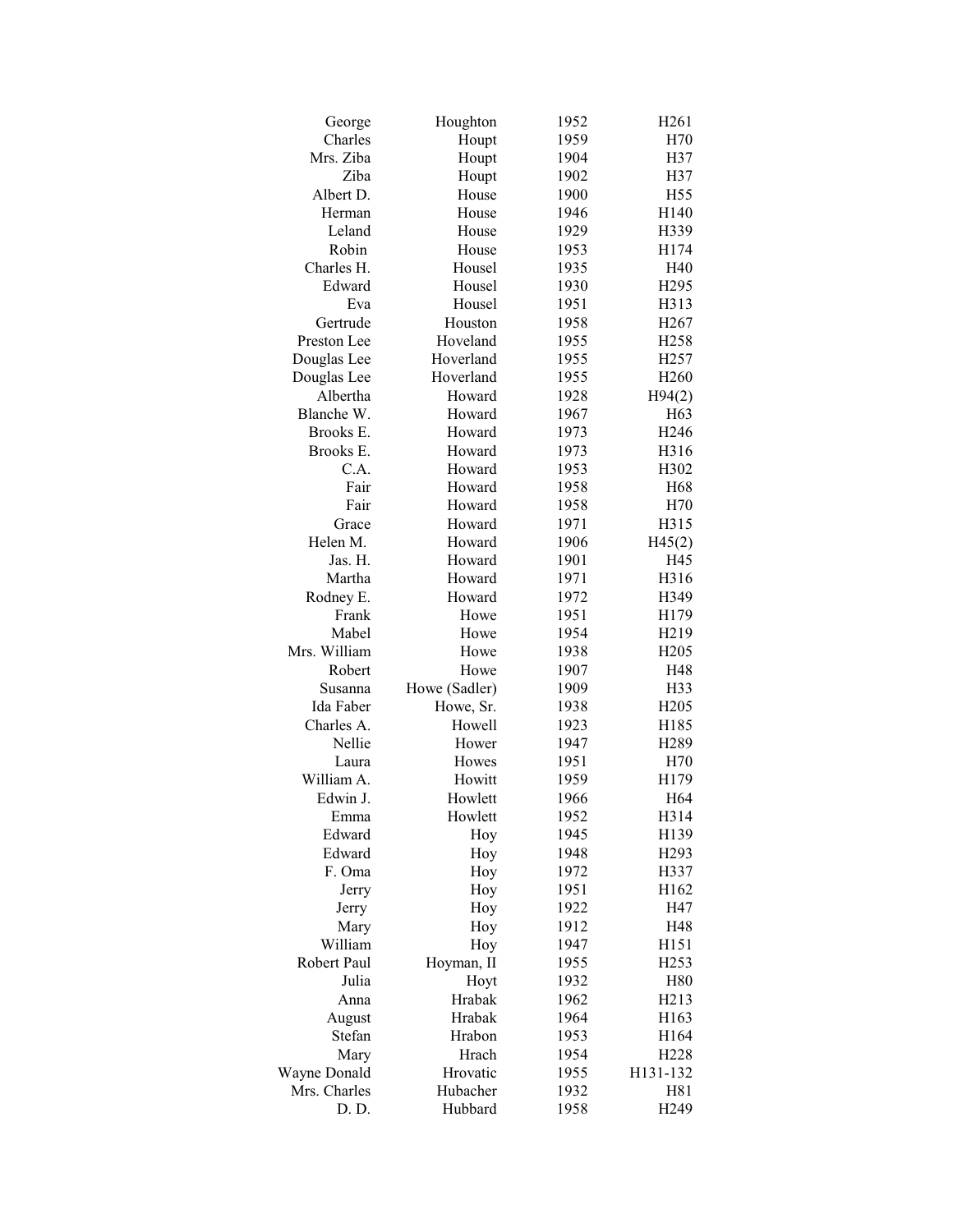| George       | Houghton      | 1952 | H <sub>261</sub>  |
|--------------|---------------|------|-------------------|
| Charles      | Houpt         | 1959 | H70               |
| Mrs. Ziba    | Houpt         | 1904 | H37               |
| Ziba         | Houpt         | 1902 | H37               |
| Albert D.    | House         | 1900 | H <sub>55</sub>   |
| Herman       | House         | 1946 | H140              |
| Leland       | House         | 1929 | H339              |
| Robin        | House         | 1953 | H174              |
| Charles H.   | Housel        | 1935 | H40               |
| Edward       | Housel        | 1930 | H <sub>295</sub>  |
| Eva          | Housel        | 1951 | H313              |
| Gertrude     | Houston       | 1958 | H <sub>267</sub>  |
| Preston Lee  | Hoveland      | 1955 | H <sub>258</sub>  |
| Douglas Lee  | Hoverland     | 1955 | H <sub>257</sub>  |
| Douglas Lee  | Hoverland     | 1955 | H <sub>260</sub>  |
| Albertha     | Howard        | 1928 | H94(2)            |
| Blanche W.   | Howard        | 1967 | H <sub>63</sub>   |
| Brooks E.    | Howard        | 1973 | H246              |
| Brooks E.    | Howard        | 1973 | H316              |
| C.A.         | Howard        | 1953 | H302              |
| Fair         | Howard        | 1958 | H68               |
| Fair         | Howard        | 1958 | H70               |
| Grace        | Howard        | 1971 | H315              |
| Helen M.     | Howard        | 1906 | H45(2)            |
| Jas. H.      | Howard        |      | H45               |
|              | Howard        | 1901 |                   |
| Martha       | Howard        | 1971 | H316              |
| Rodney E.    |               | 1972 | H349              |
| Frank        | Howe          | 1951 | H179              |
| Mabel        | Howe          | 1954 | H219              |
| Mrs. William | Howe          | 1938 | H <sub>205</sub>  |
| Robert       | Howe          | 1907 | H48               |
| Susanna      | Howe (Sadler) | 1909 | H33               |
| Ida Faber    | Howe, Sr.     | 1938 | H <sub>205</sub>  |
| Charles A.   | Howell        | 1923 | H185              |
| Nellie       | Hower         | 1947 | H <sub>2</sub> 89 |
| Laura        | Howes         | 1951 | H70               |
| William A.   | Howitt        | 1959 | H179              |
| Edwin J.     | Howlett       | 1966 | H <sub>64</sub>   |
| Emma         | Howlett       | 1952 | H314              |
| Edward       | Hoy           | 1945 | H139              |
| Edward       | Hoy           | 1948 | H <sub>293</sub>  |
| F. Oma       | Hoy           | 1972 | H337              |
| Jerry        | Hoy           | 1951 | H162              |
| Jerry        | Hoy           | 1922 | H47               |
| Mary         | Hoy           | 1912 | H48               |
| William      | Hoy           | 1947 | H151              |
| Robert Paul  | Hoyman, II    | 1955 | H <sub>253</sub>  |
| Julia        | Hoyt          | 1932 | H80               |
| Anna         | Hrabak        | 1962 | H <sub>2</sub> 13 |
| August       | Hrabak        | 1964 | H163              |
| Stefan       | Hrabon        | 1953 | H164              |
| Mary         | Hrach         | 1954 | H <sub>228</sub>  |
| Wayne Donald | Hrovatic      | 1955 | H131-132          |
| Mrs. Charles | Hubacher      | 1932 | H81               |
| D. D.        | Hubbard       | 1958 | H <sub>249</sub>  |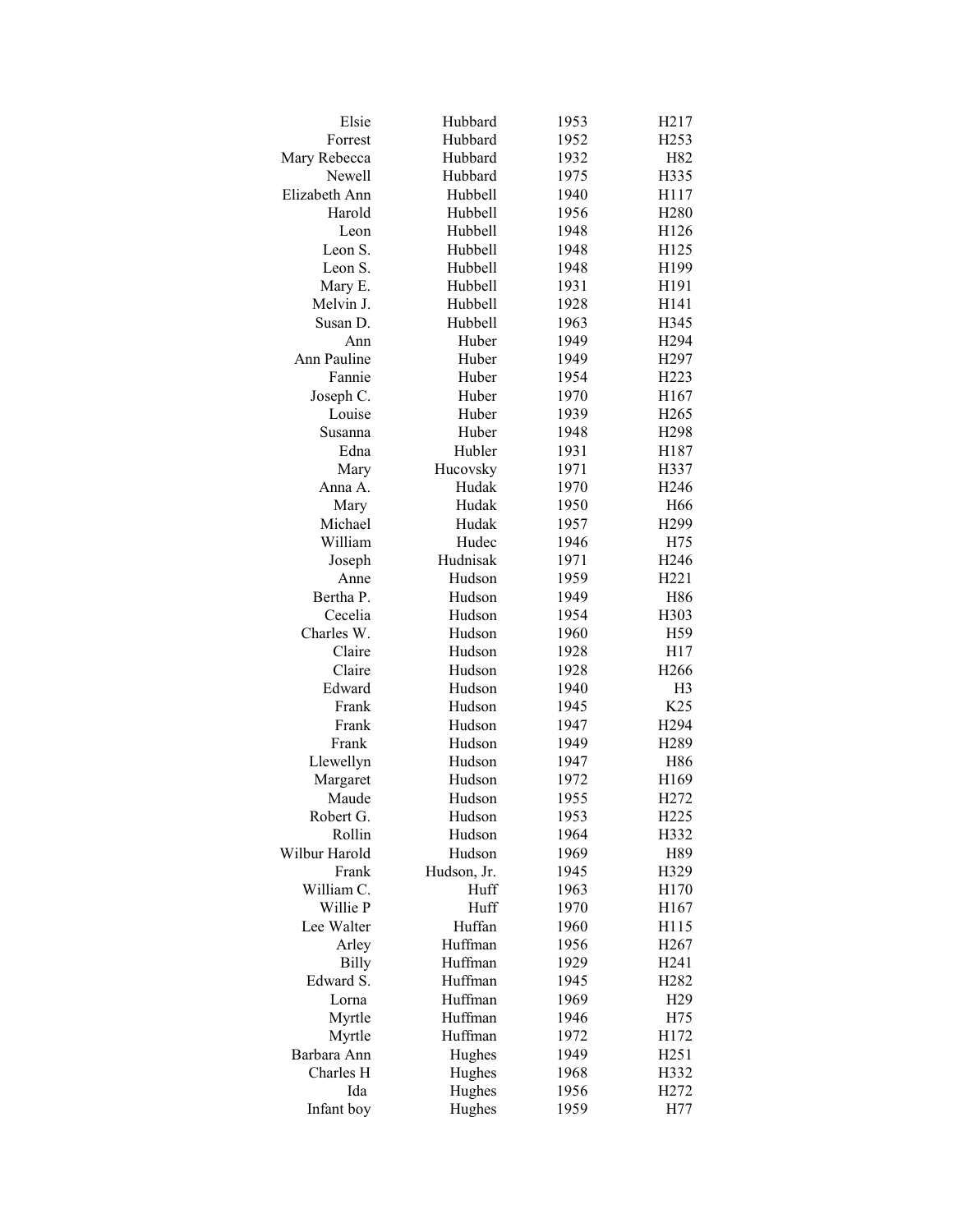| Elsie         | Hubbard     | 1953 | H <sub>217</sub>  |
|---------------|-------------|------|-------------------|
| Forrest       | Hubbard     | 1952 | H <sub>253</sub>  |
| Mary Rebecca  | Hubbard     | 1932 | H82               |
| Newell        | Hubbard     | 1975 | H335              |
| Elizabeth Ann | Hubbell     | 1940 | H117              |
| Harold        | Hubbell     | 1956 | H <sub>280</sub>  |
| Leon          | Hubbell     | 1948 | H126              |
| Leon S.       | Hubbell     | 1948 | H125              |
| Leon S.       | Hubbell     | 1948 | H199              |
| Mary E.       | Hubbell     | 1931 | H191              |
| Melvin J.     | Hubbell     | 1928 | H <sub>141</sub>  |
| Susan D.      | Hubbell     | 1963 | H345              |
| Ann           | Huber       | 1949 | H <sub>294</sub>  |
| Ann Pauline   | Huber       | 1949 | H <sub>297</sub>  |
| Fannie        | Huber       | 1954 | H <sub>223</sub>  |
| Joseph C.     | Huber       | 1970 | H167              |
| Louise        | Huber       | 1939 | H <sub>265</sub>  |
| Susanna       | Huber       | 1948 | H298              |
| Edna          | Hubler      | 1931 | H187              |
| Mary          | Hucovsky    | 1971 | H337              |
| Anna A.       | Hudak       | 1970 | H <sub>246</sub>  |
| Mary          | Hudak       | 1950 | H66               |
| Michael       | Hudak       | 1957 | H <sub>299</sub>  |
| William       | Hudec       | 1946 | H75               |
|               | Hudnisak    |      | H246              |
| Joseph        |             | 1971 |                   |
| Anne          | Hudson      | 1959 | H221              |
| Bertha P.     | Hudson      | 1949 | H86               |
| Cecelia       | Hudson      | 1954 | H303              |
| Charles W.    | Hudson      | 1960 | H59               |
| Claire        | Hudson      | 1928 | H17               |
| Claire        | Hudson      | 1928 | H <sub>266</sub>  |
| Edward        | Hudson      | 1940 | H3                |
| Frank         | Hudson      | 1945 | K25               |
| Frank         | Hudson      | 1947 | H <sub>294</sub>  |
| Frank         | Hudson      | 1949 | H <sub>2</sub> 89 |
| Llewellyn     | Hudson      | 1947 | H86               |
| Margaret      | Hudson      | 1972 | H169              |
| Maude         | Hudson      | 1955 | H <sub>272</sub>  |
| Robert G.     | Hudson      | 1953 | H <sub>225</sub>  |
| Rollin        | Hudson      | 1964 | H332              |
| Wilbur Harold | Hudson      | 1969 | H89               |
| Frank         | Hudson, Jr. | 1945 | H329              |
| William C.    | Huff        | 1963 | H170              |
| Willie P      | Huff        | 1970 | H167              |
| Lee Walter    | Huffan      | 1960 | H115              |
| Arley         | Huffman     | 1956 | H <sub>267</sub>  |
| <b>Billy</b>  | Huffman     | 1929 | H <sub>241</sub>  |
| Edward S.     | Huffman     | 1945 | H <sub>2</sub> 82 |
| Lorna         | Huffman     | 1969 | H <sub>29</sub>   |
| Myrtle        | Huffman     | 1946 | H75               |
| Myrtle        | Huffman     | 1972 | H172              |
| Barbara Ann   | Hughes      | 1949 | H <sub>251</sub>  |
| Charles H     | Hughes      | 1968 | H332              |
| Ida           | Hughes      | 1956 | H <sub>272</sub>  |
| Infant boy    | Hughes      | 1959 | H77               |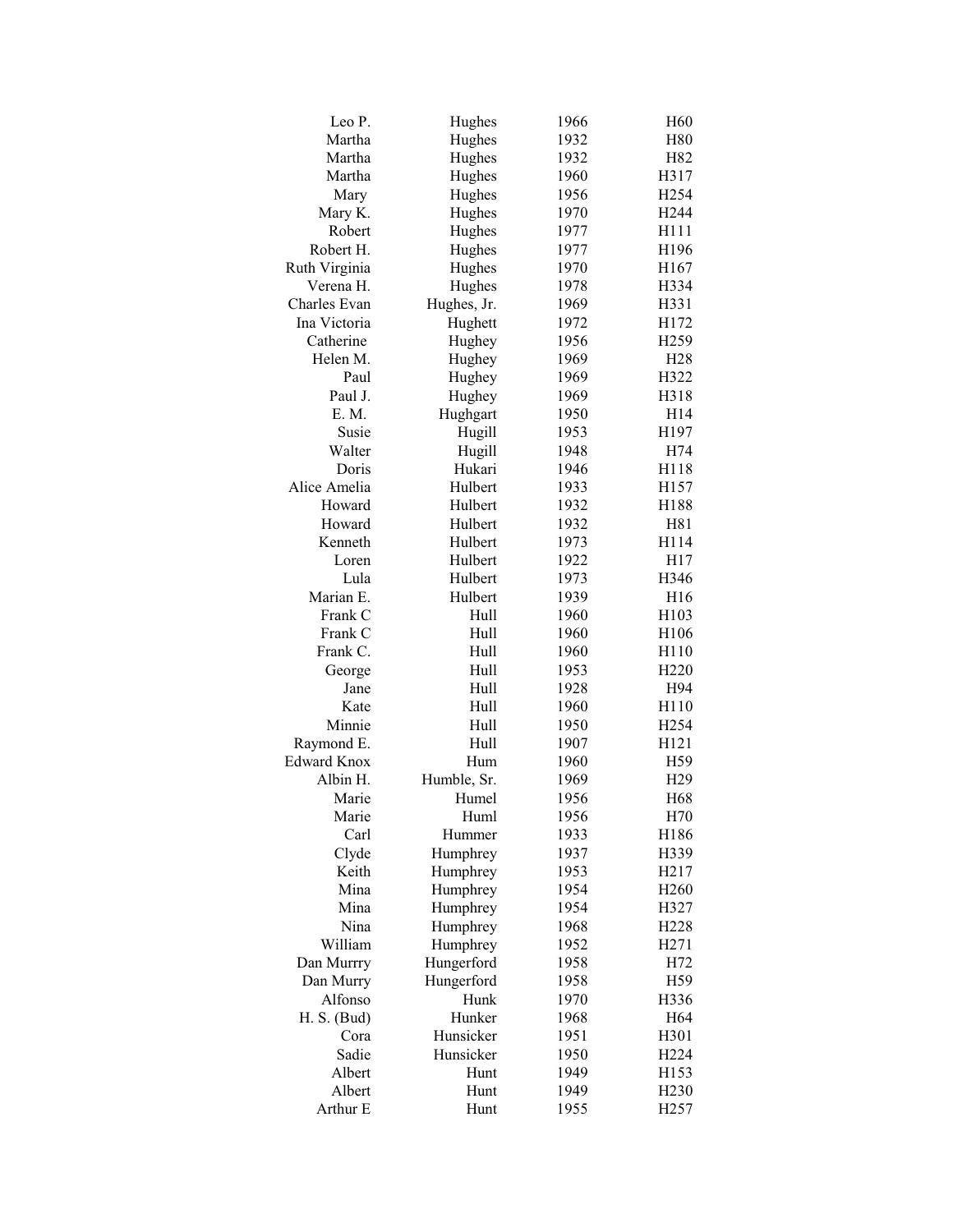| Leo P.             | Hughes      | 1966         | H <sub>60</sub>  |
|--------------------|-------------|--------------|------------------|
| Martha             | Hughes      | 1932         | H80              |
| Martha             | Hughes      | 1932         | H82              |
| Martha             | Hughes      | 1960         | H317             |
| Mary               | Hughes      | 1956         | H <sub>254</sub> |
| Mary K.            | Hughes      | 1970         | H <sub>244</sub> |
| Robert             | Hughes      | 1977         | H111             |
| Robert H.          | Hughes      | 1977         | H196             |
| Ruth Virginia      | Hughes      | 1970         | H <sub>167</sub> |
| Verena H.          | Hughes      | 1978         | H334             |
| Charles Evan       | Hughes, Jr. | 1969         | H331             |
| Ina Victoria       | Hughett     | 1972         | H172             |
| Catherine          | Hughey      | 1956         | H <sub>259</sub> |
| Helen M.           | Hughey      | 1969         | H <sub>28</sub>  |
| Paul               | Hughey      | 1969         | H322             |
| Paul J.            | Hughey      | 1969         | H318             |
| E. M.              | Hughgart    | 1950         | H14              |
| Susie              | Hugill      | 1953         | H197             |
| Walter             | Hugill      | 1948         | H74              |
| Doris              | Hukari      | 1946         | H118             |
| Alice Amelia       | Hulbert     | 1933         | H157             |
| Howard             | Hulbert     | 1932         | H188             |
| Howard             | Hulbert     |              | H81              |
|                    | Hulbert     | 1932<br>1973 |                  |
| Kenneth            | Hulbert     |              | H114             |
| Loren              |             | 1922         | H17              |
| Lula               | Hulbert     | 1973         | H346             |
| Marian E.          | Hulbert     | 1939         | H <sub>16</sub>  |
| Frank C            | Hull        | 1960         | H <sub>103</sub> |
| Frank C            | Hull        | 1960         | H106             |
| Frank C.           | Hull        | 1960         | H110             |
| George             | Hull        | 1953         | H <sub>220</sub> |
| Jane               | Hull        | 1928         | H94              |
| Kate               | Hull        | 1960         | H110             |
| Minnie             | Hull        | 1950         | H <sub>254</sub> |
| Raymond E.         | Hull        | 1907         | H121             |
| <b>Edward Knox</b> | Hum         | 1960         | H <sub>59</sub>  |
| Albin H.           | Humble, Sr. | 1969         | H <sub>29</sub>  |
| Marie              | Humel       | 1956         | H <sub>68</sub>  |
| Marie              | Huml        | 1956         | H70              |
| Carl               | Hummer      | 1933         | H186             |
| Clyde              | Humphrey    | 1937         | H339             |
| Keith              | Humphrey    | 1953         | H <sub>217</sub> |
| Mina               | Humphrey    | 1954         | H <sub>260</sub> |
| Mina               | Humphrey    | 1954         | H327             |
| Nina               | Humphrey    | 1968         | H228             |
| William            | Humphrey    | 1952         | H <sub>271</sub> |
| Dan Murrry         | Hungerford  | 1958         | H72              |
| Dan Murry          | Hungerford  | 1958         | H59              |
| Alfonso            | Hunk        | 1970         | H336             |
| H. S. (Bud)        | Hunker      | 1968         | H64              |
| Cora               | Hunsicker   | 1951         | H301             |
| Sadie              | Hunsicker   | 1950         | H <sub>224</sub> |
| Albert             | Hunt        | 1949         | H153             |
| Albert             | Hunt        | 1949         | H <sub>230</sub> |
| Arthur E           | Hunt        | 1955         | H <sub>257</sub> |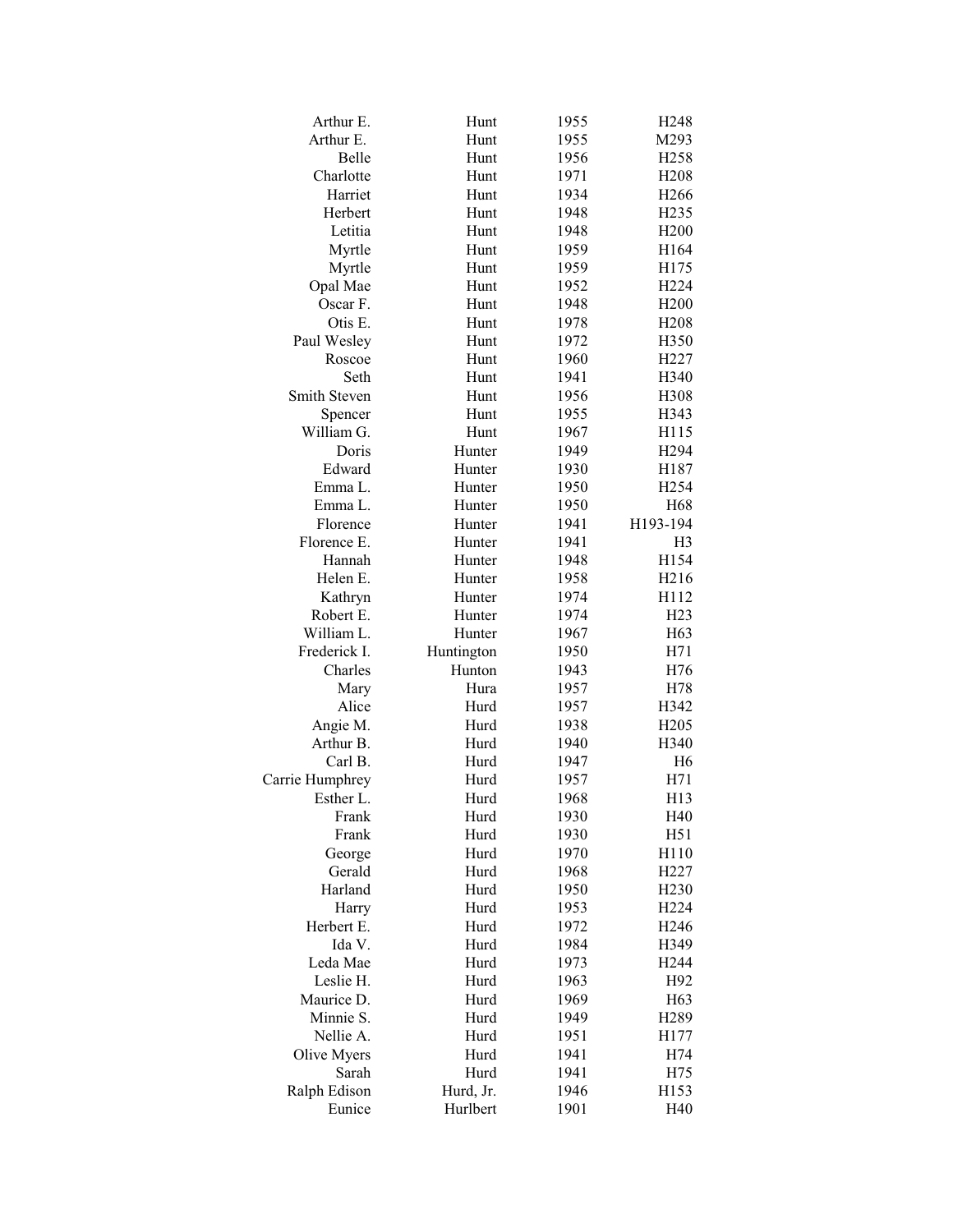| Arthur E.<br>Hunt<br>1955<br>M293<br>Belle<br>1956<br>H <sub>258</sub><br>Hunt<br>Charlotte<br>Hunt<br>1971<br>H <sub>208</sub><br>Harriet<br>Hunt<br>1934<br>H <sub>266</sub><br>Herbert<br>Hunt<br>1948<br>H <sub>2</sub> 35<br>Letitia<br>Hunt<br>1948<br>H <sub>200</sub><br>Myrtle<br>Hunt<br>1959<br>H164<br>Myrtle<br>Hunt<br>1959<br>H175<br>Opal Mae<br>H224<br>Hunt<br>1952<br>Oscar F.<br>1948<br>Hunt<br>H <sub>200</sub><br>Otis E.<br>Hunt<br>1978<br>H <sub>208</sub><br>Paul Wesley<br>Hunt<br>1972<br>H350<br>1960<br>Roscoe<br>Hunt<br>H <sub>227</sub><br>Seth<br>Hunt<br>1941<br>H340<br>Smith Steven<br>Hunt<br>1956<br>H308<br>Hunt<br>1955<br>H343<br>Spencer<br>William G.<br>Hunt<br>1967<br>H115<br>Doris<br>Hunter<br>1949<br>H <sub>294</sub><br>Edward<br>Hunter<br>1930<br>H187<br>H <sub>254</sub><br>Emma L.<br>Hunter<br>1950<br>H68<br>Emma L.<br>Hunter<br>1950<br>H193-194<br>Florence<br>Hunter<br>1941<br>Florence E.<br>Hunter<br>1941<br>H <sub>3</sub><br>Hannah<br>H154<br>Hunter<br>1948<br>Helen E.<br>Hunter<br>1958<br>H <sub>2</sub> 16<br>Kathryn<br>Hunter<br>1974<br>H112<br>Robert E.<br>Hunter<br>1974<br>H <sub>23</sub><br>William L.<br>Hunter<br>1967<br>H <sub>6</sub> 3<br>Frederick I.<br>Huntington<br>1950<br>H71<br>Charles<br>Hunton<br>1943<br>H76<br>Hura<br>1957<br>Mary<br>H78<br>Alice<br>Hurd<br>1957<br>H342<br>Angie M.<br>Hurd<br>1938<br>H <sub>205</sub><br>Arthur B.<br>Hurd<br>1940<br>H340<br>Carl B.<br>Hurd<br>1947<br>H <sub>6</sub><br>Carrie Humphrey<br>Hurd<br>1957<br>H71<br>Esther L.<br>Hurd<br>1968<br>H13<br>Frank<br>Hurd<br>H40<br>1930<br>H51<br>Frank<br>Hurd<br>1930<br>George<br>Hurd<br>1970<br>H110<br>Gerald<br>Hurd<br>1968<br>H227<br>Harland<br>Hurd<br>1950<br>H <sub>230</sub><br>Hurd<br>1953<br>H <sub>224</sub><br>Harry<br>Herbert E.<br>Hurd<br>1972<br>H246<br>Ida V.<br>Hurd<br>1984<br>H349<br>Leda Mae<br>H244<br>Hurd<br>1973<br>Hurd<br>Leslie H.<br>1963<br>H92<br>Maurice D.<br>Hurd<br>1969<br>H63<br>Minnie S.<br>Hurd<br>1949<br>H <sub>289</sub><br>Nellie A.<br>Hurd<br>1951<br>H177<br>Olive Myers<br>Hurd<br>1941<br>H74<br>Hurd<br>Sarah<br>1941<br>H75<br>Ralph Edison<br>Hurd, Jr.<br>1946<br>H153 | Arthur E. | Hunt     | 1955 | H <sub>248</sub> |
|----------------------------------------------------------------------------------------------------------------------------------------------------------------------------------------------------------------------------------------------------------------------------------------------------------------------------------------------------------------------------------------------------------------------------------------------------------------------------------------------------------------------------------------------------------------------------------------------------------------------------------------------------------------------------------------------------------------------------------------------------------------------------------------------------------------------------------------------------------------------------------------------------------------------------------------------------------------------------------------------------------------------------------------------------------------------------------------------------------------------------------------------------------------------------------------------------------------------------------------------------------------------------------------------------------------------------------------------------------------------------------------------------------------------------------------------------------------------------------------------------------------------------------------------------------------------------------------------------------------------------------------------------------------------------------------------------------------------------------------------------------------------------------------------------------------------------------------------------------------------------------------------------------------------------------------------------------------------------------------------------------------------------------------------------------------------------------------------------------------------------------------------------------------------------------------------------------------------------------|-----------|----------|------|------------------|
|                                                                                                                                                                                                                                                                                                                                                                                                                                                                                                                                                                                                                                                                                                                                                                                                                                                                                                                                                                                                                                                                                                                                                                                                                                                                                                                                                                                                                                                                                                                                                                                                                                                                                                                                                                                                                                                                                                                                                                                                                                                                                                                                                                                                                                  |           |          |      |                  |
|                                                                                                                                                                                                                                                                                                                                                                                                                                                                                                                                                                                                                                                                                                                                                                                                                                                                                                                                                                                                                                                                                                                                                                                                                                                                                                                                                                                                                                                                                                                                                                                                                                                                                                                                                                                                                                                                                                                                                                                                                                                                                                                                                                                                                                  |           |          |      |                  |
|                                                                                                                                                                                                                                                                                                                                                                                                                                                                                                                                                                                                                                                                                                                                                                                                                                                                                                                                                                                                                                                                                                                                                                                                                                                                                                                                                                                                                                                                                                                                                                                                                                                                                                                                                                                                                                                                                                                                                                                                                                                                                                                                                                                                                                  |           |          |      |                  |
|                                                                                                                                                                                                                                                                                                                                                                                                                                                                                                                                                                                                                                                                                                                                                                                                                                                                                                                                                                                                                                                                                                                                                                                                                                                                                                                                                                                                                                                                                                                                                                                                                                                                                                                                                                                                                                                                                                                                                                                                                                                                                                                                                                                                                                  |           |          |      |                  |
|                                                                                                                                                                                                                                                                                                                                                                                                                                                                                                                                                                                                                                                                                                                                                                                                                                                                                                                                                                                                                                                                                                                                                                                                                                                                                                                                                                                                                                                                                                                                                                                                                                                                                                                                                                                                                                                                                                                                                                                                                                                                                                                                                                                                                                  |           |          |      |                  |
|                                                                                                                                                                                                                                                                                                                                                                                                                                                                                                                                                                                                                                                                                                                                                                                                                                                                                                                                                                                                                                                                                                                                                                                                                                                                                                                                                                                                                                                                                                                                                                                                                                                                                                                                                                                                                                                                                                                                                                                                                                                                                                                                                                                                                                  |           |          |      |                  |
|                                                                                                                                                                                                                                                                                                                                                                                                                                                                                                                                                                                                                                                                                                                                                                                                                                                                                                                                                                                                                                                                                                                                                                                                                                                                                                                                                                                                                                                                                                                                                                                                                                                                                                                                                                                                                                                                                                                                                                                                                                                                                                                                                                                                                                  |           |          |      |                  |
|                                                                                                                                                                                                                                                                                                                                                                                                                                                                                                                                                                                                                                                                                                                                                                                                                                                                                                                                                                                                                                                                                                                                                                                                                                                                                                                                                                                                                                                                                                                                                                                                                                                                                                                                                                                                                                                                                                                                                                                                                                                                                                                                                                                                                                  |           |          |      |                  |
|                                                                                                                                                                                                                                                                                                                                                                                                                                                                                                                                                                                                                                                                                                                                                                                                                                                                                                                                                                                                                                                                                                                                                                                                                                                                                                                                                                                                                                                                                                                                                                                                                                                                                                                                                                                                                                                                                                                                                                                                                                                                                                                                                                                                                                  |           |          |      |                  |
|                                                                                                                                                                                                                                                                                                                                                                                                                                                                                                                                                                                                                                                                                                                                                                                                                                                                                                                                                                                                                                                                                                                                                                                                                                                                                                                                                                                                                                                                                                                                                                                                                                                                                                                                                                                                                                                                                                                                                                                                                                                                                                                                                                                                                                  |           |          |      |                  |
|                                                                                                                                                                                                                                                                                                                                                                                                                                                                                                                                                                                                                                                                                                                                                                                                                                                                                                                                                                                                                                                                                                                                                                                                                                                                                                                                                                                                                                                                                                                                                                                                                                                                                                                                                                                                                                                                                                                                                                                                                                                                                                                                                                                                                                  |           |          |      |                  |
|                                                                                                                                                                                                                                                                                                                                                                                                                                                                                                                                                                                                                                                                                                                                                                                                                                                                                                                                                                                                                                                                                                                                                                                                                                                                                                                                                                                                                                                                                                                                                                                                                                                                                                                                                                                                                                                                                                                                                                                                                                                                                                                                                                                                                                  |           |          |      |                  |
|                                                                                                                                                                                                                                                                                                                                                                                                                                                                                                                                                                                                                                                                                                                                                                                                                                                                                                                                                                                                                                                                                                                                                                                                                                                                                                                                                                                                                                                                                                                                                                                                                                                                                                                                                                                                                                                                                                                                                                                                                                                                                                                                                                                                                                  |           |          |      |                  |
|                                                                                                                                                                                                                                                                                                                                                                                                                                                                                                                                                                                                                                                                                                                                                                                                                                                                                                                                                                                                                                                                                                                                                                                                                                                                                                                                                                                                                                                                                                                                                                                                                                                                                                                                                                                                                                                                                                                                                                                                                                                                                                                                                                                                                                  |           |          |      |                  |
|                                                                                                                                                                                                                                                                                                                                                                                                                                                                                                                                                                                                                                                                                                                                                                                                                                                                                                                                                                                                                                                                                                                                                                                                                                                                                                                                                                                                                                                                                                                                                                                                                                                                                                                                                                                                                                                                                                                                                                                                                                                                                                                                                                                                                                  |           |          |      |                  |
|                                                                                                                                                                                                                                                                                                                                                                                                                                                                                                                                                                                                                                                                                                                                                                                                                                                                                                                                                                                                                                                                                                                                                                                                                                                                                                                                                                                                                                                                                                                                                                                                                                                                                                                                                                                                                                                                                                                                                                                                                                                                                                                                                                                                                                  |           |          |      |                  |
|                                                                                                                                                                                                                                                                                                                                                                                                                                                                                                                                                                                                                                                                                                                                                                                                                                                                                                                                                                                                                                                                                                                                                                                                                                                                                                                                                                                                                                                                                                                                                                                                                                                                                                                                                                                                                                                                                                                                                                                                                                                                                                                                                                                                                                  |           |          |      |                  |
|                                                                                                                                                                                                                                                                                                                                                                                                                                                                                                                                                                                                                                                                                                                                                                                                                                                                                                                                                                                                                                                                                                                                                                                                                                                                                                                                                                                                                                                                                                                                                                                                                                                                                                                                                                                                                                                                                                                                                                                                                                                                                                                                                                                                                                  |           |          |      |                  |
|                                                                                                                                                                                                                                                                                                                                                                                                                                                                                                                                                                                                                                                                                                                                                                                                                                                                                                                                                                                                                                                                                                                                                                                                                                                                                                                                                                                                                                                                                                                                                                                                                                                                                                                                                                                                                                                                                                                                                                                                                                                                                                                                                                                                                                  |           |          |      |                  |
|                                                                                                                                                                                                                                                                                                                                                                                                                                                                                                                                                                                                                                                                                                                                                                                                                                                                                                                                                                                                                                                                                                                                                                                                                                                                                                                                                                                                                                                                                                                                                                                                                                                                                                                                                                                                                                                                                                                                                                                                                                                                                                                                                                                                                                  |           |          |      |                  |
|                                                                                                                                                                                                                                                                                                                                                                                                                                                                                                                                                                                                                                                                                                                                                                                                                                                                                                                                                                                                                                                                                                                                                                                                                                                                                                                                                                                                                                                                                                                                                                                                                                                                                                                                                                                                                                                                                                                                                                                                                                                                                                                                                                                                                                  |           |          |      |                  |
|                                                                                                                                                                                                                                                                                                                                                                                                                                                                                                                                                                                                                                                                                                                                                                                                                                                                                                                                                                                                                                                                                                                                                                                                                                                                                                                                                                                                                                                                                                                                                                                                                                                                                                                                                                                                                                                                                                                                                                                                                                                                                                                                                                                                                                  |           |          |      |                  |
|                                                                                                                                                                                                                                                                                                                                                                                                                                                                                                                                                                                                                                                                                                                                                                                                                                                                                                                                                                                                                                                                                                                                                                                                                                                                                                                                                                                                                                                                                                                                                                                                                                                                                                                                                                                                                                                                                                                                                                                                                                                                                                                                                                                                                                  |           |          |      |                  |
|                                                                                                                                                                                                                                                                                                                                                                                                                                                                                                                                                                                                                                                                                                                                                                                                                                                                                                                                                                                                                                                                                                                                                                                                                                                                                                                                                                                                                                                                                                                                                                                                                                                                                                                                                                                                                                                                                                                                                                                                                                                                                                                                                                                                                                  |           |          |      |                  |
|                                                                                                                                                                                                                                                                                                                                                                                                                                                                                                                                                                                                                                                                                                                                                                                                                                                                                                                                                                                                                                                                                                                                                                                                                                                                                                                                                                                                                                                                                                                                                                                                                                                                                                                                                                                                                                                                                                                                                                                                                                                                                                                                                                                                                                  |           |          |      |                  |
|                                                                                                                                                                                                                                                                                                                                                                                                                                                                                                                                                                                                                                                                                                                                                                                                                                                                                                                                                                                                                                                                                                                                                                                                                                                                                                                                                                                                                                                                                                                                                                                                                                                                                                                                                                                                                                                                                                                                                                                                                                                                                                                                                                                                                                  |           |          |      |                  |
|                                                                                                                                                                                                                                                                                                                                                                                                                                                                                                                                                                                                                                                                                                                                                                                                                                                                                                                                                                                                                                                                                                                                                                                                                                                                                                                                                                                                                                                                                                                                                                                                                                                                                                                                                                                                                                                                                                                                                                                                                                                                                                                                                                                                                                  |           |          |      |                  |
|                                                                                                                                                                                                                                                                                                                                                                                                                                                                                                                                                                                                                                                                                                                                                                                                                                                                                                                                                                                                                                                                                                                                                                                                                                                                                                                                                                                                                                                                                                                                                                                                                                                                                                                                                                                                                                                                                                                                                                                                                                                                                                                                                                                                                                  |           |          |      |                  |
|                                                                                                                                                                                                                                                                                                                                                                                                                                                                                                                                                                                                                                                                                                                                                                                                                                                                                                                                                                                                                                                                                                                                                                                                                                                                                                                                                                                                                                                                                                                                                                                                                                                                                                                                                                                                                                                                                                                                                                                                                                                                                                                                                                                                                                  |           |          |      |                  |
|                                                                                                                                                                                                                                                                                                                                                                                                                                                                                                                                                                                                                                                                                                                                                                                                                                                                                                                                                                                                                                                                                                                                                                                                                                                                                                                                                                                                                                                                                                                                                                                                                                                                                                                                                                                                                                                                                                                                                                                                                                                                                                                                                                                                                                  |           |          |      |                  |
|                                                                                                                                                                                                                                                                                                                                                                                                                                                                                                                                                                                                                                                                                                                                                                                                                                                                                                                                                                                                                                                                                                                                                                                                                                                                                                                                                                                                                                                                                                                                                                                                                                                                                                                                                                                                                                                                                                                                                                                                                                                                                                                                                                                                                                  |           |          |      |                  |
|                                                                                                                                                                                                                                                                                                                                                                                                                                                                                                                                                                                                                                                                                                                                                                                                                                                                                                                                                                                                                                                                                                                                                                                                                                                                                                                                                                                                                                                                                                                                                                                                                                                                                                                                                                                                                                                                                                                                                                                                                                                                                                                                                                                                                                  |           |          |      |                  |
|                                                                                                                                                                                                                                                                                                                                                                                                                                                                                                                                                                                                                                                                                                                                                                                                                                                                                                                                                                                                                                                                                                                                                                                                                                                                                                                                                                                                                                                                                                                                                                                                                                                                                                                                                                                                                                                                                                                                                                                                                                                                                                                                                                                                                                  |           |          |      |                  |
|                                                                                                                                                                                                                                                                                                                                                                                                                                                                                                                                                                                                                                                                                                                                                                                                                                                                                                                                                                                                                                                                                                                                                                                                                                                                                                                                                                                                                                                                                                                                                                                                                                                                                                                                                                                                                                                                                                                                                                                                                                                                                                                                                                                                                                  |           |          |      |                  |
|                                                                                                                                                                                                                                                                                                                                                                                                                                                                                                                                                                                                                                                                                                                                                                                                                                                                                                                                                                                                                                                                                                                                                                                                                                                                                                                                                                                                                                                                                                                                                                                                                                                                                                                                                                                                                                                                                                                                                                                                                                                                                                                                                                                                                                  |           |          |      |                  |
|                                                                                                                                                                                                                                                                                                                                                                                                                                                                                                                                                                                                                                                                                                                                                                                                                                                                                                                                                                                                                                                                                                                                                                                                                                                                                                                                                                                                                                                                                                                                                                                                                                                                                                                                                                                                                                                                                                                                                                                                                                                                                                                                                                                                                                  |           |          |      |                  |
|                                                                                                                                                                                                                                                                                                                                                                                                                                                                                                                                                                                                                                                                                                                                                                                                                                                                                                                                                                                                                                                                                                                                                                                                                                                                                                                                                                                                                                                                                                                                                                                                                                                                                                                                                                                                                                                                                                                                                                                                                                                                                                                                                                                                                                  |           |          |      |                  |
|                                                                                                                                                                                                                                                                                                                                                                                                                                                                                                                                                                                                                                                                                                                                                                                                                                                                                                                                                                                                                                                                                                                                                                                                                                                                                                                                                                                                                                                                                                                                                                                                                                                                                                                                                                                                                                                                                                                                                                                                                                                                                                                                                                                                                                  |           |          |      |                  |
|                                                                                                                                                                                                                                                                                                                                                                                                                                                                                                                                                                                                                                                                                                                                                                                                                                                                                                                                                                                                                                                                                                                                                                                                                                                                                                                                                                                                                                                                                                                                                                                                                                                                                                                                                                                                                                                                                                                                                                                                                                                                                                                                                                                                                                  |           |          |      |                  |
|                                                                                                                                                                                                                                                                                                                                                                                                                                                                                                                                                                                                                                                                                                                                                                                                                                                                                                                                                                                                                                                                                                                                                                                                                                                                                                                                                                                                                                                                                                                                                                                                                                                                                                                                                                                                                                                                                                                                                                                                                                                                                                                                                                                                                                  |           |          |      |                  |
|                                                                                                                                                                                                                                                                                                                                                                                                                                                                                                                                                                                                                                                                                                                                                                                                                                                                                                                                                                                                                                                                                                                                                                                                                                                                                                                                                                                                                                                                                                                                                                                                                                                                                                                                                                                                                                                                                                                                                                                                                                                                                                                                                                                                                                  |           |          |      |                  |
|                                                                                                                                                                                                                                                                                                                                                                                                                                                                                                                                                                                                                                                                                                                                                                                                                                                                                                                                                                                                                                                                                                                                                                                                                                                                                                                                                                                                                                                                                                                                                                                                                                                                                                                                                                                                                                                                                                                                                                                                                                                                                                                                                                                                                                  |           |          |      |                  |
|                                                                                                                                                                                                                                                                                                                                                                                                                                                                                                                                                                                                                                                                                                                                                                                                                                                                                                                                                                                                                                                                                                                                                                                                                                                                                                                                                                                                                                                                                                                                                                                                                                                                                                                                                                                                                                                                                                                                                                                                                                                                                                                                                                                                                                  |           |          |      |                  |
|                                                                                                                                                                                                                                                                                                                                                                                                                                                                                                                                                                                                                                                                                                                                                                                                                                                                                                                                                                                                                                                                                                                                                                                                                                                                                                                                                                                                                                                                                                                                                                                                                                                                                                                                                                                                                                                                                                                                                                                                                                                                                                                                                                                                                                  |           |          |      |                  |
|                                                                                                                                                                                                                                                                                                                                                                                                                                                                                                                                                                                                                                                                                                                                                                                                                                                                                                                                                                                                                                                                                                                                                                                                                                                                                                                                                                                                                                                                                                                                                                                                                                                                                                                                                                                                                                                                                                                                                                                                                                                                                                                                                                                                                                  |           |          |      |                  |
|                                                                                                                                                                                                                                                                                                                                                                                                                                                                                                                                                                                                                                                                                                                                                                                                                                                                                                                                                                                                                                                                                                                                                                                                                                                                                                                                                                                                                                                                                                                                                                                                                                                                                                                                                                                                                                                                                                                                                                                                                                                                                                                                                                                                                                  |           |          |      |                  |
|                                                                                                                                                                                                                                                                                                                                                                                                                                                                                                                                                                                                                                                                                                                                                                                                                                                                                                                                                                                                                                                                                                                                                                                                                                                                                                                                                                                                                                                                                                                                                                                                                                                                                                                                                                                                                                                                                                                                                                                                                                                                                                                                                                                                                                  |           |          |      |                  |
|                                                                                                                                                                                                                                                                                                                                                                                                                                                                                                                                                                                                                                                                                                                                                                                                                                                                                                                                                                                                                                                                                                                                                                                                                                                                                                                                                                                                                                                                                                                                                                                                                                                                                                                                                                                                                                                                                                                                                                                                                                                                                                                                                                                                                                  |           |          |      |                  |
|                                                                                                                                                                                                                                                                                                                                                                                                                                                                                                                                                                                                                                                                                                                                                                                                                                                                                                                                                                                                                                                                                                                                                                                                                                                                                                                                                                                                                                                                                                                                                                                                                                                                                                                                                                                                                                                                                                                                                                                                                                                                                                                                                                                                                                  |           |          |      |                  |
|                                                                                                                                                                                                                                                                                                                                                                                                                                                                                                                                                                                                                                                                                                                                                                                                                                                                                                                                                                                                                                                                                                                                                                                                                                                                                                                                                                                                                                                                                                                                                                                                                                                                                                                                                                                                                                                                                                                                                                                                                                                                                                                                                                                                                                  |           |          |      |                  |
|                                                                                                                                                                                                                                                                                                                                                                                                                                                                                                                                                                                                                                                                                                                                                                                                                                                                                                                                                                                                                                                                                                                                                                                                                                                                                                                                                                                                                                                                                                                                                                                                                                                                                                                                                                                                                                                                                                                                                                                                                                                                                                                                                                                                                                  |           |          |      |                  |
|                                                                                                                                                                                                                                                                                                                                                                                                                                                                                                                                                                                                                                                                                                                                                                                                                                                                                                                                                                                                                                                                                                                                                                                                                                                                                                                                                                                                                                                                                                                                                                                                                                                                                                                                                                                                                                                                                                                                                                                                                                                                                                                                                                                                                                  |           |          |      |                  |
|                                                                                                                                                                                                                                                                                                                                                                                                                                                                                                                                                                                                                                                                                                                                                                                                                                                                                                                                                                                                                                                                                                                                                                                                                                                                                                                                                                                                                                                                                                                                                                                                                                                                                                                                                                                                                                                                                                                                                                                                                                                                                                                                                                                                                                  |           |          |      |                  |
|                                                                                                                                                                                                                                                                                                                                                                                                                                                                                                                                                                                                                                                                                                                                                                                                                                                                                                                                                                                                                                                                                                                                                                                                                                                                                                                                                                                                                                                                                                                                                                                                                                                                                                                                                                                                                                                                                                                                                                                                                                                                                                                                                                                                                                  | Eunice    | Hurlbert | 1901 | H40              |